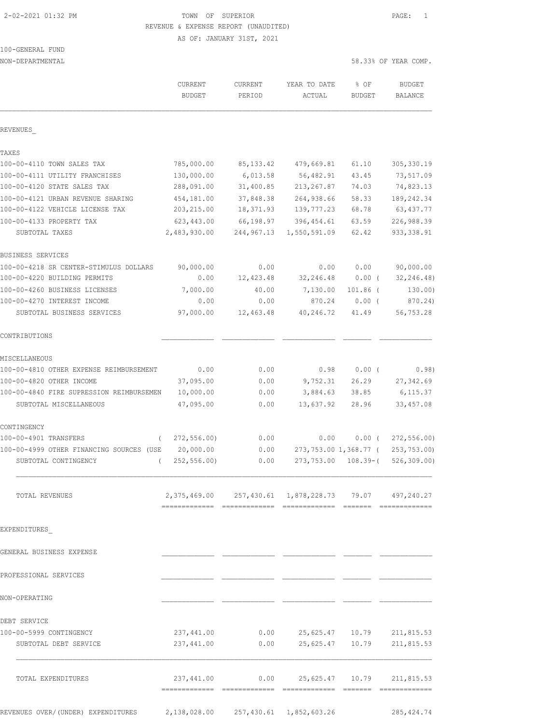## 2-02-2021 01:32 PM TOWN OF SUPERIOR PAGE: 1 REVENUE & EXPENSE REPORT (UNAUDITED)

AS OF: JANUARY 31ST, 2021

100-GENERAL FUND

NON-DEPARTMENTAL 58.33% OF YEAR COMP.

|                                          | CURRENT<br><b>BUDGET</b> | <b>CURRENT</b><br>PERIOD | YEAR TO DATE<br>ACTUAL                                    | % OF<br><b>BUDGET</b> | <b>BUDGET</b><br>BALANCE |
|------------------------------------------|--------------------------|--------------------------|-----------------------------------------------------------|-----------------------|--------------------------|
| REVENUES                                 |                          |                          |                                                           |                       |                          |
| TAXES                                    |                          |                          |                                                           |                       |                          |
| 100-00-4110 TOWN SALES TAX               | 785,000.00               | 85, 133.42               | 479,669.81                                                | 61.10                 | 305, 330.19              |
| 100-00-4111 UTILITY FRANCHISES           | 130,000.00               | 6,013.58                 | 56,482.91                                                 | 43.45                 | 73,517.09                |
| 100-00-4120 STATE SALES TAX              | 288,091.00               | 31,400.85                | 213, 267.87                                               | 74.03                 | 74,823.13                |
| 100-00-4121 URBAN REVENUE SHARING        | 454,181.00               | 37,848.38                | 264,938.66                                                | 58.33                 | 189, 242.34              |
| 100-00-4122 VEHICLE LICENSE TAX          | 203, 215.00              | 18,371.93                | 139,777.23                                                | 68.78                 | 63, 437.77               |
| 100-00-4133 PROPERTY TAX                 | 623, 443.00              | 66,198.97                | 396, 454.61                                               | 63.59                 | 226,988.39               |
| SUBTOTAL TAXES                           | 2,483,930.00             | 244,967.13               | 1,550,591.09                                              | 62.42                 | 933, 338.91              |
| BUSINESS SERVICES                        |                          |                          |                                                           |                       |                          |
| 100-00-4218 SR CENTER-STIMULUS DOLLARS   | 90,000.00                | 0.00                     | 0.00                                                      | 0.00                  | 90,000.00                |
| 100-00-4220 BUILDING PERMITS             | 0.00                     | 12,423.48                | 32,246.48                                                 | $0.00$ (              | 32, 246.48)              |
| 100-00-4260 BUSINESS LICENSES            | 7,000.00                 | 40.00                    | 7,130.00                                                  | $101.86$ (            | 130.00)                  |
| 100-00-4270 INTEREST INCOME              | 0.00                     | 0.00                     | 870.24                                                    | 0.00(                 | 870.24)                  |
| SUBTOTAL BUSINESS SERVICES               | 97,000.00                | 12,463.48                | 40,246.72                                                 | 41.49                 | 56,753.28                |
| CONTRIBUTIONS                            |                          |                          |                                                           |                       |                          |
| MISCELLANEOUS                            |                          |                          |                                                           |                       |                          |
| 100-00-4810 OTHER EXPENSE REIMBURSEMENT  | 0.00                     | 0.00                     | 0.98                                                      | $0.00$ (              | 0.98)                    |
| 100-00-4820 OTHER INCOME                 | 37,095.00                | 0.00                     | 9,752.31                                                  | 26.29                 | 27, 342.69               |
| 100-00-4840 FIRE SUPRESSION REIMBURSEMEN | 10,000.00                | 0.00                     | 3,884.63                                                  | 38.85                 | 6,115.37                 |
| SUBTOTAL MISCELLANEOUS                   | 47,095.00                | 0.00                     | 13,637.92                                                 | 28.96                 | 33, 457.08               |
| CONTINGENCY                              |                          |                          |                                                           |                       |                          |
| 100-00-4901 TRANSFERS<br>$\left($        | 272, 556.00              | 0.00                     | 0.00                                                      | 0.00(                 | 272, 556.00              |
| 100-00-4999 OTHER FINANCING SOURCES (USE | 20,000.00                | 0.00                     | 273,753.00 1,368.77 (                                     |                       | 253,753.00)              |
| SUBTOTAL CONTINGENCY<br>$\left($         | 252, 556.00              | 0.00                     | 273,753.00                                                | $108.39-$ (           | 526, 309.00              |
| TOTAL REVENUES                           |                          |                          | 2,375,469.00  257,430.61  1,878,228.73  79.07  497,240.27 |                       |                          |
|                                          |                          |                          |                                                           |                       |                          |
| EXPENDITURES                             |                          |                          |                                                           |                       |                          |
| GENERAL BUSINESS EXPENSE                 |                          |                          |                                                           |                       |                          |
| PROFESSIONAL SERVICES                    |                          |                          |                                                           |                       |                          |
| NON-OPERATING                            |                          |                          |                                                           |                       |                          |
| DEBT SERVICE                             |                          |                          |                                                           |                       |                          |
| 100-00-5999 CONTINGENCY                  | 237,441.00               | 0.00                     |                                                           | 25,625.47 10.79       | 211,815.53               |
| SUBTOTAL DEBT SERVICE                    | 237,441.00               | 0.00                     | 25,625.47                                                 | 10.79                 | 211,815.53               |
| TOTAL EXPENDITURES                       | 237,441.00               | 0.00                     |                                                           | 25,625.47 10.79       | 211,815.53               |
|                                          |                          |                          |                                                           |                       |                          |

REVENUES OVER/(UNDER) EXPENDITURES 2,138,028.00 257,430.61 1,852,603.26 285,424.74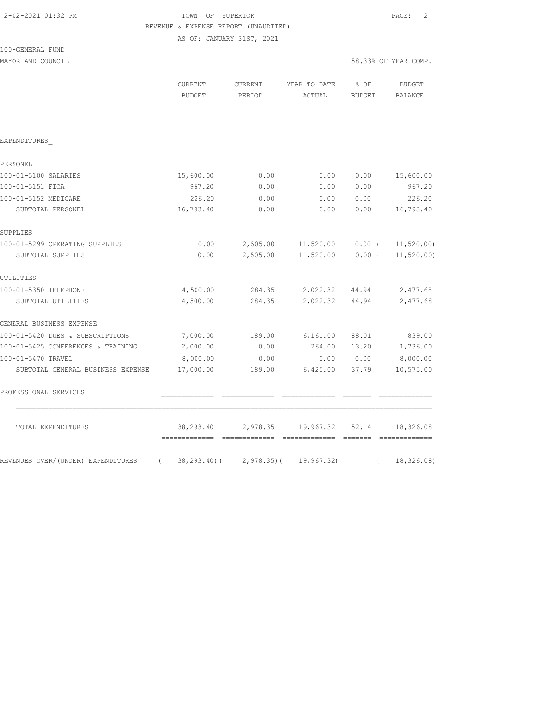## 2-02-2021 01:32 PM TOWN OF SUPERIOR PAGE: 2 REVENUE & EXPENSE REPORT (UNAUDITED)

AS OF: JANUARY 31ST, 2021

| 100-GENERAL FUND |  |
|------------------|--|
|                  |  |

MAYOR AND COUNCIL SERVICE SERVICE SERVICE SERVICE SOME SOLUTION OF THE SOLUTION SERVICE SERVICE SERVICE SERVICE

|                                                  | <b>CURRENT</b><br><b>BUDGET</b> | CURRENT<br>PERIOD           | YEAR TO DATE<br>ACTUAL | % OF<br><b>BUDGET</b> | <b>BUDGET</b><br><b>BALANCE</b> |
|--------------------------------------------------|---------------------------------|-----------------------------|------------------------|-----------------------|---------------------------------|
|                                                  |                                 |                             |                        |                       |                                 |
| EXPENDITURES                                     |                                 |                             |                        |                       |                                 |
| PERSONEL                                         |                                 |                             |                        |                       |                                 |
| 100-01-5100 SALARIES                             | 15,600.00                       | 0.00                        | 0.00                   | 0.00                  | 15,600.00                       |
| 100-01-5151 FICA                                 | 967.20                          | 0.00                        | 0.00                   | 0.00                  | 967.20                          |
| 100-01-5152 MEDICARE                             | 226.20                          | 0.00                        | 0.00                   | 0.00                  | 226.20                          |
| SUBTOTAL PERSONEL                                | 16,793.40                       | 0.00                        | 0.00                   | 0.00                  | 16,793.40                       |
| SUPPLIES                                         |                                 |                             |                        |                       |                                 |
| 100-01-5299 OPERATING SUPPLIES                   | 0.00                            | 2,505.00                    | 11,520.00              | $0.00$ (              | 11, 520.00                      |
| SUBTOTAL SUPPLIES                                | 0.00                            | 2,505.00                    | 11,520.00              | $0.00$ (              | 11, 520.00                      |
| UTILITIES                                        |                                 |                             |                        |                       |                                 |
| 100-01-5350 TELEPHONE                            | 4,500.00                        | 284.35                      | 2,022.32               | 44.94                 | 2,477.68                        |
| SUBTOTAL UTILITIES                               | 4,500.00                        | 284.35                      | 2,022.32               | 44.94                 | 2,477.68                        |
| GENERAL BUSINESS EXPENSE                         |                                 |                             |                        |                       |                                 |
| 100-01-5420 DUES & SUBSCRIPTIONS                 | 7,000.00                        | 189.00                      | 6, 161.00              | 88.01                 | 839.00                          |
| 100-01-5425 CONFERENCES & TRAINING               | 2,000.00                        | 0.00                        | 264.00                 | 13.20                 | 1,736.00                        |
| 100-01-5470 TRAVEL                               | 8,000.00                        | 0.00                        | 0.00                   | 0.00                  | 8,000.00                        |
| SUBTOTAL GENERAL BUSINESS EXPENSE                | 17,000.00                       | 189.00                      | 6,425.00               | 37.79                 | 10,575.00                       |
| PROFESSIONAL SERVICES                            |                                 |                             |                        |                       |                                 |
| TOTAL EXPENDITURES                               | 38,293.40                       | 2,978.35                    | 19,967.32              | 52.14                 | 18,326.08                       |
| REVENUES OVER/(UNDER) EXPENDITURES<br>$\sqrt{2}$ |                                 | $38, 293, 40$ ( 2,978.35) ( | 19,967.32)             | $\left($              | 18,326.08)                      |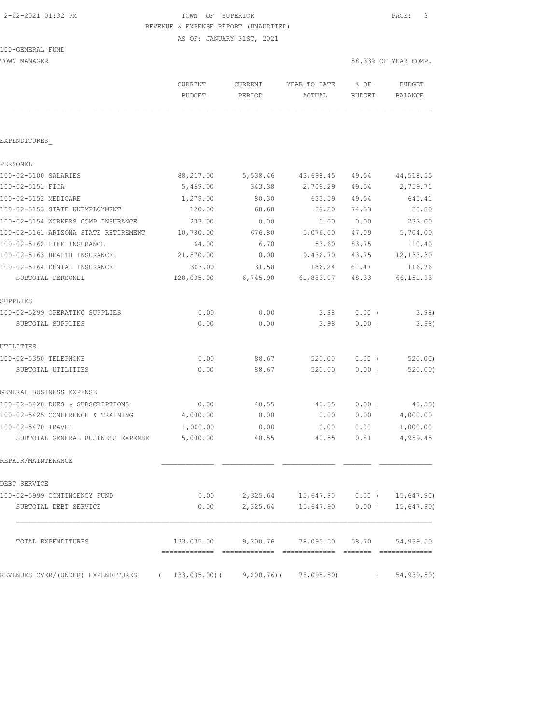#### 2-02-2021 01:32 PM TOWN OF SUPERIOR PAGE: 3 REVENUE & EXPENSE REPORT (UNAUDITED)

AS OF: JANUARY 31ST, 2021

TOWN MANAGER SERIES AND THE SERIES OF THE SERIES OF THE SERIES OF SERIES OF THE SERIES OF THE SERIES OF THE SERIES OF THE SERIES OF SERIES OF THE SERIES OF THE SERIES OF THE SERIES OF THE SERIES OF THE SERIES OF THE SERIES

|                                                | CURRENT<br><b>BUDGET</b>     | <b>CURRENT</b><br>PERIOD         | YEAR TO DATE<br>ACTUAL     | $8$ OF<br>BUDGET | <b>BUDGET</b><br><b>BALANCE</b> |
|------------------------------------------------|------------------------------|----------------------------------|----------------------------|------------------|---------------------------------|
|                                                |                              |                                  |                            |                  |                                 |
| EXPENDITURES                                   |                              |                                  |                            |                  |                                 |
| PERSONEL                                       |                              |                                  |                            |                  |                                 |
| 100-02-5100 SALARIES                           | 88,217.00                    | 5,538.46                         | 43,698.45                  | 49.54            | 44,518.55                       |
| 100-02-5151 FICA                               | 5,469.00                     | 343.38                           | 2,709.29                   | 49.54            | 2,759.71                        |
| 100-02-5152 MEDICARE                           | 1,279.00                     | 80.30                            | 633.59                     | 49.54            | 645.41                          |
| 100-02-5153 STATE UNEMPLOYMENT                 | 120.00                       | 68.68                            | 89.20                      | 74.33            | 30.80                           |
| 100-02-5154 WORKERS COMP INSURANCE             | 233.00                       | 0.00                             | 0.00                       | 0.00             | 233.00                          |
| 100-02-5161 ARIZONA STATE RETIREMENT           | 10,780.00                    | 676.80                           | 5,076.00                   | 47.09            | 5,704.00                        |
| 100-02-5162 LIFE INSURANCE                     | 64.00                        | 6.70                             | 53.60                      | 83.75            | 10.40                           |
| 100-02-5163 HEALTH INSURANCE                   | 21,570.00                    | 0.00                             | 9,436.70                   | 43.75            | 12, 133.30                      |
| 100-02-5164 DENTAL INSURANCE                   | 303.00                       | 31.58                            | 186.24                     | 61.47            | 116.76                          |
| SUBTOTAL PERSONEL                              | 128,035.00                   | 6,745.90                         | 61,883.07                  | 48.33            | 66, 151.93                      |
| SUPPLIES                                       |                              |                                  |                            |                  |                                 |
| 100-02-5299 OPERATING SUPPLIES                 | 0.00                         | 0.00                             | 3.98                       | 0.00(            | 3.98)                           |
| SUBTOTAL SUPPLIES                              | 0.00                         | 0.00                             | 3.98                       | $0.00$ (         | 3.98)                           |
| UTILITIES                                      |                              |                                  |                            |                  |                                 |
| 100-02-5350 TELEPHONE                          | 0.00                         | 88.67                            | 520.00                     | $0.00$ (         | 520.00)                         |
| SUBTOTAL UTILITIES                             | 0.00                         | 88.67                            | 520.00                     | $0.00$ (         | 520.00)                         |
| GENERAL BUSINESS EXPENSE                       |                              |                                  |                            |                  |                                 |
| 100-02-5420 DUES & SUBSCRIPTIONS               | 0.00                         | 40.55                            | 40.55                      | $0.00$ (         | $40.55$ )                       |
| 100-02-5425 CONFERENCE & TRAINING              | 4,000.00                     | 0.00                             | 0.00                       | 0.00             | 4,000.00                        |
| 100-02-5470 TRAVEL                             | 1,000.00                     | 0.00                             | 0.00                       | 0.00             | 1,000.00                        |
| SUBTOTAL GENERAL BUSINESS EXPENSE              | 5,000.00                     | 40.55                            | 40.55                      | 0.81             | 4,959.45                        |
| REPAIR/MAINTENANCE                             |                              |                                  |                            |                  |                                 |
| DEBT SERVICE                                   |                              |                                  |                            |                  |                                 |
| 100-02-5999 CONTINGENCY FUND                   | 0.00                         |                                  | 2,325.64 15,647.90 0.00 (  |                  | 15,647.90)                      |
| SUBTOTAL DEBT SERVICE                          | 0.00                         | 2,325.64                         | 15,647.90                  | 0.00(            | 15,647.90)                      |
| TOTAL EXPENDITURES                             | 133,035.00                   | 9,200.76                         | 78,095.50                  | 58.70            | 54,939.50                       |
| REVENUES OVER/(UNDER) EXPENDITURES<br>$\left($ | =============<br>133,035.00( | --------------<br>$9,200.76$ ) ( | -------------<br>78,095.50 | $\left($         | =============<br>54,939.50)     |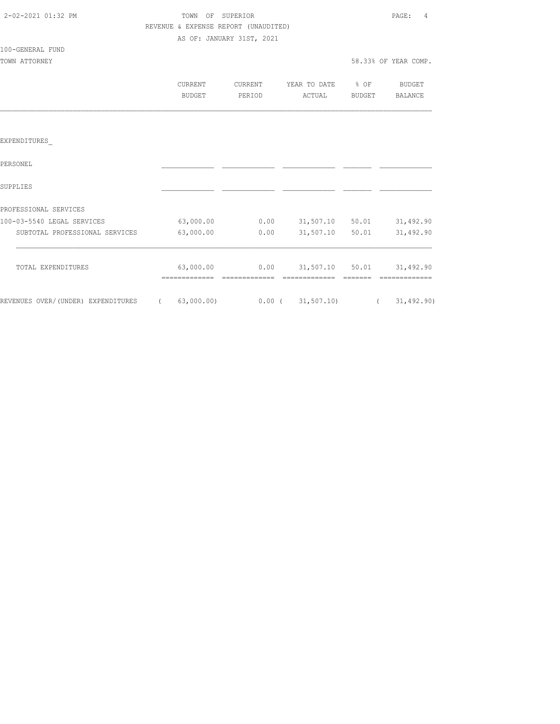| 2-02-2021 01:32 PM |  |
|--------------------|--|
|                    |  |

# TOWN OF SUPERIOR **PAGE:** 4 REVENUE & EXPENSE REPORT (UNAUDITED)

AS OF: JANUARY 31ST, 2021

100-GENERAL FUND

TOWN ATTORNEY SERVICES AND TOWN AT TORNEY AND TOWN ATTORNEY

| CURRENT | CURRENT.      | YEAR TO DATE | % OF          | <b>BUDGET</b> |
|---------|---------------|--------------|---------------|---------------|
| BUDGET  | <b>PRRTOD</b> | ACTUAL       | <b>BUDGET</b> | BALANCE       |

#### EXPENDITURES\_

| PERSONEL                           |            |          |            |       |              |
|------------------------------------|------------|----------|------------|-------|--------------|
| SUPPLIES                           |            |          |            |       |              |
| PROFESSIONAL SERVICES              |            |          |            |       |              |
| 100-03-5540 LEGAL SERVICES         | 63,000.00  | 0.00     | 31,507.10  | 50.01 | 31,492.90    |
| SUBTOTAL PROFESSIONAL SERVICES     | 63,000.00  | 0.00     | 31,507.10  | 50.01 | 31,492.90    |
| TOTAL EXPENDITURES                 | 63,000.00  | 0.00     | 31,507.10  | 50.01 | 31,492.90    |
| REVENUES OVER/(UNDER) EXPENDITURES | 63,000.00) | $0.00$ ( | 31, 507.10 |       | 31, 492, 90) |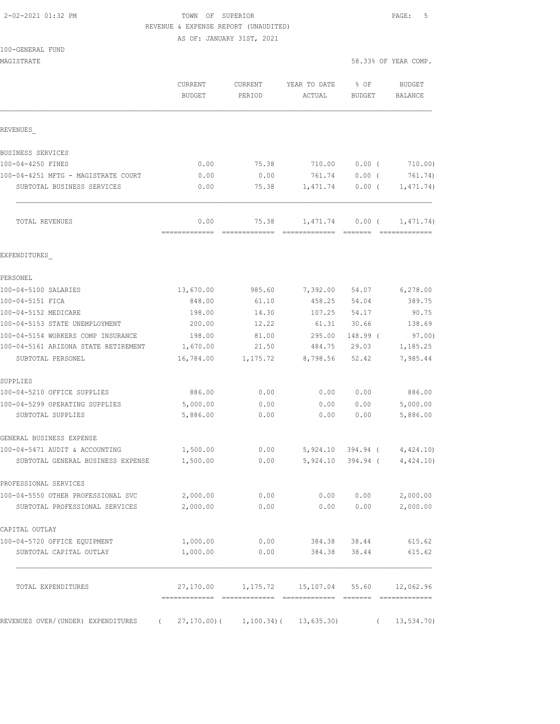## 2-02-2021 01:32 PM TOWN OF SUPERIOR PAGE: 5 REVENUE & EXPENSE REPORT (UNAUDITED)

|  |  |  | 100-GENERAL FUND |  |
|--|--|--|------------------|--|
|--|--|--|------------------|--|

| MAGISTRATE                                                          |                                 |                          |                        |                       | 58.33% OF YEAR COMP.         |
|---------------------------------------------------------------------|---------------------------------|--------------------------|------------------------|-----------------------|------------------------------|
|                                                                     | <b>CURRENT</b><br><b>BUDGET</b> | <b>CURRENT</b><br>PERIOD | YEAR TO DATE<br>ACTUAL | % OF<br><b>BUDGET</b> | <b>BUDGET</b><br>BALANCE     |
| REVENUES                                                            |                                 |                          |                        |                       |                              |
| BUSINESS SERVICES                                                   |                                 |                          |                        |                       |                              |
| 100-04-4250 FINES                                                   | 0.00                            | 75.38                    | 710.00                 | 0.00(                 | 710.00)                      |
| 100-04-4251 MFTG - MAGISTRATE COURT                                 | 0.00                            | 0.00                     | 761.74                 | $0.00$ (              | 761.74)                      |
| SUBTOTAL BUSINESS SERVICES                                          | 0.00                            | 75.38                    | 1,471.74               | $0.00$ (              | 1,471.74)                    |
| TOTAL REVENUES                                                      | 0.00                            | 75.38                    | 1,471.74               | $0.00$ (              | 1, 471.74)<br>-------------- |
| EXPENDITURES                                                        |                                 |                          |                        |                       |                              |
| PERSONEL                                                            |                                 |                          |                        |                       |                              |
| 100-04-5100 SALARIES                                                | 13,670.00                       | 985.60                   | 7,392.00               | 54.07                 | 6, 278.00                    |
| 100-04-5151 FICA                                                    | 848.00                          | 61.10                    | 458.25                 | 54.04                 | 389.75                       |
| 100-04-5152 MEDICARE                                                | 198.00                          | 14.30                    | 107.25                 | 54.17                 | 90.75                        |
| 100-04-5153 STATE UNEMPLOYMENT                                      | 200.00                          | 12.22                    | 61.31                  | 30.66                 | 138.69                       |
| 100-04-5154 WORKERS COMP INSURANCE                                  | 198.00                          | 81.00                    | 295.00                 | 148.99 (              | 97.00)                       |
| 100-04-5161 ARIZONA STATE RETIREMENT                                | 1,670.00                        | 21.50                    | 484.75                 | 29.03                 | 1,185.25                     |
| SUBTOTAL PERSONEL                                                   | 16,784.00                       | 1,175.72                 | 8,798.56               | 52.42                 | 7,985.44                     |
| SUPPLIES                                                            |                                 |                          |                        |                       |                              |
| 100-04-5210 OFFICE SUPPLIES                                         | 886.00                          | 0.00                     | 0.00                   | 0.00                  | 886.00                       |
| 100-04-5299 OPERATING SUPPLIES                                      | 5,000.00                        | 0.00                     | 0.00                   | 0.00                  | 5,000.00                     |
| SUBTOTAL SUPPLIES                                                   | 5,886.00                        | 0.00                     | 0.00                   | 0.00                  | 5,886.00                     |
| GENERAL BUSINESS EXPENSE                                            |                                 |                          |                        |                       |                              |
| 100-04-5471 AUDIT & ACCOUNTING                                      | 1,500.00                        | 0.00                     | 5,924.10               |                       | 394.94 ( 4,424.10)           |
| SUBTOTAL GENERAL BUSINESS EXPENSE                                   | 1,500.00                        | 0.00                     | 5,924.10               | $394.94$ (            | 4,424.10)                    |
| PROFESSIONAL SERVICES                                               |                                 |                          |                        |                       |                              |
| 100-04-5550 OTHER PROFESSIONAL SVC                                  | 2,000.00                        | 0.00                     | 0.00                   | 0.00                  | 2,000.00                     |
| SUBTOTAL PROFESSIONAL SERVICES                                      | 2,000.00                        | 0.00                     | 0.00                   | 0.00                  | 2,000.00                     |
| CAPITAL OUTLAY                                                      |                                 |                          |                        |                       |                              |
| 100-04-5720 OFFICE EQUIPMENT                                        | 1,000.00                        | 0.00                     | 384.38                 | 38.44                 | 615.62                       |
| SUBTOTAL CAPITAL OUTLAY                                             | 1,000.00                        | 0.00                     | 384.38                 | 38.44                 | 615.62                       |
| TOTAL EXPENDITURES                                                  | 27,170.00                       |                          | 1, 175.72 15, 107.04   | 55.60                 | 12,062.96                    |
| REVENUES OVER/(UNDER) EXPENDITURES (27,170.00)(1,100.34)(13,635.30) |                                 |                          |                        | $\left($              | 13,534.70)                   |
|                                                                     |                                 |                          |                        |                       |                              |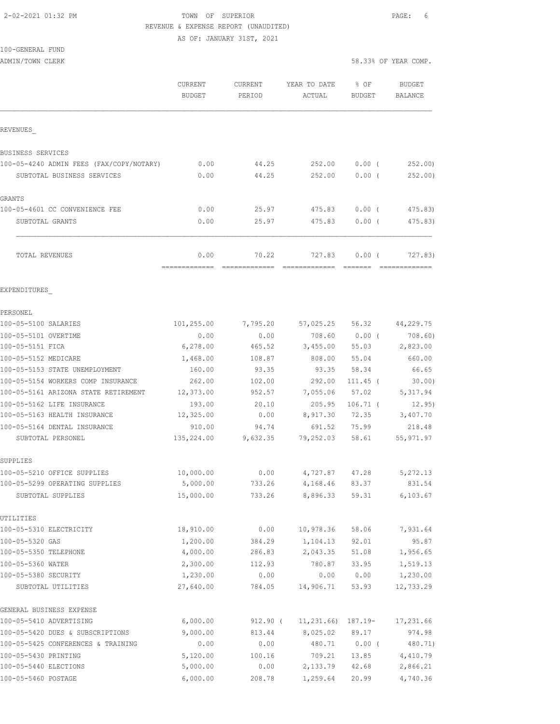#### 2-02-2021 01:32 PM TOWN OF SUPERIOR PAGE: 6 REVENUE & EXPENSE REPORT (UNAUDITED)

AS OF: JANUARY 31ST, 2021

## 100-GENERAL FUND

|                                          | CURRENT<br><b>BUDGET</b> | CURRENT<br>PERIOD | YEAR TO DATE<br>ACTUAL | % OF<br><b>BUDGET</b> | <b>BUDGET</b><br>BALANCE |
|------------------------------------------|--------------------------|-------------------|------------------------|-----------------------|--------------------------|
| REVENUES                                 |                          |                   |                        |                       |                          |
| BUSINESS SERVICES                        |                          |                   |                        |                       |                          |
| 100-05-4240 ADMIN FEES (FAX/COPY/NOTARY) | 0.00                     | 44.25             | 252.00                 | $0.00$ (              | 252.00                   |
| SUBTOTAL BUSINESS SERVICES               | 0.00                     | 44.25             | 252.00                 | 0.00(                 | 252,00)                  |
| GRANTS                                   |                          |                   |                        |                       |                          |
| 100-05-4601 CC CONVENIENCE FEE           | 0.00                     | 25.97             | 475.83                 | $0.00$ (              | 475.83)                  |
| SUBTOTAL GRANTS                          | 0.00                     | 25.97             | 475.83                 | $0.00$ (              | 475.83)                  |
| TOTAL REVENUES                           | 0.00                     | 70.22             | 727.83                 | 0.00(                 | 727.83)                  |
| EXPENDITURES                             |                          |                   |                        |                       |                          |
| PERSONEL                                 |                          |                   |                        |                       |                          |
| 100-05-5100 SALARIES                     | 101,255.00               | 7,795.20          |                        | 57,025.25 56.32       | 44,229.75                |
| 100-05-5101 OVERTIME                     | 0.00                     | 0.00              |                        | 708.60 0.00 (         | 708.60)                  |
| 100-05-5151 FICA                         | 6,278.00                 | 465.52            | 3,455.00               | 55.03                 | 2,823.00                 |
| 100-05-5152 MEDICARE                     | 1,468.00                 | 108.87            | 808.00                 | 55.04                 | 660.00                   |
| 100-05-5153 STATE UNEMPLOYMENT           | 160.00                   | 93.35             | 93.35                  | 58.34                 | 66.65                    |
| 100-05-5154 WORKERS COMP INSURANCE       | 262.00                   | 102.00            | 292.00                 | $111.45$ (            | 30.00                    |
| 100-05-5161 ARIZONA STATE RETIREMENT     | 12,373.00                | 952.57            | 7,055.06               | 57.02                 | 5, 317.94                |
| 100-05-5162 LIFE INSURANCE               | 193.00                   | 20.10             | 205.95                 | $106.71$ (            | 12.95)                   |
| 100-05-5163 HEALTH INSURANCE             | 12,325.00                | 0.00              | 8,917.30               | 72.35                 | 3,407.70                 |
| 100-05-5164 DENTAL INSURANCE             | 910.00                   | 94.74             | 691.52                 | 75.99                 | 218.48                   |
| SUBTOTAL PERSONEL                        | 135,224.00               | 9,632.35          | 79,252.03              | 58.61                 | 55, 971.97               |
| SUPPLIES                                 |                          |                   |                        |                       |                          |
| 100-05-5210 OFFICE SUPPLIES              | 10,000.00                | 0.00              | 4,727.87               | 47.28                 | 5, 272.13                |
| 100-05-5299 OPERATING SUPPLIES           | 5,000.00                 | 733.26            | 4,168.46 83.37         |                       | 831.54                   |
| SUBTOTAL SUPPLIES                        | 15,000.00                | 733.26            |                        | 8,896.33 59.31        | 6, 103.67                |
| UTILITIES                                |                          |                   |                        |                       |                          |
| 100-05-5310 ELECTRICITY                  | 18,910.00                | 0.00              | 10,978.36              | 58.06                 | 7,931.64                 |
| 100-05-5320 GAS                          | 1,200.00                 | 384.29            | 1,104.13               | 92.01                 | 95.87                    |
| 100-05-5350 TELEPHONE                    | 4,000.00                 | 286.83            | 2,043.35               | 51.08                 | 1,956.65                 |
| 100-05-5360 WATER                        | 2,300.00                 | 112.93            | 780.87                 | 33.95                 | 1,519.13                 |
| 100-05-5380 SECURITY                     | 1,230.00                 | 0.00              | 0.00                   | 0.00                  | 1,230.00                 |
| SUBTOTAL UTILITIES                       | 27,640.00                | 784.05            | 14,906.71              | 53.93                 | 12,733.29                |
| GENERAL BUSINESS EXPENSE                 |                          |                   |                        |                       |                          |
| 100-05-5410 ADVERTISING                  | 6,000.00                 | 912.90 (          | 11,231.66) 187.19-     |                       | 17,231.66                |
| 100-05-5420 DUES & SUBSCRIPTIONS         | 9,000.00                 | 813.44            | 8,025.02               | 89.17                 | 974.98                   |
| 100-05-5425 CONFERENCES & TRAINING       | 0.00                     | 0.00              | 480.71                 | $0.00$ (              | 480.71)                  |
| 100-05-5430 PRINTING                     | 5,120.00                 | 100.16            | 709.21                 | 13.85                 | 4,410.79                 |
| 100-05-5440 ELECTIONS                    | 5,000.00                 | 0.00              | 2,133.79               | 42.68                 | 2,866.21                 |
| 100-05-5460 POSTAGE                      | 6,000.00                 | 208.78            | 1,259.64               | 20.99                 | 4,740.36                 |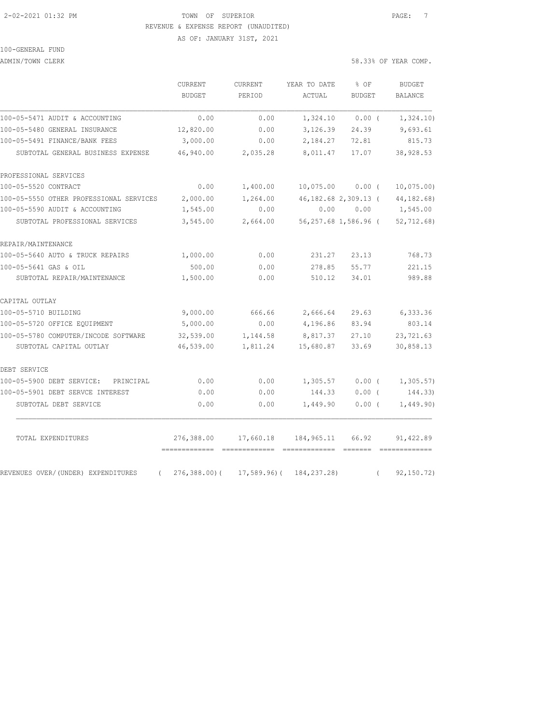#### 2-02-2021 01:32 PM TOWN OF SUPERIOR PAGE: 7 REVENUE & EXPENSE REPORT (UNAUDITED)

AS OF: JANUARY 31ST, 2021

# 100-GENERAL FUND

ADMIN/TOWN CLERK 6.33% OF YEAR COMP.

|                                                | CURRENT<br><b>BUDGET</b>    | CURRENT<br>PERIOD                                                                                                                                                                                                                                                                                                                                                                                                                                                                                   | YEAR TO DATE<br>ACTUAL      | % OF<br><b>BUDGET</b>                                                                                                                                                                                                                                                                                                                                                                                                                                                                           | <b>BUDGET</b><br>BALANCE |
|------------------------------------------------|-----------------------------|-----------------------------------------------------------------------------------------------------------------------------------------------------------------------------------------------------------------------------------------------------------------------------------------------------------------------------------------------------------------------------------------------------------------------------------------------------------------------------------------------------|-----------------------------|-------------------------------------------------------------------------------------------------------------------------------------------------------------------------------------------------------------------------------------------------------------------------------------------------------------------------------------------------------------------------------------------------------------------------------------------------------------------------------------------------|--------------------------|
| 100-05-5471 AUDIT & ACCOUNTING                 | 0.00                        | 0.00                                                                                                                                                                                                                                                                                                                                                                                                                                                                                                | 1,324.10                    | $0.00$ (                                                                                                                                                                                                                                                                                                                                                                                                                                                                                        | 1,324.10)                |
| 100-05-5480 GENERAL INSURANCE                  | 12,820.00                   | 0.00                                                                                                                                                                                                                                                                                                                                                                                                                                                                                                | 3,126.39                    | 24.39                                                                                                                                                                                                                                                                                                                                                                                                                                                                                           | 9,693.61                 |
| 100-05-5491 FINANCE/BANK FEES                  | 3,000.00                    | 0.00                                                                                                                                                                                                                                                                                                                                                                                                                                                                                                | 2,184.27                    | 72.81                                                                                                                                                                                                                                                                                                                                                                                                                                                                                           | 815.73                   |
| SUBTOTAL GENERAL BUSINESS EXPENSE              | 46,940.00                   | 2,035.28                                                                                                                                                                                                                                                                                                                                                                                                                                                                                            | 8,011.47                    | 17.07                                                                                                                                                                                                                                                                                                                                                                                                                                                                                           | 38,928.53                |
| PROFESSIONAL SERVICES                          |                             |                                                                                                                                                                                                                                                                                                                                                                                                                                                                                                     |                             |                                                                                                                                                                                                                                                                                                                                                                                                                                                                                                 |                          |
| 100-05-5520 CONTRACT                           | 0.00                        | 1,400.00                                                                                                                                                                                                                                                                                                                                                                                                                                                                                            | 10,075.00                   | $0.00$ (                                                                                                                                                                                                                                                                                                                                                                                                                                                                                        | $10,075.00$ )            |
| 100-05-5550 OTHER PROFESSIONAL SERVICES        | 2,000.00                    | 1,264.00                                                                                                                                                                                                                                                                                                                                                                                                                                                                                            |                             | 46, 182. 68 2, 309. 13 (                                                                                                                                                                                                                                                                                                                                                                                                                                                                        | 44, 182, 68)             |
| 100-05-5590 AUDIT & ACCOUNTING                 | 1,545.00                    | 0.00                                                                                                                                                                                                                                                                                                                                                                                                                                                                                                | 0.00                        | 0.00                                                                                                                                                                                                                                                                                                                                                                                                                                                                                            | 1,545.00                 |
| SUBTOTAL PROFESSIONAL SERVICES                 | 3,545.00                    | 2,664.00                                                                                                                                                                                                                                                                                                                                                                                                                                                                                            |                             | 56,257.68 1,586.96 (                                                                                                                                                                                                                                                                                                                                                                                                                                                                            | 52, 712.68               |
| REPAIR/MAINTENANCE                             |                             |                                                                                                                                                                                                                                                                                                                                                                                                                                                                                                     |                             |                                                                                                                                                                                                                                                                                                                                                                                                                                                                                                 |                          |
| 100-05-5640 AUTO & TRUCK REPAIRS               | 1,000.00                    | 0.00                                                                                                                                                                                                                                                                                                                                                                                                                                                                                                | 231.27                      | 23.13                                                                                                                                                                                                                                                                                                                                                                                                                                                                                           | 768.73                   |
| 100-05-5641 GAS & OIL                          | 500.00                      | 0.00                                                                                                                                                                                                                                                                                                                                                                                                                                                                                                | 278.85                      | 55.77                                                                                                                                                                                                                                                                                                                                                                                                                                                                                           | 221.15                   |
| SUBTOTAL REPAIR/MAINTENANCE                    | 1,500.00                    | 0.00                                                                                                                                                                                                                                                                                                                                                                                                                                                                                                | 510.12                      | 34.01                                                                                                                                                                                                                                                                                                                                                                                                                                                                                           | 989.88                   |
| CAPITAL OUTLAY                                 |                             |                                                                                                                                                                                                                                                                                                                                                                                                                                                                                                     |                             |                                                                                                                                                                                                                                                                                                                                                                                                                                                                                                 |                          |
| 100-05-5710 BUILDING                           | 9,000.00                    | 666.66                                                                                                                                                                                                                                                                                                                                                                                                                                                                                              | 2,666.64                    | 29.63                                                                                                                                                                                                                                                                                                                                                                                                                                                                                           | 6,333.36                 |
| 100-05-5720 OFFICE EQUIPMENT                   | 5,000.00                    | 0.00                                                                                                                                                                                                                                                                                                                                                                                                                                                                                                | 4,196.86                    | 83.94                                                                                                                                                                                                                                                                                                                                                                                                                                                                                           | 803.14                   |
| 100-05-5780 COMPUTER/INCODE SOFTWARE           | 32,539.00                   | 1,144.58                                                                                                                                                                                                                                                                                                                                                                                                                                                                                            | 8,817.37                    | 27.10                                                                                                                                                                                                                                                                                                                                                                                                                                                                                           | 23,721.63                |
| SUBTOTAL CAPITAL OUTLAY                        | 46,539.00                   | 1,811.24                                                                                                                                                                                                                                                                                                                                                                                                                                                                                            | 15,680.87                   | 33.69                                                                                                                                                                                                                                                                                                                                                                                                                                                                                           | 30,858.13                |
| DEBT SERVICE                                   |                             |                                                                                                                                                                                                                                                                                                                                                                                                                                                                                                     |                             |                                                                                                                                                                                                                                                                                                                                                                                                                                                                                                 |                          |
| 100-05-5900 DEBT SERVICE:<br>PRINCIPAL         | 0.00                        | 0.00                                                                                                                                                                                                                                                                                                                                                                                                                                                                                                | 1,305.57                    | 0.00(                                                                                                                                                                                                                                                                                                                                                                                                                                                                                           | 1, 305.57)               |
| 100-05-5901 DEBT SERVCE INTEREST               | 0.00                        | 0.00                                                                                                                                                                                                                                                                                                                                                                                                                                                                                                | 144.33                      | $0.00$ (                                                                                                                                                                                                                                                                                                                                                                                                                                                                                        | 144.33)                  |
| SUBTOTAL DEBT SERVICE                          | 0.00                        | 0.00                                                                                                                                                                                                                                                                                                                                                                                                                                                                                                | 1,449.90                    | $0.00$ (                                                                                                                                                                                                                                                                                                                                                                                                                                                                                        | 1,449.90)                |
| TOTAL EXPENDITURES                             | 276,388.00<br>------------- | 17,660.18<br>$\begin{array}{cccccccccc} \multicolumn{2}{c}{} & \multicolumn{2}{c}{} & \multicolumn{2}{c}{} & \multicolumn{2}{c}{} & \multicolumn{2}{c}{} & \multicolumn{2}{c}{} & \multicolumn{2}{c}{} & \multicolumn{2}{c}{} & \multicolumn{2}{c}{} & \multicolumn{2}{c}{} & \multicolumn{2}{c}{} & \multicolumn{2}{c}{} & \multicolumn{2}{c}{} & \multicolumn{2}{c}{} & \multicolumn{2}{c}{} & \multicolumn{2}{c}{} & \multicolumn{2}{c}{} & \multicolumn{2}{c}{} & \multicolumn{2}{c}{} & \mult$ | 184,965.11<br>============= | 66.92<br>$\begin{array}{cccccccccc} \multicolumn{2}{c}{} & \multicolumn{2}{c}{} & \multicolumn{2}{c}{} & \multicolumn{2}{c}{} & \multicolumn{2}{c}{} & \multicolumn{2}{c}{} & \multicolumn{2}{c}{} & \multicolumn{2}{c}{} & \multicolumn{2}{c}{} & \multicolumn{2}{c}{} & \multicolumn{2}{c}{} & \multicolumn{2}{c}{} & \multicolumn{2}{c}{} & \multicolumn{2}{c}{} & \multicolumn{2}{c}{} & \multicolumn{2}{c}{} & \multicolumn{2}{c}{} & \multicolumn{2}{c}{} & \multicolumn{2}{c}{} & \mult$ | 91, 422.89               |
| REVENUES OVER/(UNDER) EXPENDITURES<br>$\left($ | $276,388.00$ (              | 17,589.96)(                                                                                                                                                                                                                                                                                                                                                                                                                                                                                         | 184, 237. 28)               | $\left($                                                                                                                                                                                                                                                                                                                                                                                                                                                                                        | 92, 150.72)              |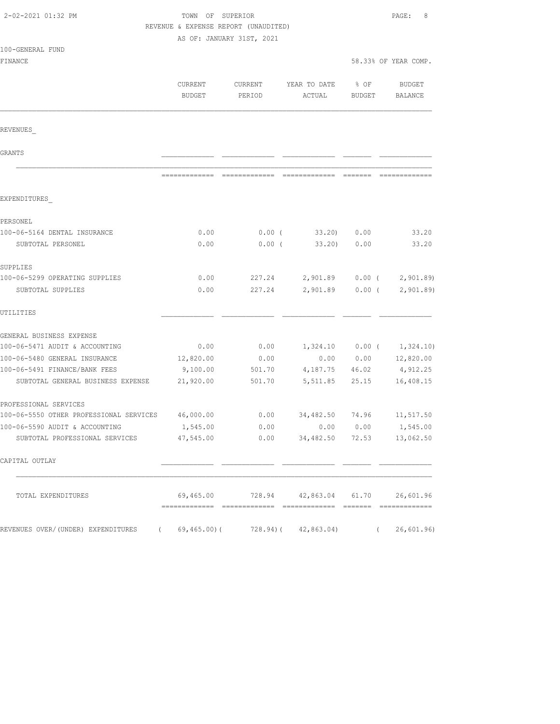| 2-02-2021 01:32 PM                                                            | TOWN OF SUPERIOR<br>REVENUE & EXPENSE REPORT (UNAUDITED)<br>AS OF: JANUARY 31ST, 2021 | PAGE:<br>8                                                                                                                                                                                                                                                                                                                                                                                                                                                                                   |                                                                                                                                                                                                                                                                                                                                                                                                                                                                                        |                      |                           |  |  |
|-------------------------------------------------------------------------------|---------------------------------------------------------------------------------------|----------------------------------------------------------------------------------------------------------------------------------------------------------------------------------------------------------------------------------------------------------------------------------------------------------------------------------------------------------------------------------------------------------------------------------------------------------------------------------------------|----------------------------------------------------------------------------------------------------------------------------------------------------------------------------------------------------------------------------------------------------------------------------------------------------------------------------------------------------------------------------------------------------------------------------------------------------------------------------------------|----------------------|---------------------------|--|--|
| 100-GENERAL FUND<br>FINANCE                                                   |                                                                                       |                                                                                                                                                                                                                                                                                                                                                                                                                                                                                              |                                                                                                                                                                                                                                                                                                                                                                                                                                                                                        | 58.33% OF YEAR COMP. |                           |  |  |
|                                                                               | CURRENT                                                                               | CURRENT                                                                                                                                                                                                                                                                                                                                                                                                                                                                                      | YEAR TO DATE                                                                                                                                                                                                                                                                                                                                                                                                                                                                           | $8$ OF               | BUDGET                    |  |  |
|                                                                               | <b>BUDGET</b>                                                                         | PERIOD                                                                                                                                                                                                                                                                                                                                                                                                                                                                                       | ACTUAL                                                                                                                                                                                                                                                                                                                                                                                                                                                                                 | BUDGET               | BALANCE                   |  |  |
| REVENUES                                                                      |                                                                                       |                                                                                                                                                                                                                                                                                                                                                                                                                                                                                              |                                                                                                                                                                                                                                                                                                                                                                                                                                                                                        |                      |                           |  |  |
| GRANTS                                                                        |                                                                                       |                                                                                                                                                                                                                                                                                                                                                                                                                                                                                              |                                                                                                                                                                                                                                                                                                                                                                                                                                                                                        |                      |                           |  |  |
|                                                                               |                                                                                       | $\begin{array}{c} \multicolumn{2}{c} {\textbf{1}} & \multicolumn{2}{c} {\textbf{2}} & \multicolumn{2}{c} {\textbf{3}} & \multicolumn{2}{c} {\textbf{4}} \\ \multicolumn{2}{c} {\textbf{5}} & \multicolumn{2}{c} {\textbf{6}} & \multicolumn{2}{c} {\textbf{7}} & \multicolumn{2}{c} {\textbf{8}} & \multicolumn{2}{c} {\textbf{9}} \\ \multicolumn{2}{c} {\textbf{6}} & \multicolumn{2}{c} {\textbf{7}} & \multicolumn{2}{c} {\textbf{8}} & \multicolumn{2}{c} {\textbf{9}} & \multicolumn{$ | $\begin{array}{cccccccccccccc} \multicolumn{2}{c}{} & \multicolumn{2}{c}{} & \multicolumn{2}{c}{} & \multicolumn{2}{c}{} & \multicolumn{2}{c}{} & \multicolumn{2}{c}{} & \multicolumn{2}{c}{} & \multicolumn{2}{c}{} & \multicolumn{2}{c}{} & \multicolumn{2}{c}{} & \multicolumn{2}{c}{} & \multicolumn{2}{c}{} & \multicolumn{2}{c}{} & \multicolumn{2}{c}{} & \multicolumn{2}{c}{} & \multicolumn{2}{c}{} & \multicolumn{2}{c}{} & \multicolumn{2}{c}{} & \multicolumn{2}{c}{} & \$ |                      |                           |  |  |
| EXPENDITURES                                                                  |                                                                                       |                                                                                                                                                                                                                                                                                                                                                                                                                                                                                              |                                                                                                                                                                                                                                                                                                                                                                                                                                                                                        |                      |                           |  |  |
| PERSONEL                                                                      |                                                                                       |                                                                                                                                                                                                                                                                                                                                                                                                                                                                                              |                                                                                                                                                                                                                                                                                                                                                                                                                                                                                        |                      |                           |  |  |
| 100-06-5164 DENTAL INSURANCE                                                  | 0.00                                                                                  | $0.00$ (                                                                                                                                                                                                                                                                                                                                                                                                                                                                                     | 33.20) 0.00                                                                                                                                                                                                                                                                                                                                                                                                                                                                            |                      | 33.20                     |  |  |
| SUBTOTAL PERSONEL                                                             | 0.00                                                                                  | $0.00$ (                                                                                                                                                                                                                                                                                                                                                                                                                                                                                     | 33,20)                                                                                                                                                                                                                                                                                                                                                                                                                                                                                 | 0.00                 | 33.20                     |  |  |
| SUPPLIES                                                                      |                                                                                       |                                                                                                                                                                                                                                                                                                                                                                                                                                                                                              |                                                                                                                                                                                                                                                                                                                                                                                                                                                                                        |                      |                           |  |  |
| 100-06-5299 OPERATING SUPPLIES                                                | 0.00                                                                                  | 227.24                                                                                                                                                                                                                                                                                                                                                                                                                                                                                       | 2,901.89 0.00 (                                                                                                                                                                                                                                                                                                                                                                                                                                                                        |                      | 2,901.89                  |  |  |
| SUBTOTAL SUPPLIES                                                             | 0.00                                                                                  | 227.24                                                                                                                                                                                                                                                                                                                                                                                                                                                                                       | 2,901.89                                                                                                                                                                                                                                                                                                                                                                                                                                                                               | $0.00$ (             | 2,901.89                  |  |  |
| UTILITIES                                                                     |                                                                                       |                                                                                                                                                                                                                                                                                                                                                                                                                                                                                              |                                                                                                                                                                                                                                                                                                                                                                                                                                                                                        |                      |                           |  |  |
| GENERAL BUSINESS EXPENSE                                                      |                                                                                       |                                                                                                                                                                                                                                                                                                                                                                                                                                                                                              |                                                                                                                                                                                                                                                                                                                                                                                                                                                                                        |                      |                           |  |  |
| 100-06-5471 AUDIT & ACCOUNTING                                                | 0.00                                                                                  | 0.00                                                                                                                                                                                                                                                                                                                                                                                                                                                                                         |                                                                                                                                                                                                                                                                                                                                                                                                                                                                                        | $1,324.10$ 0.00 (    | 1,324.10)                 |  |  |
| 100-06-5480 GENERAL INSURANCE                                                 | 12,820.00                                                                             | 0.00                                                                                                                                                                                                                                                                                                                                                                                                                                                                                         |                                                                                                                                                                                                                                                                                                                                                                                                                                                                                        |                      | $0.00$ $0.00$ $12,820.00$ |  |  |
| 100-06-5491 FINANCE/BANK FEES                                                 | 9,100.00                                                                              | 501.70                                                                                                                                                                                                                                                                                                                                                                                                                                                                                       | 4, 187. 75 46. 02                                                                                                                                                                                                                                                                                                                                                                                                                                                                      |                      | 4,912.25                  |  |  |
| SUBTOTAL GENERAL BUSINESS EXPENSE                                             | 21,920.00                                                                             | 501.70                                                                                                                                                                                                                                                                                                                                                                                                                                                                                       | 5,511.85                                                                                                                                                                                                                                                                                                                                                                                                                                                                               | 25.15                | 16,408.15                 |  |  |
| PROFESSIONAL SERVICES                                                         |                                                                                       |                                                                                                                                                                                                                                                                                                                                                                                                                                                                                              |                                                                                                                                                                                                                                                                                                                                                                                                                                                                                        |                      |                           |  |  |
| 100-06-5550 OTHER PROFESSIONAL SERVICES                                       | 46,000.00                                                                             | 0.00                                                                                                                                                                                                                                                                                                                                                                                                                                                                                         | 34,482.50                                                                                                                                                                                                                                                                                                                                                                                                                                                                              | 74.96                | 11, 517.50                |  |  |
| 100-06-5590 AUDIT & ACCOUNTING                                                | 1,545.00                                                                              | 0.00                                                                                                                                                                                                                                                                                                                                                                                                                                                                                         |                                                                                                                                                                                                                                                                                                                                                                                                                                                                                        | 0.00 0.00            | 1,545.00                  |  |  |
| SUBTOTAL PROFESSIONAL SERVICES                                                | 47,545.00                                                                             |                                                                                                                                                                                                                                                                                                                                                                                                                                                                                              | $0.00$ $34,482.50$                                                                                                                                                                                                                                                                                                                                                                                                                                                                     | 72.53                | 13,062.50                 |  |  |
| CAPITAL OUTLAY                                                                |                                                                                       |                                                                                                                                                                                                                                                                                                                                                                                                                                                                                              |                                                                                                                                                                                                                                                                                                                                                                                                                                                                                        |                      |                           |  |  |
| TOTAL EXPENDITURES                                                            |                                                                                       |                                                                                                                                                                                                                                                                                                                                                                                                                                                                                              | 69,465.00 728.94 42,863.04 61.70 26,601.96                                                                                                                                                                                                                                                                                                                                                                                                                                             |                      |                           |  |  |
| REVENUES OVER/(UNDER) EXPENDITURES (69,465.00)(728.94)(42,863.04) (26,601.96) |                                                                                       |                                                                                                                                                                                                                                                                                                                                                                                                                                                                                              |                                                                                                                                                                                                                                                                                                                                                                                                                                                                                        |                      |                           |  |  |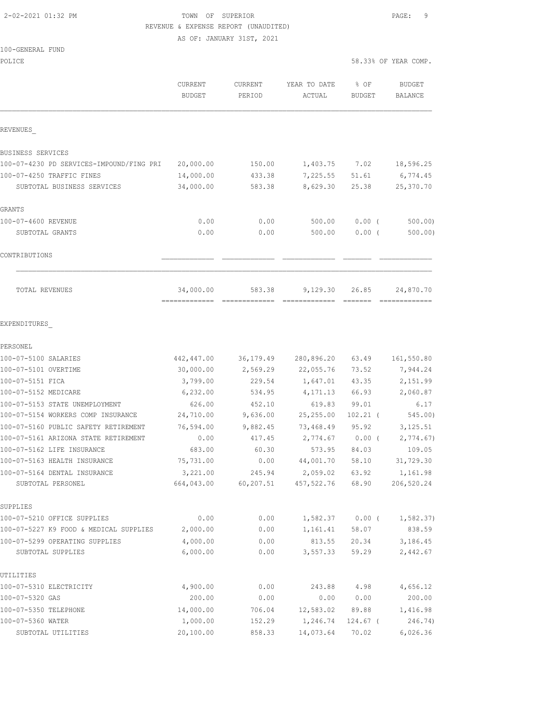## 2-02-2021 01:32 PM TOWN OF SUPERIOR PAGE: 9 REVENUE & EXPENSE REPORT (UNAUDITED)

AS OF: JANUARY 31ST, 2021

#### $100 - \text{GEN}$

| 100-GENERAL FUND                         |                   |                   |                        |               |                      |
|------------------------------------------|-------------------|-------------------|------------------------|---------------|----------------------|
| POLICE                                   |                   |                   |                        |               | 58.33% OF YEAR COMP. |
|                                          |                   |                   |                        | % OF          |                      |
|                                          | CURRENT<br>BUDGET | CURRENT<br>PERIOD | YEAR TO DATE<br>ACTUAL | <b>BUDGET</b> | BUDGET<br>BALANCE    |
|                                          |                   |                   |                        |               |                      |
| REVENUES                                 |                   |                   |                        |               |                      |
| BUSINESS SERVICES                        |                   |                   |                        |               |                      |
| 100-07-4230 PD SERVICES-IMPOUND/FING PRI | 20,000.00         | 150.00            | 1,403.75               | 7.02          | 18,596.25            |
| 100-07-4250 TRAFFIC FINES                | 14,000.00         | 433.38            | 7,225.55               | 51.61         | 6,774.45             |
| SUBTOTAL BUSINESS SERVICES               | 34,000.00         | 583.38            | 8,629.30               | 25.38         | 25,370.70            |
| GRANTS                                   |                   |                   |                        |               |                      |
| 100-07-4600 REVENUE                      | 0.00              | 0.00              | 500.00                 | $0.00$ (      | 500.00               |
| SUBTOTAL GRANTS                          | 0.00              | 0.00              | 500.00                 | $0.00$ (      | 500.00)              |
| CONTRIBUTIONS                            |                   |                   |                        |               |                      |
| TOTAL REVENUES                           | 34,000.00         | 583.38            | 9,129.30               | 26.85         | 24,870.70            |
| EXPENDITURES                             |                   |                   |                        |               |                      |
| PERSONEL                                 |                   |                   |                        |               |                      |
| 100-07-5100 SALARIES                     | 442,447.00        | 36, 179.49        | 280,896.20             | 63.49         | 161,550.80           |
| 100-07-5101 OVERTIME                     | 30,000.00         | 2,569.29          | 22,055.76              | 73.52         | 7,944.24             |
| 100-07-5151 FICA                         | 3,799.00          | 229.54            | 1,647.01               | 43.35         | 2,151.99             |
| 100-07-5152 MEDICARE                     | 6,232.00          | 534.95            | 4,171.13               | 66.93         | 2,060.87             |
| 100-07-5153 STATE UNEMPLOYMENT           | 626.00            | 452.10            | 619.83                 | 99.01         | 6.17                 |
| 100-07-5154 WORKERS COMP INSURANCE       | 24,710.00         | 9,636.00          | 25, 255.00             | $102.21$ (    | 545.00)              |
| 100-07-5160 PUBLIC SAFETY RETIREMENT     | 76,594.00         | 9,882.45          | 73,468.49              | 95.92         | 3,125.51             |
| 100-07-5161 ARIZONA STATE RETIREMENT     | 0.00              | 417.45            | 2,774.67               | $0.00$ (      | 2,774.67)            |
| 100-07-5162 LIFE INSURANCE               | 683.00            | 60.30             | 573.95                 | 84.03         | 109.05               |
| 100-07-5163 HEALTH INSURANCE             | 75,731.00         | 0.00              | 44,001.70              | 58.10         | 31,729.30            |
| 100-07-5164 DENTAL INSURANCE             | 3,221.00          | 245.94            | 2,059.02               | 63.92         | 1,161.98             |
| SUBTOTAL PERSONEL                        | 664,043.00        | 60, 207.51        | 457,522.76             | 68.90         | 206,520.24           |
| SUPPLIES                                 |                   |                   |                        |               |                      |
| 100-07-5210 OFFICE SUPPLIES              | 0.00              | 0.00              | 1,582.37               | $0.00$ (      | 1,582.37)            |
| 100-07-5227 K9 FOOD & MEDICAL SUPPLIES   | 2,000.00          | 0.00              | 1,161.41               | 58.07         | 838.59               |
| 100-07-5299 OPERATING SUPPLIES           | 4,000.00          | 0.00              | 813.55                 | 20.34         | 3,186.45             |
| SUBTOTAL SUPPLIES                        | 6,000.00          | 0.00              | 3,557.33               | 59.29         | 2,442.67             |
| UTILITIES                                |                   |                   |                        |               |                      |
| 100-07-5310 ELECTRICITY                  | 4,900.00          | 0.00              | 243.88                 | 4.98          | 4,656.12             |
| 100-07-5320 GAS                          | 200.00            | 0.00              | 0.00                   | 0.00          | 200.00               |
| 100-07-5350 TELEPHONE                    | 14,000.00         | 706.04            | 12,583.02              | 89.88         | 1,416.98             |

100-07-5360 WATER 1,000.00 152.29 1,246.74 124.67 ( 246.74) SUBTOTAL UTILITIES 20,100.00 858.33 14,073.64 70.02 6,026.36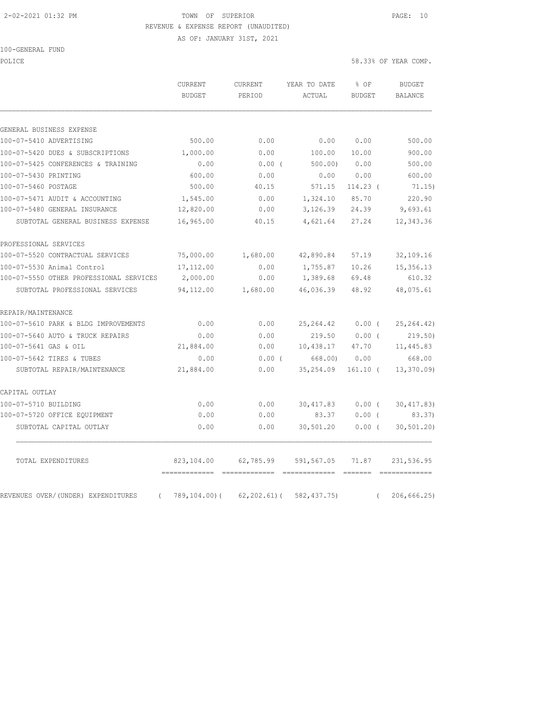#### 2-02-2021 01:32 PM TOWN OF SUPERIOR PAGE: 10 REVENUE & EXPENSE REPORT (UNAUDITED)

| 100-GENERAL FUND |  |
|------------------|--|
|------------------|--|

| POLICE | 58.33% OF YEAR COMP. |
|--------|----------------------|
|        |                      |

|                                                | CURRENT      | YEAR TO DATE<br><b>CURRENT</b> |              | % OF          |            | <b>BUDGET</b>                                                                                                                                                                                                                                                                                                                                                                                                                                                                                         |
|------------------------------------------------|--------------|--------------------------------|--------------|---------------|------------|-------------------------------------------------------------------------------------------------------------------------------------------------------------------------------------------------------------------------------------------------------------------------------------------------------------------------------------------------------------------------------------------------------------------------------------------------------------------------------------------------------|
|                                                | BUDGET       | PERIOD                         | ACTUAL       | <b>BUDGET</b> |            | BALANCE                                                                                                                                                                                                                                                                                                                                                                                                                                                                                               |
| GENERAL BUSINESS EXPENSE                       |              |                                |              |               |            |                                                                                                                                                                                                                                                                                                                                                                                                                                                                                                       |
| 100-07-5410 ADVERTISING                        | 500.00       | 0.00                           | 0.00         | 0.00          |            | 500.00                                                                                                                                                                                                                                                                                                                                                                                                                                                                                                |
| 100-07-5420 DUES & SUBSCRIPTIONS               | 1,000.00     | 0.00                           | 100.00       | 10.00         |            | 900.00                                                                                                                                                                                                                                                                                                                                                                                                                                                                                                |
| 100-07-5425 CONFERENCES & TRAINING             | 0.00         | $0.00$ (                       | 500.00       | 0.00          |            | 500.00                                                                                                                                                                                                                                                                                                                                                                                                                                                                                                |
| 100-07-5430 PRINTING                           | 600.00       | 0.00                           | 0.00         | 0.00          |            | 600.00                                                                                                                                                                                                                                                                                                                                                                                                                                                                                                |
| 100-07-5460 POSTAGE                            | 500.00       | 40.15                          | 571.15       | 114.23 (      |            | 71.15)                                                                                                                                                                                                                                                                                                                                                                                                                                                                                                |
| 100-07-5471 AUDIT & ACCOUNTING                 | 1,545.00     | 0.00                           | 1,324.10     | 85.70         |            | 220.90                                                                                                                                                                                                                                                                                                                                                                                                                                                                                                |
| 100-07-5480 GENERAL INSURANCE                  | 12,820.00    | 0.00                           | 3,126.39     | 24.39         |            | 9,693.61                                                                                                                                                                                                                                                                                                                                                                                                                                                                                              |
| SUBTOTAL GENERAL BUSINESS EXPENSE              | 16,965.00    | 40.15                          | 4,621.64     | 27.24         |            | 12,343.36                                                                                                                                                                                                                                                                                                                                                                                                                                                                                             |
| PROFESSIONAL SERVICES                          |              |                                |              |               |            |                                                                                                                                                                                                                                                                                                                                                                                                                                                                                                       |
| 100-07-5520 CONTRACTUAL SERVICES               | 75,000.00    | 1,680.00                       | 42,890.84    | 57.19         |            | 32,109.16                                                                                                                                                                                                                                                                                                                                                                                                                                                                                             |
| 100-07-5530 Animal Control                     | 17,112.00    | 0.00                           | 1,755.87     | 10.26         |            | 15,356.13                                                                                                                                                                                                                                                                                                                                                                                                                                                                                             |
| 100-07-5550 OTHER PROFESSIONAL SERVICES        | 2,000.00     | 0.00                           | 1,389.68     | 69.48         |            | 610.32                                                                                                                                                                                                                                                                                                                                                                                                                                                                                                |
| SUBTOTAL PROFESSIONAL SERVICES                 | 94, 112.00   | 1,680.00                       | 46,036.39    | 48.92         |            | 48,075.61                                                                                                                                                                                                                                                                                                                                                                                                                                                                                             |
| REPAIR/MAINTENANCE                             |              |                                |              |               |            |                                                                                                                                                                                                                                                                                                                                                                                                                                                                                                       |
| 100-07-5610 PARK & BLDG IMPROVEMENTS           | 0.00         | 0.00                           | 25, 264.42   | $0.00$ (      |            | 25, 264.42)                                                                                                                                                                                                                                                                                                                                                                                                                                                                                           |
| 100-07-5640 AUTO & TRUCK REPAIRS               | 0.00         | 0.00                           | 219.50       | $0.00$ (      |            | 219.50                                                                                                                                                                                                                                                                                                                                                                                                                                                                                                |
| 100-07-5641 GAS & OIL                          | 21,884.00    | 0.00                           | 10,438.17    | 47.70         |            | 11,445.83                                                                                                                                                                                                                                                                                                                                                                                                                                                                                             |
| 100-07-5642 TIRES & TUBES                      | 0.00         | $0.00$ (                       | 668,00)      | 0.00          |            | 668.00                                                                                                                                                                                                                                                                                                                                                                                                                                                                                                |
| SUBTOTAL REPAIR/MAINTENANCE                    | 21,884.00    | 0.00                           | 35,254.09    | $161.10$ (    |            | 13, 370.09                                                                                                                                                                                                                                                                                                                                                                                                                                                                                            |
| CAPITAL OUTLAY                                 |              |                                |              |               |            |                                                                                                                                                                                                                                                                                                                                                                                                                                                                                                       |
| 100-07-5710 BUILDING                           | 0.00         | 0.00                           | 30,417.83    | $0.00$ (      |            | 30, 417.83                                                                                                                                                                                                                                                                                                                                                                                                                                                                                            |
| 100-07-5720 OFFICE EQUIPMENT                   | 0.00         | 0.00                           | 83.37        | $0.00$ (      |            | 83.37)                                                                                                                                                                                                                                                                                                                                                                                                                                                                                                |
| SUBTOTAL CAPITAL OUTLAY                        | 0.00         | 0.00                           | 30,501.20    | $0.00$ (      |            | 30, 501.20                                                                                                                                                                                                                                                                                                                                                                                                                                                                                            |
| TOTAL EXPENDITURES                             |              | 823,104.00 62,785.99           | 591,567.05   | 71.87         |            | 231,536.95                                                                                                                                                                                                                                                                                                                                                                                                                                                                                            |
| REVENUES OVER/(UNDER) EXPENDITURES<br>$\left($ | 789,104.00)( | 62,202.61)(                    | 582, 437.75) |               | $\sqrt{2}$ | $\begin{array}{cccccccccc} \multicolumn{2}{c}{} & \multicolumn{2}{c}{} & \multicolumn{2}{c}{} & \multicolumn{2}{c}{} & \multicolumn{2}{c}{} & \multicolumn{2}{c}{} & \multicolumn{2}{c}{} & \multicolumn{2}{c}{} & \multicolumn{2}{c}{} & \multicolumn{2}{c}{} & \multicolumn{2}{c}{} & \multicolumn{2}{c}{} & \multicolumn{2}{c}{} & \multicolumn{2}{c}{} & \multicolumn{2}{c}{} & \multicolumn{2}{c}{} & \multicolumn{2}{c}{} & \multicolumn{2}{c}{} & \multicolumn{2}{c}{} & \mult$<br>206,666.25) |
|                                                |              |                                |              |               |            |                                                                                                                                                                                                                                                                                                                                                                                                                                                                                                       |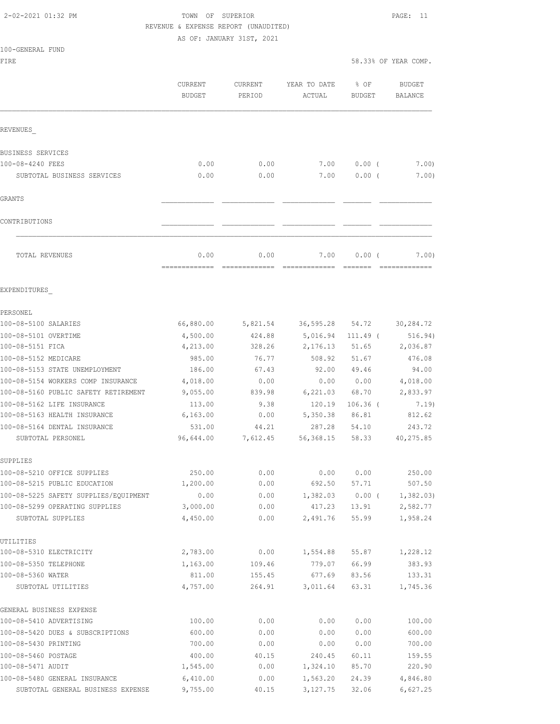## 2-02-2021 01:32 PM TOWN OF SUPERIOR PAGE: 11 REVENUE & EXPENSE REPORT (UNAUDITED)

|                                                    | CURRENT<br><b>BUDGET</b> | CURRENT<br>PERIOD     | YEAR TO DATE<br>ACTUAL | % OF<br>BUDGET | <b>BUDGET</b><br>BALANCE |
|----------------------------------------------------|--------------------------|-----------------------|------------------------|----------------|--------------------------|
| REVENUES                                           |                          |                       |                        |                |                          |
| <b>BUSINESS SERVICES</b>                           |                          |                       |                        |                |                          |
| 100-08-4240 FEES                                   | 0.00                     | 0.00                  | 7.00                   | $0.00$ (       | 7.00)                    |
| SUBTOTAL BUSINESS SERVICES                         | 0.00                     | 0.00                  | 7.00                   | $0.00$ (       | 7.00)                    |
| GRANTS                                             |                          |                       |                        |                |                          |
|                                                    |                          |                       |                        |                |                          |
| CONTRIBUTIONS                                      |                          |                       |                        |                |                          |
| TOTAL REVENUES                                     | 0.00<br>=============    | 0.00<br>============= | 7.00<br>-------------- | 0.00(          | 7.00)<br>--------------  |
| EXPENDITURES                                       |                          |                       |                        |                |                          |
| PERSONEL                                           |                          |                       |                        |                |                          |
| 100-08-5100 SALARIES                               | 66,880.00                | 5,821.54              | 36,595.28              | 54.72          | 30,284.72                |
| 100-08-5101 OVERTIME                               | 4,500.00                 | 424.88                | 5,016.94               | $111.49$ (     | 516.94)                  |
| 100-08-5151 FICA                                   | 4,213.00                 | 328.26                | 2,176.13               | 51.65          | 2,036.87                 |
| 100-08-5152 MEDICARE                               | 985.00                   | 76.77                 | 508.92                 | 51.67          | 476.08                   |
| 100-08-5153 STATE UNEMPLOYMENT                     | 186.00                   | 67.43                 | 92.00                  | 49.46          | 94.00                    |
| 100-08-5154 WORKERS COMP INSURANCE                 | 4,018.00                 | 0.00                  | 0.00                   | 0.00           | 4,018.00                 |
| 100-08-5160 PUBLIC SAFETY RETIREMENT               | 9,055.00                 | 839.98                | 6,221.03               | 68.70          | 2,833.97                 |
| 100-08-5162 LIFE INSURANCE                         | 113.00                   | 9.38                  | 120.19                 | $106.36$ (     | 7.19)                    |
| 100-08-5163 HEALTH INSURANCE                       | 6,163.00                 | 0.00                  | 5,350.38               | 86.81          | 812.62                   |
| 100-08-5164 DENTAL INSURANCE                       | 531.00                   | 44.21                 | 287.28                 | 54.10          | 243.72                   |
| SUBTOTAL PERSONEL                                  | 96,644.00                | 7,612.45              | 56,368.15              | 58.33          | 40,275.85                |
| SUPPLIES                                           |                          |                       |                        |                |                          |
| 100-08-5210 OFFICE SUPPLIES                        | 250.00                   | 0.00                  | 0.00                   | 0.00           | 250.00                   |
| 100-08-5215 PUBLIC EDUCATION                       | 1,200.00                 | 0.00                  | 692.50                 | 57.71          | 507.50                   |
| 100-08-5225 SAFETY SUPPLIES/EQUIPMENT              | 0.00                     | 0.00                  | 1,382.03               | $0.00$ (       | 1,382.03)                |
| 100-08-5299 OPERATING SUPPLIES                     | 3,000.00                 | 0.00                  | 417.23                 | 13.91          | 2,582.77                 |
| SUBTOTAL SUPPLIES                                  | 4,450.00                 | 0.00                  | 2,491.76               | 55.99          | 1,958.24                 |
| UTILITIES                                          |                          |                       |                        |                |                          |
| 100-08-5310 ELECTRICITY                            | 2,783.00                 | 0.00                  | 1,554.88               | 55.87          | 1,228.12                 |
| 100-08-5350 TELEPHONE                              | 1,163.00                 | 109.46                | 779.07                 | 66.99          | 383.93                   |
| 100-08-5360 WATER                                  | 811.00                   | 155.45                | 677.69                 | 83.56          | 133.31                   |
| SUBTOTAL UTILITIES                                 | 4,757.00                 | 264.91                | 3,011.64               | 63.31          | 1,745.36                 |
| GENERAL BUSINESS EXPENSE                           |                          |                       |                        |                |                          |
| 100-08-5410 ADVERTISING                            | 100.00                   | 0.00                  | 0.00                   | 0.00           | 100.00                   |
| 100-08-5420 DUES & SUBSCRIPTIONS                   | 600.00                   | 0.00                  | 0.00                   | 0.00           | 600.00                   |
| 100-08-5430 PRINTING                               | 700.00                   | 0.00                  | 0.00                   | 0.00           | 700.00                   |
| 100-08-5460 POSTAGE                                | 400.00                   | 40.15                 | 240.45                 | 60.11          | 159.55                   |
| 100-08-5471 AUDIT<br>100-08-5480 GENERAL INSURANCE | 1,545.00<br>6,410.00     | 0.00<br>0.00          | 1,324.10<br>1,563.20   | 85.70<br>24.39 | 220.90<br>4,846.80       |
| SUBTOTAL GENERAL BUSINESS EXPENSE                  | 9,755.00                 | 40.15                 | 3,127.75               | 32.06          | 6,627.25                 |
|                                                    |                          |                       |                        |                |                          |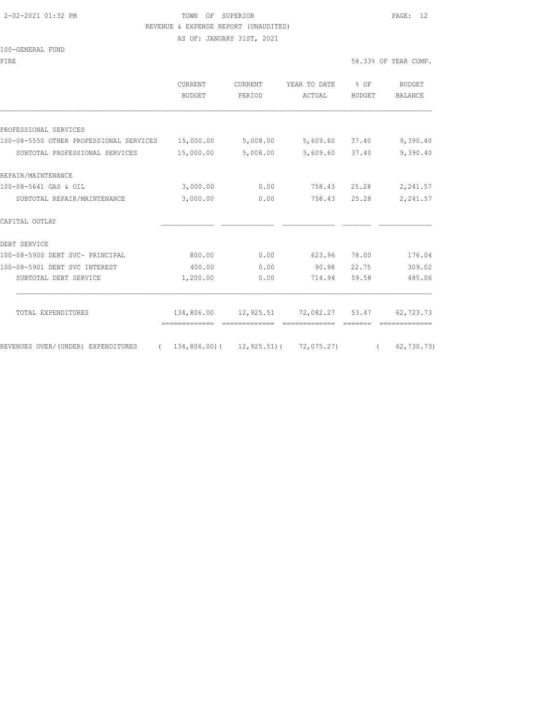#### 2-02-2021 01:32 PM TOWN OF SUPERIOR PAGE: 12 REVENUE & EXPENSE REPORT (UNAUDITED)

AS OF: JANUARY 31ST, 2021

#### 100-GENERAL FUND

|           | PERIOD                   | ACTUAL | % OF<br>BUDGET                                                                      | BUDGET<br><b>BALANCE</b>                                                                       |
|-----------|--------------------------|--------|-------------------------------------------------------------------------------------|------------------------------------------------------------------------------------------------|
|           |                          |        |                                                                                     |                                                                                                |
|           |                          |        |                                                                                     |                                                                                                |
| 15,000.00 |                          |        |                                                                                     | 9,390.40                                                                                       |
| 15,000.00 |                          |        |                                                                                     | 9,390.40                                                                                       |
|           |                          |        |                                                                                     |                                                                                                |
| 3,000.00  | 0.00                     |        | 25.28                                                                               | 2,241.57                                                                                       |
| 3,000.00  | 0.00                     | 758.43 | 25.28                                                                               | 2,241.57                                                                                       |
|           |                          |        |                                                                                     |                                                                                                |
|           |                          |        |                                                                                     |                                                                                                |
| 800.00    | 0.00                     | 623.96 | 78.00                                                                               | 176.04                                                                                         |
| 400.00    | 0.00                     | 90.98  | 22.75                                                                               | 309.02                                                                                         |
| 1,200.00  | 0.00                     | 714.94 | 59.58                                                                               | 485.06                                                                                         |
|           |                          |        |                                                                                     |                                                                                                |
|           |                          |        |                                                                                     | 62,723.73                                                                                      |
|           |                          |        |                                                                                     | 62,730.73)                                                                                     |
|           | BUDGET<br>-------------- |        | 5,008.00<br>5,008.00<br>--------------<br>$134,806.00$ ( $12,925.51$ ) ( 72,075.27) | 5,609.60 37.40<br>5,609.60 37.40<br>758.43<br>134,806.00 12,925.51 72,082.27 53.47<br>$\left($ |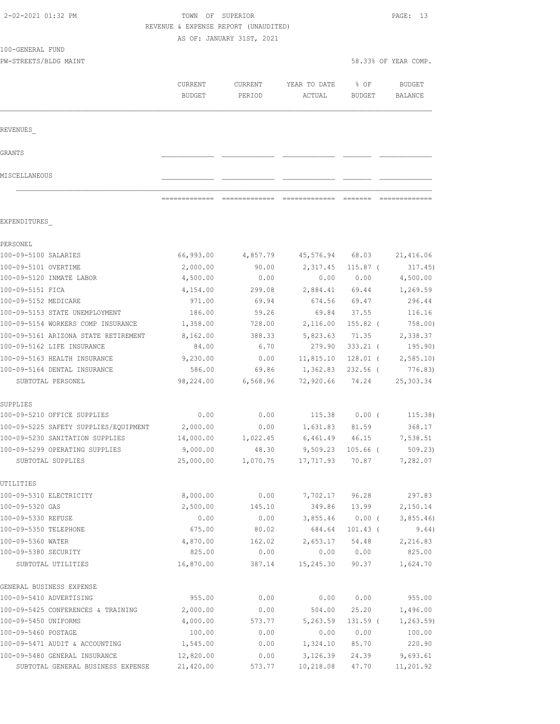|                                                              | KEVENUE & EXPENSE KEPORT (UNAUDITED) | AS OF: JANUARY 31ST, 2021 |                               |                   |                                 |
|--------------------------------------------------------------|--------------------------------------|---------------------------|-------------------------------|-------------------|---------------------------------|
| 100-GENERAL FUND                                             |                                      |                           |                               |                   |                                 |
| PW-STREETS/BLDG MAINT                                        |                                      |                           |                               |                   | 58.33% OF YEAR COMP.            |
|                                                              | CURRENT<br><b>BUDGET</b>             | CURRENT<br>PERIOD         | YEAR TO DATE<br>ACTUAL        | $8$ OF<br>BUDGET  | <b>BUDGET</b><br><b>BALANCE</b> |
| REVENUES                                                     |                                      |                           |                               |                   |                                 |
| GRANTS                                                       |                                      |                           |                               |                   |                                 |
| MISCELLANEOUS                                                |                                      |                           |                               |                   |                                 |
|                                                              |                                      |                           | ============================= | --------          |                                 |
| EXPENDITURES                                                 |                                      |                           |                               |                   |                                 |
| PERSONEL                                                     |                                      |                           |                               |                   |                                 |
| 100-09-5100 SALARIES                                         | 66,993.00                            | 4,857.79                  |                               | 45,576.94 68.03   | 21,416.06                       |
| 100-09-5101 OVERTIME                                         | 2,000.00                             | 90.00                     | 2,317.45                      | 115.87 (          | 317.45)                         |
| 100-09-5120 INMATE LABOR                                     | 4,500.00                             | 0.00                      | 0.00                          | 0.00              | 4,500.00                        |
| 100-09-5151 FICA                                             | 4,154.00                             | 299.08                    | 2,884.41 69.44                |                   | 1,269.59                        |
| 100-09-5152 MEDICARE                                         | 971.00                               | 69.94                     | 674.56                        | 69.47             | 296.44                          |
| 100-09-5153 STATE UNEMPLOYMENT                               | 186.00                               | 59.26                     | 69.84                         | 37.55             | 116.16                          |
| 100-09-5154 WORKERS COMP INSURANCE                           | 1,358.00                             | 728.00                    | 2,116.00                      | 155.82 (          | 758.00)                         |
| 100-09-5161 ARIZONA STATE RETIREMENT                         | 8,162.00                             | 388.33                    | 5,823.63                      | 71.35             | 2,338.37                        |
| 100-09-5162 LIFE INSURANCE                                   | 84.00                                | 6.70                      | 279.90                        |                   | 333.21 ( 195.90)                |
| 100-09-5163 HEALTH INSURANCE<br>100-09-5164 DENTAL INSURANCE | 9,230.00<br>586.00                   | 0.00                      | 11,815.10                     | 128.01 (          | 2,585.10                        |
| SUBTOTAL PERSONEL                                            | 98,224.00                            | 69.86<br>6,568.96         | 1,362.83<br>72,920.66         | 232.56 (<br>74.24 | 776.83)<br>25, 303.34           |
| SUPPLIES                                                     |                                      |                           |                               |                   |                                 |
| 100-09-5210 OFFICE SUPPLIES                                  | 0.00                                 | 0.00                      |                               | 115.38 0.00 (     | 115.38)                         |
| 100-09-5225 SAFETY SUPPLIES/EQUIPMENT                        | 2,000.00                             | 0.00                      | 1,631.83                      | 81.59             | 368.17                          |
| 100-09-5230 SANITATION SUPPLIES                              | 14,000.00                            | 1,022.45                  | 6,461.49 46.15                |                   | 7,538.51                        |
| 100-09-5299 OPERATING SUPPLIES                               | 9,000.00                             | 48.30                     | 9,509.23                      | $105.66$ (        | 509.23                          |
| SUBTOTAL SUPPLIES                                            | 25,000.00                            | 1,070.75                  | 17,717.93                     | 70.87             | 7,282.07                        |
| UTILITIES                                                    |                                      |                           |                               |                   |                                 |
| 100-09-5310 ELECTRICITY                                      | 8,000.00                             | 0.00                      | 7,702.17                      | 96.28             | 297.83                          |
| 100-09-5320 GAS                                              | 2,500.00                             | 145.10                    | 349.86                        | 13.99             | 2,150.14                        |
| 100-09-5330 REFUSE                                           | 0.00                                 | 0.00                      | 3,855.46                      | $0.00$ (          | 3,855.46                        |
| 100-09-5350 TELEPHONE                                        | 675.00                               | 80.02                     | 684.64                        | $101.43$ (        | 9.64)                           |
| 100-09-5360 WATER                                            | 4,870.00                             | 162.02                    | 2,653.17                      | 54.48             | 2,216.83                        |
| 100-09-5380 SECURITY                                         | 825.00                               | 0.00                      | 0.00                          | 0.00              | 825.00                          |
| SUBTOTAL UTILITIES                                           | 16,870.00                            | 387.14                    | 15,245.30                     | 90.37             | 1,624.70                        |
| GENERAL BUSINESS EXPENSE                                     |                                      |                           |                               |                   |                                 |
| 100-09-5410 ADVERTISING                                      | 955.00                               | 0.00                      | 0.00                          | 0.00              | 955.00                          |

100-09-5425 CONFERENCES & TRAINING 2,000.00 0.00 504.00 25.20 1,496.00 100-09-5450 UNIFORMS 4,000.00 573.77 5,263.59 131.59 ( 1,263.59) 100-09-5460 POSTAGE 100.00 0.00 0.00 0.00 100.00 100-09-5471 AUDIT & ACCOUNTING 1,545.00 0.00 1,324.10 85.70 220.90 100-09-5480 GENERAL INSURANCE 12,820.00 0.00 3,126.39 24.39 9,693.61 SUBTOTAL GENERAL BUSINESS EXPENSE 21,420.00 573.77 10,218.08 47.70 11,201.92

 2-02-2021 01:32 PM TOWN OF SUPERIOR PAGE: 13 REVENUE & EXPENSE REPORT (UNAUDITED)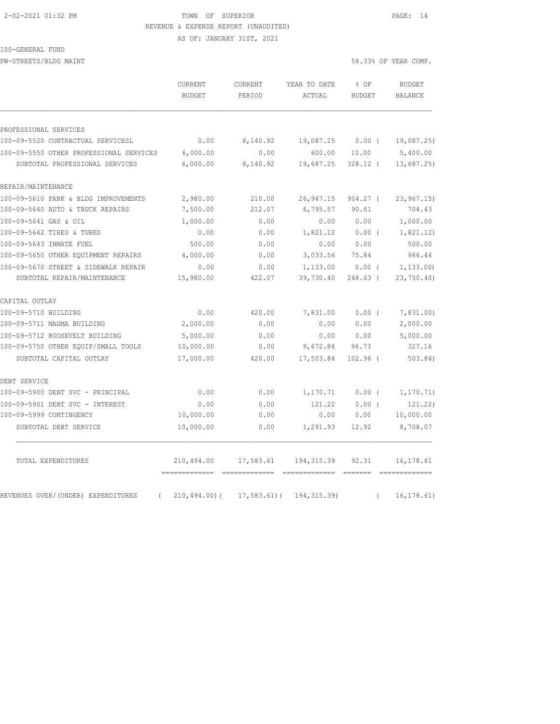#### 2-02-2021 01:32 PM TOWN OF SUPERIOR PAGE: 14 REVENUE & EXPENSE REPORT (UNAUDITED)

AS OF: JANUARY 31ST, 2021

| 100-GENERAL FUND |
|------------------|
|------------------|

PW-STREETS/BLDG MAINT 58.33% OF YEAR COMP.

|                                                | CURRENT<br><b>BUDGET</b> | CURRENT<br>PERIOD | YEAR TO DATE<br>ACTUAL | % OF<br><b>BUDGET</b> | <b>BUDGET</b><br><b>BALANCE</b> |
|------------------------------------------------|--------------------------|-------------------|------------------------|-----------------------|---------------------------------|
| PROFESSIONAL SERVICES                          |                          |                   |                        |                       |                                 |
| 100-09-5520 CONTRACTUAL SERVICESL              | 0.00                     | 8,140.92          | 19,087.25              | $0.00$ (              | 19,087.25)                      |
| 100-09-5550 OTHER PROFESSIONAL SERVICES        | 6,000.00                 | 0.00              | 600.00                 | 10.00                 | 5,400.00                        |
| SUBTOTAL PROFESSIONAL SERVICES                 | 6,000.00                 | 8,140.92          | 19,687.25              | $328.12$ (            | 13,687.25                       |
| REPAIR/MAINTENANCE                             |                          |                   |                        |                       |                                 |
| 100-09-5610 PARK & BLDG IMPROVEMENTS           | 2,980.00                 | 210.00            | 26,947.15              | $904.27$ (            | 23, 967.15                      |
| 100-09-5640 AUTO & TRUCK REPAIRS               | 7,500.00                 | 212.07            | 6,795.57               | 90.61                 | 704.43                          |
| 100-09-5641 GAS & OIL                          | 1,000.00                 | 0.00              | 0.00                   | 0.00                  | 1,000.00                        |
| 100-09-5642 TIRES & TUBES                      | 0.00                     | 0.00              | 1,821.12               | $0.00$ (              | 1,821.12)                       |
| 100-09-5643 INMATE FUEL                        | 500.00                   | 0.00              | 0.00                   | 0.00                  | 500.00                          |
| 100-09-5650 OTHER EQUIPMENT REPAIRS            | 4,000.00                 | 0.00              | 3,033.56               | 75.84                 | 966.44                          |
| 100-09-5670 STREET & SIDEWALK REPAIR           | 0.00                     | 0.00              | 1,133.00               | $0.00$ (              | 1, 133.00                       |
| SUBTOTAL REPAIR/MAINTENANCE                    | 15,980.00                | 422.07            | 39,730.40              | 248.63 (              | 23,750.40)                      |
| CAPITAL OUTLAY                                 |                          |                   |                        |                       |                                 |
| 100-09-5710 BUILDING                           | 0.00                     | 420.00            | 7,831.00               | 0.00(                 | 7,831.00                        |
| 100-09-5711 MAGMA BUILDING                     | 2,000.00                 | 0.00              | 0.00                   | 0.00                  | 2,000.00                        |
| 100-09-5712 ROOSEVELT BUILDING                 | 5,000.00                 | 0.00              | 0.00                   | 0.00                  | 5,000.00                        |
| 100-09-5750 OTHER EQUIP/SMALL TOOLS            | 10,000.00                | 0.00              | 9,672.84               | 96.73                 | 327.16                          |
| SUBTOTAL CAPITAL OUTLAY                        | 17,000.00                | 420.00            | 17,503.84              | $102.96$ (            | 503.84)                         |
| DEBT SERVICE                                   |                          |                   |                        |                       |                                 |
| 100-09-5900 DEBT SVC - PRINCIPAL               | 0.00                     | 0.00              | 1,170.71               | 0.00(                 | 1, 170.71)                      |
| 100-09-5901 DEBT SVC - INTEREST                | 0.00                     | 0.00              | 121.22                 | 0.00(                 | 121.22)                         |
| 100-09-5999 CONTINGENCY                        | 10,000.00                | 0.00              | 0.00                   | 0.00                  | 10,000.00                       |
| SUBTOTAL DEBT SERVICE                          | 10,000.00                | 0.00              | 1,291.93               | 12.92                 | 8,708.07                        |
| TOTAL EXPENDITURES                             | 210,494.00               | 17,583.61         | 194,315.39             | 92.31                 | 16,178.61                       |
| REVENUES OVER/(UNDER) EXPENDITURES<br>$\left($ | $210, 494.00$ (          | $17,583.61$ (     | 194, 315.39)           | $\left($              | 16, 178.61)                     |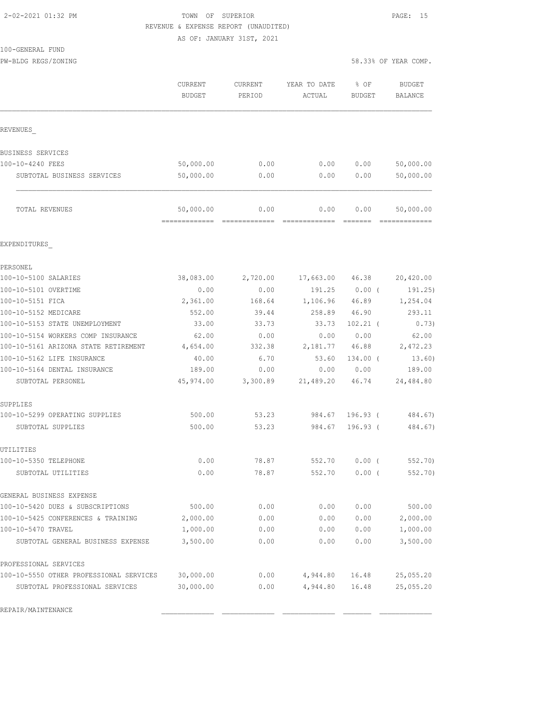#### 2-02-2021 01:32 PM TOWN OF SUPERIOR PAGE: 15 REVENUE & EXPENSE REPORT (UNAUDITED)

AS OF: JANUARY 31ST, 2021

|  | 100-GENERAL FUND |  |
|--|------------------|--|
|  |                  |  |

PW-BLDG REGS/ZONING 58.33% OF YEAR COMP.

|                                         | CURRENT<br><b>BUDGET</b>   | CURRENT<br>PERIOD | YEAR TO DATE<br>ACTUAL | % OF<br><b>BUDGET</b> | <b>BUDGET</b><br><b>BALANCE</b> |
|-----------------------------------------|----------------------------|-------------------|------------------------|-----------------------|---------------------------------|
| REVENUES                                |                            |                   |                        |                       |                                 |
| BUSINESS SERVICES                       |                            |                   |                        |                       |                                 |
| 100-10-4240 FEES                        | 50,000.00                  | 0.00              | 0.00                   | 0.00                  | 50,000.00                       |
| SUBTOTAL BUSINESS SERVICES              | 50,000.00                  | 0.00              | 0.00                   | 0.00                  | 50,000.00                       |
| TOTAL REVENUES                          | 50,000.00<br>============= | 0.00              | 0.00                   | 0.00                  | 50,000.00                       |
| EXPENDITURES                            |                            |                   |                        |                       |                                 |
| PERSONEL                                |                            |                   |                        |                       |                                 |
| 100-10-5100 SALARIES                    | 38,083.00                  | 2,720.00          | 17,663.00              | 46.38                 | 20,420.00                       |
| 100-10-5101 OVERTIME                    | 0.00                       | 0.00              | 191.25                 | $0.00$ (              | 191.25)                         |
| 100-10-5151 FICA                        | 2,361.00                   | 168.64            | 1,106.96               | 46.89                 | 1,254.04                        |
| 100-10-5152 MEDICARE                    | 552.00                     | 39.44             | 258.89                 | 46.90                 | 293.11                          |
| 100-10-5153 STATE UNEMPLOYMENT          | 33.00                      | 33.73             | 33.73                  | $102.21$ (            | 0.73)                           |
| 100-10-5154 WORKERS COMP INSURANCE      | 62.00                      | 0.00              | 0.00                   | 0.00                  | 62.00                           |
| 100-10-5161 ARIZONA STATE RETIREMENT    | 4,654.00                   | 332.38            | 2,181.77               | 46.88                 | 2,472.23                        |
| 100-10-5162 LIFE INSURANCE              | 40.00                      | 6.70              | 53.60                  | 134.00 (              | 13.60)                          |
| 100-10-5164 DENTAL INSURANCE            | 189.00                     | 0.00              | 0.00                   | 0.00                  | 189.00                          |
| SUBTOTAL PERSONEL                       | 45,974.00                  | 3,300.89          | 21,489.20              | 46.74                 | 24,484.80                       |
| SUPPLIES                                |                            |                   |                        |                       |                                 |
| 100-10-5299 OPERATING SUPPLIES          | 500.00                     | 53.23             | 984.67                 | $196.93$ (            | 484.67)                         |
| SUBTOTAL SUPPLIES                       | 500.00                     | 53.23             | 984.67                 | $196.93$ (            | 484.67)                         |
| UTILITIES                               |                            |                   |                        |                       |                                 |
| 100-10-5350 TELEPHONE                   | 0.00                       | 78.87             | 552.70                 | 0.00(                 | 552.70)                         |
| SUBTOTAL UTILITIES                      | 0.00                       | 78.87             | 552.70                 | $0.00$ (              | 552.70)                         |
| GENERAL BUSINESS EXPENSE                |                            |                   |                        |                       |                                 |
| 100-10-5420 DUES & SUBSCRIPTIONS        | 500.00                     | 0.00              | 0.00                   | 0.00                  | 500.00                          |
| 100-10-5425 CONFERENCES & TRAINING      | 2,000.00                   | 0.00              | 0.00                   | 0.00                  | 2,000.00                        |
| 100-10-5470 TRAVEL                      | 1,000.00                   | 0.00              | 0.00                   | 0.00                  | 1,000.00                        |
| SUBTOTAL GENERAL BUSINESS EXPENSE       | 3,500.00                   | 0.00              | 0.00                   | 0.00                  | 3,500.00                        |
| PROFESSIONAL SERVICES                   |                            |                   |                        |                       |                                 |
| 100-10-5550 OTHER PROFESSIONAL SERVICES | 30,000.00                  | 0.00              | 4,944.80               | 16.48                 | 25,055.20                       |
| SUBTOTAL PROFESSIONAL SERVICES          | 30,000.00                  | 0.00              | 4,944.80               | 16.48                 | 25,055.20                       |

REPAIR/MAINTENANCE \_\_\_\_\_\_\_\_\_\_\_\_\_ \_\_\_\_\_\_\_\_\_\_\_\_\_ \_\_\_\_\_\_\_\_\_\_\_\_\_ \_\_\_\_\_\_\_ \_\_\_\_\_\_\_\_\_\_\_\_\_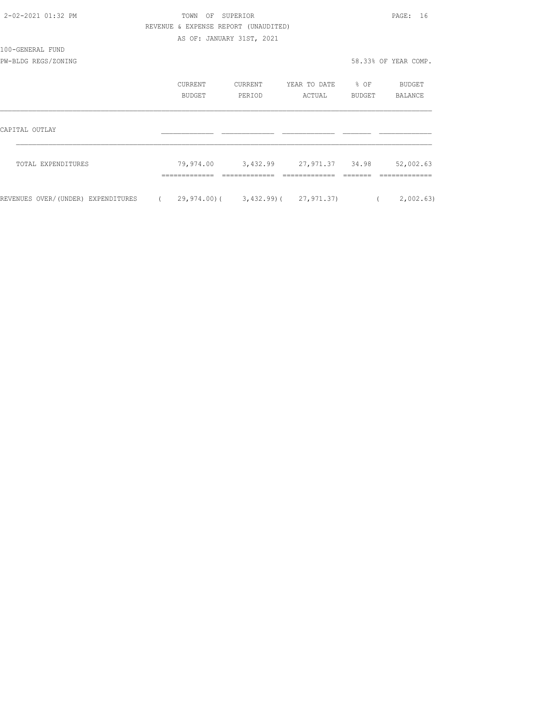| 2-02-2021 01:32 PM                 |                      | TOWN                                 | OF SUPERIOR       |                                    |                            | PAGE: 16             |
|------------------------------------|----------------------|--------------------------------------|-------------------|------------------------------------|----------------------------|----------------------|
|                                    |                      | REVENUE & EXPENSE REPORT (UNAUDITED) |                   |                                    |                            |                      |
|                                    |                      | AS OF: JANUARY 31ST, 2021            |                   |                                    |                            |                      |
| 100-GENERAL FUND                   |                      |                                      |                   |                                    |                            |                      |
| PW-BLDG REGS/ZONING                |                      |                                      |                   |                                    |                            | 58.33% OF YEAR COMP. |
|                                    |                      | CURRENT<br>BUDGET                    | CURRENT<br>PERIOD | YEAR TO DATE<br>ACTUAL             | $\frac{1}{2}$ OF<br>BUDGET | BUDGET<br>BALANCE    |
| CAPITAL OUTLAY                     |                      |                                      |                   |                                    |                            |                      |
|                                    |                      |                                      |                   |                                    |                            |                      |
| TOTAL EXPENDITURES                 |                      |                                      |                   | 79,974.00 3,432.99 27,971.37 34.98 |                            | 52,002.63            |
| REVENUES OVER/(UNDER) EXPENDITURES | $\sim$ $\sim$ $\sim$ |                                      |                   | 29,974.00)( 3,432.99)( 27,971.37)  | $\sqrt{2}$                 | 2,002.63)            |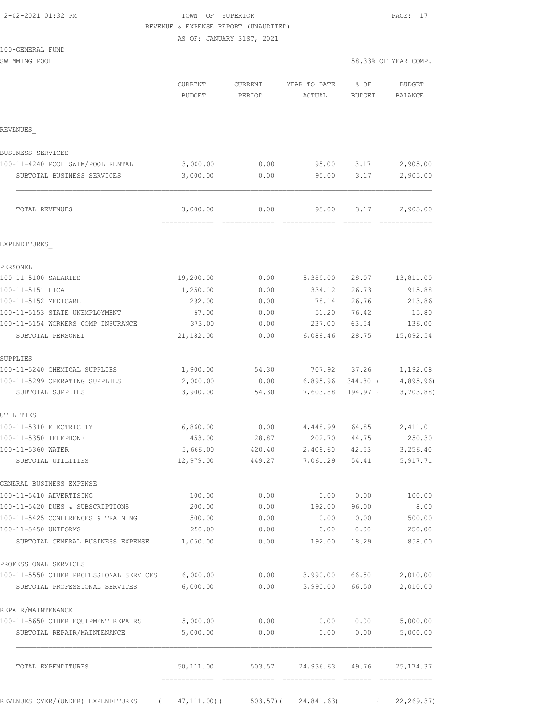## 2-02-2021 01:32 PM TOWN OF SUPERIOR PAGE: 17 REVENUE & EXPENSE REPORT (UNAUDITED)

|                                         | CURRENT<br><b>BUDGET</b>   | CURRENT<br>PERIOD | YEAR TO DATE<br>ACTUAL | % OF<br><b>BUDGET</b> | <b>BUDGET</b><br><b>BALANCE</b> |
|-----------------------------------------|----------------------------|-------------------|------------------------|-----------------------|---------------------------------|
| REVENUES                                |                            |                   |                        |                       |                                 |
| <b>BUSINESS SERVICES</b>                |                            |                   |                        |                       |                                 |
| 100-11-4240 POOL SWIM/POOL RENTAL       | 3,000.00                   | 0.00              | 95.00                  | 3.17                  | 2,905.00                        |
| SUBTOTAL BUSINESS SERVICES              | 3,000.00                   | 0.00              | 95.00                  | 3.17                  | 2,905.00                        |
| TOTAL REVENUES                          | 3,000.00<br>=============  | 0.00              | 95.00                  | 3.17                  | 2,905.00                        |
| EXPENDITURES                            |                            |                   |                        |                       |                                 |
| PERSONEL                                |                            |                   |                        |                       |                                 |
| 100-11-5100 SALARIES                    | 19,200.00                  | 0.00              | 5,389.00               | 28.07                 | 13,811.00                       |
| 100-11-5151 FICA                        | 1,250.00                   | 0.00              | 334.12                 | 26.73                 | 915.88                          |
| 100-11-5152 MEDICARE                    | 292.00                     | 0.00              | 78.14                  | 26.76                 | 213.86                          |
| 100-11-5153 STATE UNEMPLOYMENT          | 67.00                      | 0.00              | 51.20                  | 76.42                 | 15.80                           |
| 100-11-5154 WORKERS COMP INSURANCE      | 373.00                     | 0.00              | 237.00                 | 63.54                 | 136.00                          |
| SUBTOTAL PERSONEL                       | 21,182.00                  | 0.00              | 6,089.46               | 28.75                 | 15,092.54                       |
| SUPPLIES                                |                            |                   |                        |                       |                                 |
| 100-11-5240 CHEMICAL SUPPLIES           | 1,900.00                   | 54.30             | 707.92                 | 37.26                 | 1,192.08                        |
| 100-11-5299 OPERATING SUPPLIES          | 2,000.00                   | 0.00              | 6,895.96               | 344.80 (              | 4,895.96                        |
| SUBTOTAL SUPPLIES                       | 3,900.00                   | 54.30             | 7,603.88               | 194.97 (              | 3,703.88                        |
| UTILITIES                               |                            |                   |                        |                       |                                 |
| 100-11-5310 ELECTRICITY                 | 6,860.00                   | 0.00              | 4,448.99               | 64.85                 | 2,411.01                        |
| 100-11-5350 TELEPHONE                   | 453.00                     | 28.87             | 202.70                 | 44.75                 | 250.30                          |
| 100-11-5360 WATER<br>SUBTOTAL UTILITIES | 5,666.00<br>12,979.00      | 420.40<br>449.27  | 2,409.60<br>7,061.29   | 42.53<br>54.41        | 3,256.40<br>5, 917.71           |
| GENERAL BUSINESS EXPENSE                |                            |                   |                        |                       |                                 |
| 100-11-5410 ADVERTISING                 | 100.00                     | 0.00              | 0.00                   | 0.00                  | 100.00                          |
| 100-11-5420 DUES & SUBSCRIPTIONS        | 200.00                     | 0.00              | 192.00                 | 96.00                 | 8.00                            |
| 100-11-5425 CONFERENCES & TRAINING      | 500.00                     | 0.00              | 0.00                   | 0.00                  | 500.00                          |
| 100-11-5450 UNIFORMS                    | 250.00                     | 0.00              | 0.00                   | 0.00                  | 250.00                          |
| SUBTOTAL GENERAL BUSINESS EXPENSE       | 1,050.00                   | 0.00              | 192.00                 | 18.29                 | 858.00                          |
| PROFESSIONAL SERVICES                   |                            |                   |                        |                       |                                 |
| 100-11-5550 OTHER PROFESSIONAL SERVICES | 6,000.00                   | 0.00              | 3,990.00               | 66.50                 | 2,010.00                        |
| SUBTOTAL PROFESSIONAL SERVICES          | 6,000.00                   | 0.00              | 3,990.00               | 66.50                 | 2,010.00                        |
| REPAIR/MAINTENANCE                      |                            |                   |                        |                       |                                 |
| 100-11-5650 OTHER EQUIPMENT REPAIRS     | 5,000.00                   | 0.00              | 0.00                   | 0.00                  | 5,000.00                        |
| SUBTOTAL REPAIR/MAINTENANCE             | 5,000.00                   | 0.00              | 0.00                   | 0.00                  | 5,000.00                        |
| TOTAL EXPENDITURES                      | 50,111.00<br>------------- | 503.57            | 24,936.63              | 49.76                 | 25, 174.37                      |
| REVENUES OVER/(UNDER) EXPENDITURES      | 47,111.00)(                | 503.57)(          | 24,841.63)             |                       | 22, 269.37)                     |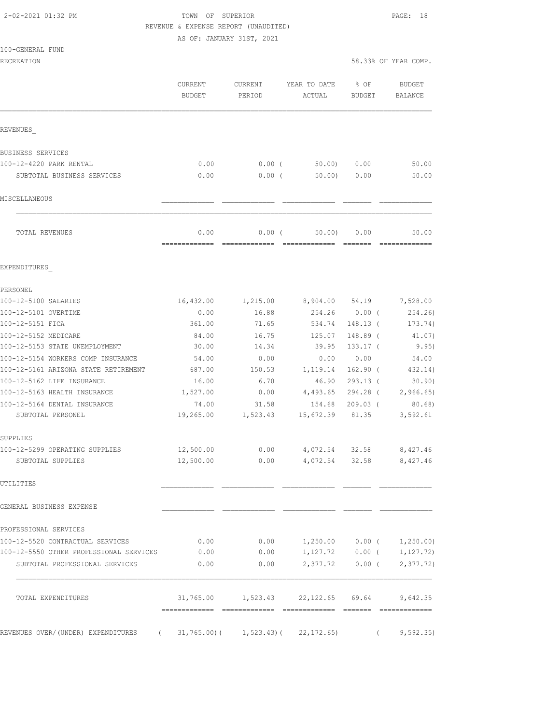## 2-02-2021 01:32 PM TOWN OF SUPERIOR PAGE: 18 REVENUE & EXPENSE REPORT (UNAUDITED)

| RECREATION                                        |                    |                   |                                             | 58.33% OF YEAR COMP. |                             |
|---------------------------------------------------|--------------------|-------------------|---------------------------------------------|----------------------|-----------------------------|
|                                                   | CURRENT<br>BUDGET  | CURRENT<br>PERIOD | YEAR TO DATE<br>ACTUAL                      | % OF<br>BUDGET       | BUDGET<br>BALANCE           |
| REVENUES                                          |                    |                   |                                             |                      |                             |
| BUSINESS SERVICES                                 |                    |                   |                                             |                      |                             |
| 100-12-4220 PARK RENTAL                           | 0.00               | $0.00$ (          | 50.00)                                      | 0.00                 | 50.00                       |
| SUBTOTAL BUSINESS SERVICES                        | 0.00               | $0.00$ (          | 50.00                                       | 0.00                 | 50.00                       |
| MISCELLANEOUS                                     |                    |                   |                                             |                      |                             |
| TOTAL REVENUES                                    | 0.00               | $0.00$ (          | 50.00                                       | 0.00                 | 50.00                       |
| EXPENDITURES                                      |                    |                   |                                             |                      |                             |
| PERSONEL                                          |                    |                   |                                             |                      |                             |
| 100-12-5100 SALARIES                              | 16,432.00          |                   |                                             |                      |                             |
| 100-12-5101 OVERTIME                              | 0.00               | 16.88             | 254.26 0.00 (                               |                      | 254.26                      |
| 100-12-5151 FICA                                  | 361.00             | 71.65             | 534.74                                      | 148.13 (             | 173.74)                     |
| 100-12-5152 MEDICARE                              | 84.00              | 16.75             | 125.07                                      | 148.89 (             | 41.07)                      |
| 100-12-5153 STATE UNEMPLOYMENT                    | 30.00              | 14.34             | 39.95                                       | $133.17$ (           | 9.95)                       |
| 100-12-5154 WORKERS COMP INSURANCE                | 54.00              | 0.00              | 0.00                                        | 0.00                 | 54.00                       |
| 100-12-5161 ARIZONA STATE RETIREMENT              | 687.00             | 150.53            | 1,119.14                                    | $162.90$ (           | 432.14)                     |
| 100-12-5162 LIFE INSURANCE                        | 16.00              | 6.70              | 46.90                                       | $293.13$ (           | 30.90)                      |
| 100-12-5163 HEALTH INSURANCE                      | 1,527.00           | 0.00              | 4,493.65                                    | 294.28 (             | 2,966.65                    |
| 100-12-5164 DENTAL INSURANCE<br>SUBTOTAL PERSONEL | 74.00<br>19,265.00 | 31.58<br>1,523.43 | 154.68<br>15,672.39                         | $209.03$ (<br>81.35  | 80.68)<br>3,592.61          |
| SUPPLIES                                          |                    |                   |                                             |                      |                             |
| 100-12-5299 OPERATING SUPPLIES                    | 12,500.00          | 0.00              |                                             |                      | 4,072.54 32.58 8,427.46     |
| SUBTOTAL SUPPLIES                                 | 12,500.00          | 0.00              | 4,072.54                                    | 32.58                | 8,427.46                    |
| UTILITIRS                                         |                    |                   |                                             |                      |                             |
| GENERAL BUSINESS EXPENSE                          |                    |                   |                                             |                      |                             |
| PROFESSIONAL SERVICES                             |                    |                   |                                             |                      |                             |
| 100-12-5520 CONTRACTUAL SERVICES                  | 0.00               | 0.00              | $1,250.00$ $0.00$ ( $1,250.00$ )            |                      |                             |
| 100-12-5550 OTHER PROFESSIONAL SERVICES           | 0.00               | 0.00              |                                             |                      | $1,127.72$ 0.00 ( 1,127.72) |
| SUBTOTAL PROFESSIONAL SERVICES                    | 0.00               | 0.00              |                                             |                      | 2,377.72 0.00 ( 2,377.72)   |
| TOTAL EXPENDITURES                                |                    |                   | 31,765.00    1,523.43    22,122.65    69.64 |                      | 9,642.35                    |
| REVENUES OVER/(UNDER) EXPENDITURES<br>$\sqrt{2}$  |                    |                   | $31, 765.00$ ( $1, 523.43$ ( $22, 172.65$ ) | $\left($             | 9,592.35)                   |
|                                                   |                    |                   |                                             |                      |                             |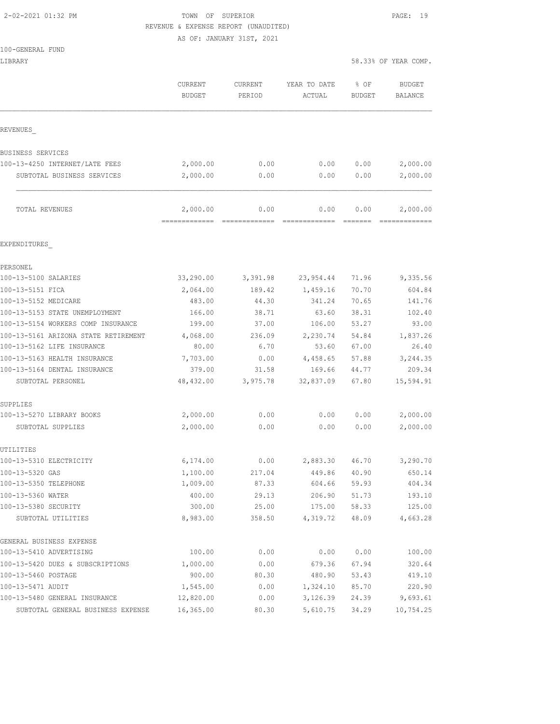#### 2-02-2021 01:32 PM TOWN OF SUPERIOR PAGE: 19 REVENUE & EXPENSE REPORT (UNAUDITED)

|                                      | AS OF: JANUARY 31ST, 2021 |                   |                        |                       |                          |  |  |
|--------------------------------------|---------------------------|-------------------|------------------------|-----------------------|--------------------------|--|--|
| 100-GENERAL FUND                     |                           |                   |                        |                       |                          |  |  |
| LIBRARY                              |                           |                   |                        |                       | 58.33% OF YEAR COMP.     |  |  |
|                                      | CURRENT<br><b>BUDGET</b>  | CURRENT<br>PERIOD | YEAR TO DATE<br>ACTUAL | % OF<br><b>BUDGET</b> | <b>BUDGET</b><br>BALANCE |  |  |
| REVENUES                             |                           |                   |                        |                       |                          |  |  |
| BUSINESS SERVICES                    |                           |                   |                        |                       |                          |  |  |
| 100-13-4250 INTERNET/LATE FEES       | 2,000.00                  | 0.00              | 0.00                   | 0.00                  | 2,000.00                 |  |  |
| SUBTOTAL BUSINESS SERVICES           | 2,000.00                  | 0.00              | 0.00                   | 0.00                  | 2,000.00                 |  |  |
| TOTAL REVENUES                       | 2,000.00                  | 0.00              | 0.00                   | 0.00                  | 2,000.00                 |  |  |
| EXPENDITURES                         |                           |                   |                        |                       |                          |  |  |
| PERSONEL                             |                           |                   |                        |                       |                          |  |  |
| 100-13-5100 SALARIES                 | 33,290.00                 | 3,391.98          | 23,954.44              | 71.96                 | 9,335.56                 |  |  |
| 100-13-5151 FICA                     | 2,064.00                  | 189.42            | 1,459.16               | 70.70                 | 604.84                   |  |  |
| 100-13-5152 MEDICARE                 | 483.00                    | 44.30             | 341.24                 | 70.65                 | 141.76                   |  |  |
| 100-13-5153 STATE UNEMPLOYMENT       | 166.00                    | 38.71             | 63.60                  | 38.31                 | 102.40                   |  |  |
| 100-13-5154 WORKERS COMP INSURANCE   | 199.00                    | 37.00             | 106.00                 | 53.27                 | 93.00                    |  |  |
| 100-13-5161 ARIZONA STATE RETIREMENT | 4,068.00                  | 236.09            | 2,230.74               | 54.84                 | 1,837.26                 |  |  |
| 100-13-5162 LIFE INSURANCE           | 80.00                     | 6.70              | 53.60                  | 67.00                 | 26.40                    |  |  |
| 100-13-5163 HEALTH INSURANCE         | 7,703.00                  | 0.00              | 4,458.65               | 57.88                 | 3,244.35                 |  |  |
| 100-13-5164 DENTAL INSURANCE         | 379.00                    | 31.58             | 169.66                 | 44.77                 | 209.34                   |  |  |
| SUBTOTAL PERSONEL                    | 48,432.00                 | 3,975.78          | 32,837.09              | 67.80                 | 15,594.91                |  |  |
| SUPPLIES                             |                           |                   |                        |                       |                          |  |  |
| 100-13-5270 LIBRARY BOOKS            | 2,000.00                  | 0.00              | 0.00                   | 0.00                  | 2,000.00                 |  |  |
| SUBTOTAL SUPPLIES                    | 2,000.00                  | 0.00              | 0.00                   | 0.00                  | 2,000.00                 |  |  |
| UTILITIES                            |                           |                   |                        |                       |                          |  |  |
| 100-13-5310 ELECTRICITY              | 6,174.00                  | 0.00              | 2,883.30               | 46.70                 | 3,290.70                 |  |  |
| 100-13-5320 GAS                      | 1,100.00                  | 217.04            | 449.86                 | 40.90                 | 650.14                   |  |  |
| 100-13-5350 TELEPHONE                | 1,009.00                  | 87.33             | 604.66                 | 59.93                 | 404.34                   |  |  |
| 100-13-5360 WATER                    | 400.00                    | 29.13             | 206.90                 | 51.73                 | 193.10                   |  |  |
| 100-13-5380 SECURITY                 | 300.00                    | 25.00             | 175.00                 | 58.33                 | 125.00                   |  |  |
| SUBTOTAL UTILITIES                   | 8,983.00                  | 358.50            | 4,319.72               | 48.09                 | 4,663.28                 |  |  |
| GENERAL BUSINESS EXPENSE             |                           |                   |                        |                       |                          |  |  |
| 100-13-5410 ADVERTISING              | 100.00                    | 0.00              | 0.00                   | 0.00                  | 100.00                   |  |  |
| 100-13-5420 DUES & SUBSCRIPTIONS     | 1,000.00                  | 0.00              | 679.36                 | 67.94                 | 320.64                   |  |  |
| 100-13-5460 POSTAGE                  | 900.00                    | 80.30             | 480.90                 | 53.43                 | 419.10                   |  |  |

100-13-5471 AUDIT 1,545.00 0.00 1,324.10 85.70 220.90 100-13-5480 GENERAL INSURANCE 12,820.00 0.00 3,126.39 24.39 9,693.61 SUBTOTAL GENERAL BUSINESS EXPENSE 16,365.00 80.30 5,610.75 34.29 10,754.25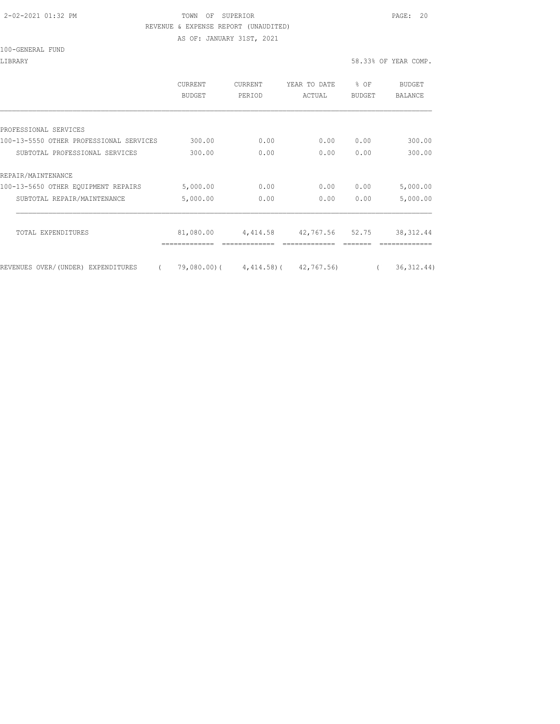#### 2-02-2021 01:32 PM TOWN OF SUPERIOR PAGE: 20 REVENUE & EXPENSE REPORT (UNAUDITED)

AS OF: JANUARY 31ST, 2021

100-GENERAL FUND

LIBRARY 58.33% OF YEAR COMP.

|                                                | <b>CURRENT</b><br><b>BUDGET</b> | CURRENT<br>PERIOD                 | YEAR TO DATE<br>ACTUAL | % OF<br>BUDGET | BUDGET<br>BALANCE |
|------------------------------------------------|---------------------------------|-----------------------------------|------------------------|----------------|-------------------|
|                                                |                                 |                                   |                        |                |                   |
| PROFESSIONAL SERVICES                          |                                 |                                   |                        |                |                   |
| 100-13-5550 OTHER PROFESSIONAL SERVICES        | 300.00                          | 0.00                              | 0.00                   | 0.00           | 300.00            |
| SUBTOTAL PROFESSIONAL SERVICES                 | 300.00                          | 0.00                              | 0.00                   | 0.00           | 300.00            |
| REPAIR/MAINTENANCE                             |                                 |                                   |                        |                |                   |
| 100-13-5650 OTHER EQUIPMENT REPAIRS            | 5,000.00                        | 0.00                              | 0.00                   | 0.00           | 5,000.00          |
| SUBTOTAL REPAIR/MAINTENANCE                    | 5,000.00                        | 0.00                              | 0.00                   | 0.00           | 5,000.00          |
| TOTAL EXPENDITURES                             | 81,080.00                       | 4,414.58                          | 42,767.56 52.75        |                | 38, 312.44        |
| REVENUES OVER/(UNDER) EXPENDITURES<br>$\left($ |                                 | 79,080.00) (4,414.58) (42,767.56) |                        |                | 36, 312.44)       |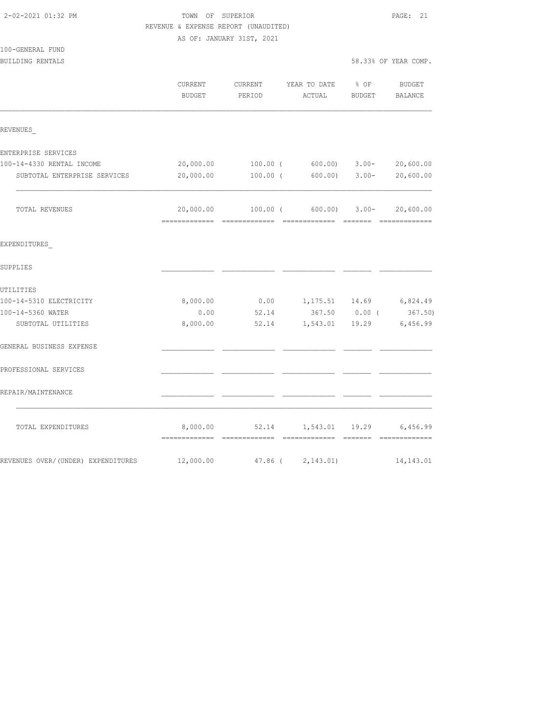| REVENUE & EXPENSE REPORT (UNAUDITED) |                   |                           |                                        |                  |                      |  |  |
|--------------------------------------|-------------------|---------------------------|----------------------------------------|------------------|----------------------|--|--|
|                                      |                   | AS OF: JANUARY 31ST, 2021 |                                        |                  |                      |  |  |
| 100-GENERAL FUND                     |                   |                           |                                        |                  |                      |  |  |
| BUILDING RENTALS                     |                   |                           |                                        |                  | 58.33% OF YEAR COMP. |  |  |
|                                      | CURRENT<br>BUDGET | CURRENT<br>PERIOD         | YEAR TO DATE % OF<br>ACTUAL            | BUDGET           | BUDGET<br>BALANCE    |  |  |
| REVENUES                             |                   |                           |                                        |                  |                      |  |  |
| ENTERPRISE SERVICES                  |                   |                           |                                        |                  |                      |  |  |
| 100-14-4330 RENTAL INCOME            | 20,000.00         |                           | $100.00$ ( 600.00) 3.00-               |                  | 20,600.00            |  |  |
| SUBTOTAL ENTERPRISE SERVICES         | 20,000.00         | 100.00 (                  |                                        | $600.00$ $3.00-$ | 20,600.00            |  |  |
| TOTAL REVENUES                       | 20,000.00         |                           | $100.00$ ( 600.00) 3.00-               |                  | 20,600.00            |  |  |
| EXPENDITURES                         |                   |                           |                                        |                  |                      |  |  |
| SUPPLIES                             |                   |                           |                                        |                  |                      |  |  |
| UTILITIES                            |                   |                           |                                        |                  |                      |  |  |
| 100-14-5310 ELECTRICITY              | 8,000.00          | 0.00                      | 1,175.51 14.69                         |                  | 6,824.49             |  |  |
| 100-14-5360 WATER                    | 0.00              | 52.14                     | 367.50 0.00 (                          |                  | 367.50)              |  |  |
| SUBTOTAL UTILITIES                   | 8,000.00          | 52.14                     | 1,543.01 19.29                         |                  | 6,456.99             |  |  |
| GENERAL BUSINESS EXPENSE             |                   |                           |                                        |                  |                      |  |  |
| PROFESSIONAL SERVICES                |                   |                           |                                        |                  |                      |  |  |
| REPAIR/MAINTENANCE                   |                   |                           |                                        |                  |                      |  |  |
| TOTAL EXPENDITURES                   |                   |                           | 8,000.00 52.14 1,543.01 19.29 6,456.99 |                  |                      |  |  |
| REVENUES OVER/(UNDER) EXPENDITURES   | 12,000.00         | 47.86 (                   | 2,143.01)                              |                  | 14, 143.01           |  |  |

2-02-2021 01:32 PM TOWN OF SUPERIOR PAGE: 21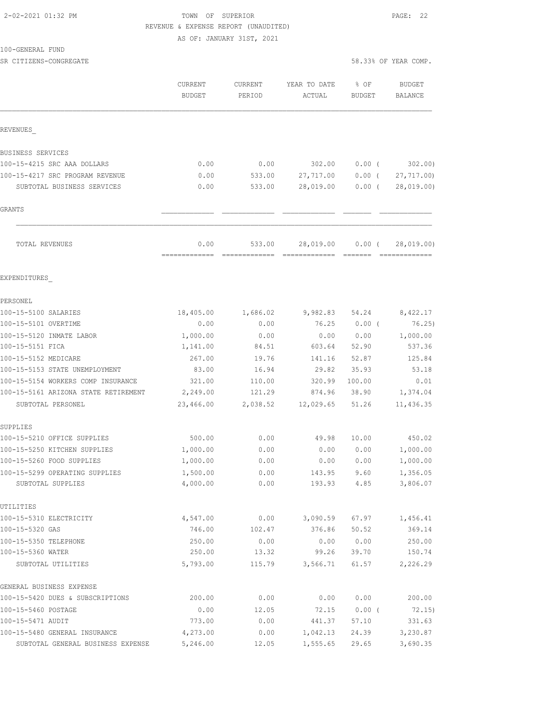## 2-02-2021 01:32 PM TOWN OF SUPERIOR PAGE: 22 REVENUE & EXPENSE REPORT (UNAUDITED)

AS OF: JANUARY 31ST, 2021

#### 100-GENERAL FUND

SR CITIZENS-CONGREGATE 58.333% OF YEAR COMP. THE SERIES OF STREET STREET STREET STREET STREET STREET STREET ST

|                                                     | CURRENT<br><b>BUDGET</b> | CURRENT<br>PERIOD | YEAR TO DATE<br>ACTUAL | % OF<br>BUDGET | <b>BUDGET</b><br><b>BALANCE</b> |
|-----------------------------------------------------|--------------------------|-------------------|------------------------|----------------|---------------------------------|
| REVENUES                                            |                          |                   |                        |                |                                 |
| BUSINESS SERVICES                                   |                          |                   |                        |                |                                 |
| 100-15-4215 SRC AAA DOLLARS                         | 0.00                     | 0.00              | 302.00                 | $0.00$ (       | 302.00                          |
| 100-15-4217 SRC PROGRAM REVENUE                     | 0.00                     | 533.00            | 27,717.00              | $0.00$ (       | 27,717.00)                      |
| SUBTOTAL BUSINESS SERVICES                          | 0.00                     | 533.00            | 28,019.00              | $0.00$ (       | 28,019.00)                      |
| GRANTS                                              |                          |                   |                        |                |                                 |
| TOTAL REVENUES                                      | 0.00                     | 533.00            | 28,019.00              | $0.00$ (       | 28,019.00)                      |
| EXPENDITURES                                        |                          |                   |                        |                |                                 |
| PERSONEL                                            |                          |                   |                        |                |                                 |
| 100-15-5100 SALARIES                                | 18,405.00                | 1,686.02          | 9,982.83               | 54.24          | 8,422.17                        |
| 100-15-5101 OVERTIME                                | 0.00                     | 0.00              | 76.25                  | $0.00$ (       | 76.25)                          |
| 100-15-5120 INMATE LABOR                            | 1,000.00                 | 0.00              | 0.00                   | 0.00           | 1,000.00                        |
| 100-15-5151 FICA                                    | 1,141.00                 | 84.51             | 603.64                 | 52.90          | 537.36                          |
| 100-15-5152 MEDICARE                                | 267.00                   | 19.76             | 141.16                 | 52.87          | 125.84                          |
| 100-15-5153 STATE UNEMPLOYMENT                      | 83.00                    | 16.94             | 29.82                  | 35.93          | 53.18                           |
| 100-15-5154 WORKERS COMP INSURANCE                  | 321.00                   | 110.00            | 320.99                 | 100.00         | 0.01                            |
| 100-15-5161 ARIZONA STATE RETIREMENT                | 2,249.00                 | 121.29            | 874.96                 | 38.90          | 1,374.04                        |
| SUBTOTAL PERSONEL                                   | 23,466.00                | 2,038.52          | 12,029.65              | 51.26          | 11,436.35                       |
| SUPPLIES                                            |                          |                   |                        |                |                                 |
| 100-15-5210 OFFICE SUPPLIES                         | 500.00                   | 0.00              | 49.98                  | 10.00          | 450.02                          |
| 100-15-5250 KITCHEN SUPPLIES                        | 1,000.00                 | 0.00              | 0.00                   | 0.00           | 1,000.00                        |
| 100-15-5260 FOOD SUPPLIES                           | 1,000.00                 | 0.00              | 0.00                   | 0.00           | 1,000.00                        |
| 100-15-5299 OPERATING SUPPLIES<br>SUBTOTAL SUPPLIES | 1,500.00<br>4,000.00     | 0.00<br>0.00      | 143.95<br>193.93       | 9.60<br>4.85   | 1,356.05<br>3,806.07            |
| UTILITIES                                           |                          |                   |                        |                |                                 |
| 100-15-5310 ELECTRICITY                             | 4,547.00                 | 0.00              | 3,090.59               | 67.97          | 1,456.41                        |
| 100-15-5320 GAS                                     | 746.00                   | 102.47            | 376.86                 | 50.52          | 369.14                          |
| 100-15-5350 TELEPHONE                               | 250.00                   | 0.00              | 0.00                   | 0.00           | 250.00                          |
| 100-15-5360 WATER                                   | 250.00                   | 13.32             | 99.26                  | 39.70          | 150.74                          |
| SUBTOTAL UTILITIES                                  | 5,793.00                 | 115.79            | 3,566.71               | 61.57          | 2,226.29                        |
| GENERAL BUSINESS EXPENSE                            |                          |                   |                        |                |                                 |
| 100-15-5420 DUES & SUBSCRIPTIONS                    | 200.00                   | 0.00              | 0.00                   | 0.00           | 200.00                          |
| 100-15-5460 POSTAGE                                 | 0.00                     | 12.05             | 72.15                  | $0.00$ (       | 72.15)                          |
| 100-15-5471 AUDIT                                   | 773.00                   | 0.00              | 441.37                 | 57.10          | 331.63                          |
| 100-15-5480 GENERAL INSURANCE                       | 4,273.00                 | 0.00              | 1,042.13               | 24.39          | 3,230.87                        |
| SUBTOTAL GENERAL BUSINESS EXPENSE                   | 5,246.00                 | 12.05             | 1,555.65               | 29.65          | 3,690.35                        |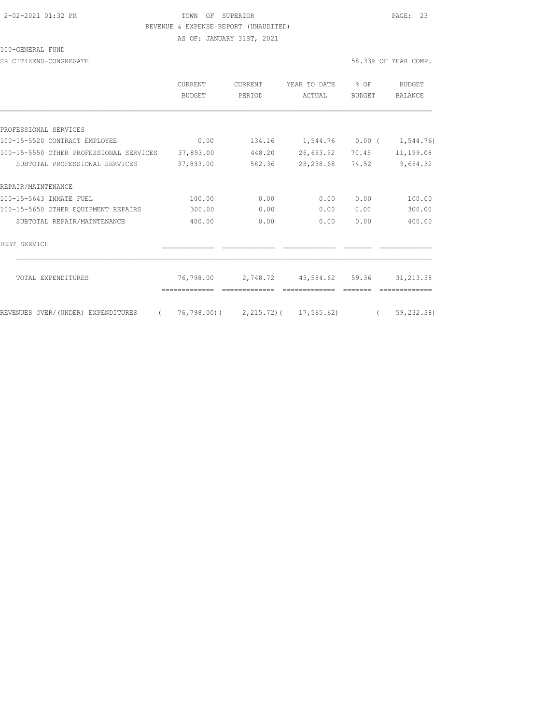#### 2-02-2021 01:32 PM TOWN OF SUPERIOR PAGE: 23 REVENUE & EXPENSE REPORT (UNAUDITED)

AS OF: JANUARY 31ST, 2021

100-GENERAL FUND

SR CITIZENS-CONGREGATE 58.33% OF YEAR COMP.

|                                                | CURRENT<br><b>BUDGET</b> | <b>CURRENT</b><br>PERIOD | YEAR TO DATE<br>ACTUAL              | $8$ OF<br><b>BUDGET</b> | BUDGET<br>BALANCE           |
|------------------------------------------------|--------------------------|--------------------------|-------------------------------------|-------------------------|-----------------------------|
|                                                |                          |                          |                                     |                         |                             |
| PROFESSIONAL SERVICES                          |                          |                          |                                     |                         |                             |
| 100-15-5520 CONTRACT EMPLOYEE                  | 0.00                     | 134.16                   |                                     |                         | $1,544.76$ 0.00 ( 1,544.76) |
| 100-15-5550 OTHER PROFESSIONAL SERVICES        | 37,893.00                | 448.20                   | 26,693.92                           | 70.45                   | 11,199.08                   |
| SUBTOTAL PROFESSIONAL SERVICES                 | 37,893.00                | 582.36                   | 28, 238.68                          | 74.52                   | 9,654.32                    |
| REPAIR/MAINTENANCE                             |                          |                          |                                     |                         |                             |
| 100-15-5643 INMATE FUEL                        | 100.00                   | 0.00                     | 0.00                                | 0.00                    | 100.00                      |
| 100-15-5650 OTHER EQUIPMENT REPAIRS            | 300.00                   | 0.00                     | 0.00                                | 0.00                    | 300.00                      |
| SUBTOTAL REPAIR/MAINTENANCE                    | 400.00                   | 0.00                     | 0.00                                | 0.00                    | 400.00                      |
| DEBT SERVICE                                   |                          |                          |                                     |                         |                             |
| TOTAL EXPENDITURES                             | 76,798.00                | 2,748.72                 | 45,584.62 59.36                     |                         | 31, 213.38                  |
| REVENUES OVER/(UNDER) EXPENDITURES<br>$\left($ |                          |                          | 76,798.00) ( 2,215.72) ( 17,565.62) | $\overline{a}$          | 59,232.38)                  |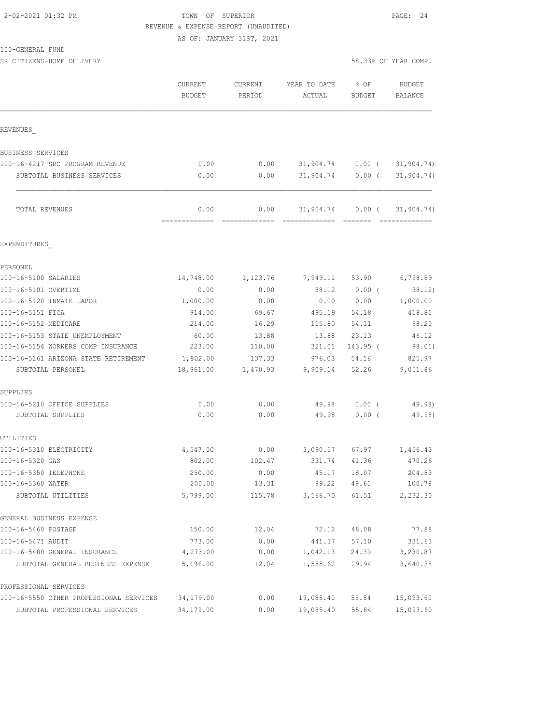#### 2-02-2021 01:32 PM TOWN OF SUPERIOR PAGE: 24 REVENUE & EXPENSE REPORT (UNAUDITED)

AS OF: JANUARY 31ST, 2021

SR CITIZENS-HOME DELIVERY 58.33% OF YEAR COMP.

|                                                           | CURRENT<br><b>BUDGET</b> | CURRENT<br>PERIOD     | YEAR TO DATE<br>ACTUAL     | % OF<br>BUDGET | <b>BUDGET</b><br>BALANCE |
|-----------------------------------------------------------|--------------------------|-----------------------|----------------------------|----------------|--------------------------|
| REVENUES                                                  |                          |                       |                            |                |                          |
| BUSINESS SERVICES                                         |                          |                       |                            |                |                          |
| 100-16-4217 SRC PROGRAM REVENUE                           | 0.00                     | 0.00                  | 31,904.74                  | $0.00$ (       | 31, 904.74)              |
| SUBTOTAL BUSINESS SERVICES                                | 0.00                     | 0.00                  | 31,904.74                  | 0.00(          | 31, 904.74)              |
| TOTAL REVENUES                                            | 0.00<br>=============    | 0.00<br>============= | 31,904.74<br>============= | $0.00$ (       | 31, 904.74)              |
| EXPENDITURES                                              |                          |                       |                            |                |                          |
| PERSONEL                                                  |                          |                       |                            |                |                          |
| 100-16-5100 SALARIES                                      | 14,748.00                | 1,123.76              | 7,949.11                   | 53.90          | 6,798.89                 |
| 100-16-5101 OVERTIME                                      | 0.00                     | 0.00                  | 38.12                      | $0.00$ (       | 38.12)                   |
| 100-16-5120 INMATE LABOR                                  | 1,000.00                 | 0.00                  | 0.00                       | 0.00           | 1,000.00                 |
| 100-16-5151 FICA                                          | 914.00                   | 69.67                 | 495.19                     | 54.18          | 418.81                   |
| 100-16-5152 MEDICARE                                      | 214.00                   | 16.29                 | 115.80                     | 54.11          | 98.20                    |
| 100-16-5153 STATE UNEMPLOYMENT                            | 60.00                    | 13.88                 | 13.88                      | 23.13          | 46.12                    |
| 100-16-5154 WORKERS COMP INSURANCE                        | 223.00                   | 110.00                | 321.01                     | 143.95 (       | 98.01)                   |
| 100-16-5161 ARIZONA STATE RETIREMENT<br>SUBTOTAL PERSONEL | 1,802.00<br>18,961.00    | 137.33<br>1,470.93    | 976.03<br>9,909.14         | 54.16<br>52.26 | 825.97<br>9,051.86       |
| SUPPLIES                                                  |                          |                       |                            |                |                          |
| 100-16-5210 OFFICE SUPPLIES                               | 0.00                     | 0.00                  | 49.98                      | $0.00$ (       | 49.98)                   |
| SUBTOTAL SUPPLIES                                         | 0.00                     | 0.00                  | 49.98                      | $0.00$ (       | 49.98)                   |
| UTILITIES                                                 |                          |                       |                            |                |                          |
| 100-16-5310 ELECTRICITY                                   | 4,547.00                 | 0.00                  | 3,090.57                   | 67.97          | 1,456.43                 |
| 100-16-5320 GAS                                           | 802.00                   | 102.47                | 331.74                     | 41.36          | 470.26                   |
| 100-16-5350 TELEPHONE<br>100-16-5360 WATER                | 250.00                   | 0.00                  | 45.17                      | 18.07          | 204.83<br>100.78         |
| SUBTOTAL UTILITIES                                        | 200.00<br>5,799.00       | 13.31<br>115.78       | 99.22<br>3,566.70          | 49.61<br>61.51 | 2,232.30                 |
| GENERAL BUSINESS EXPENSE                                  |                          |                       |                            |                |                          |
| 100-16-5460 POSTAGE                                       | 150.00                   | 12.04                 | 72.12                      | 48.08          | 77.88                    |
| 100-16-5471 AUDIT                                         | 773.00                   | 0.00                  | 441.37                     | 57.10          | 331.63                   |
| 100-16-5480 GENERAL INSURANCE                             | 4,273.00                 | 0.00                  | 1,042.13                   | 24.39          | 3,230.87                 |
| SUBTOTAL GENERAL BUSINESS EXPENSE                         | 5,196.00                 | 12.04                 | 1,555.62                   | 29.94          | 3,640.38                 |
| PROFESSIONAL SERVICES                                     |                          |                       |                            |                |                          |
| 100-16-5550 OTHER PROFESSIONAL SERVICES                   | 34,179.00                | 0.00                  | 19,085.40                  | 55.84          | 15,093.60                |
| SUBTOTAL PROFESSIONAL SERVICES                            | 34,179.00                | 0.00                  | 19,085.40                  | 55.84          | 15,093.60                |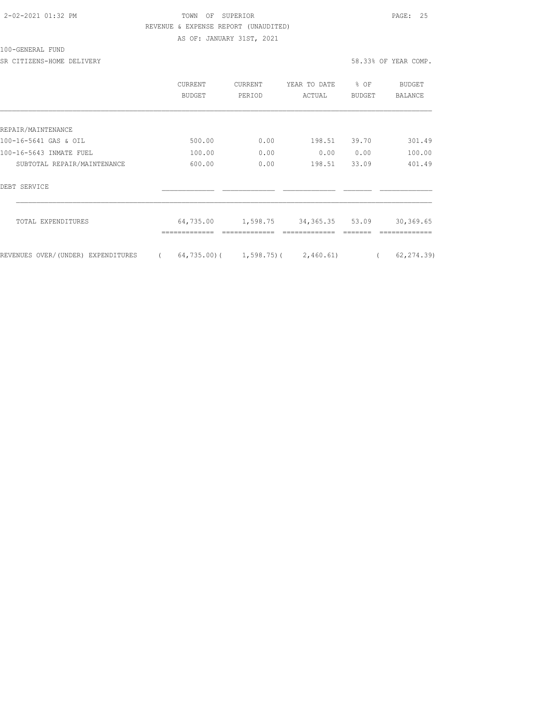## 2-02-2021 01:32 PM TOWN OF SUPERIOR PAGE: 25 REVENUE & EXPENSE REPORT (UNAUDITED) AS OF: JANUARY 31ST, 2021

100-GENERAL FUND

SR CITIZENS-HOME DELIVERY 58.33% OF YEAR COMP.

|                                    | CURRENT<br>BUDGET | <b>CURRENT</b><br>PERIOD             | YEAR TO DATE<br>ACTUAL | % OF<br><b>BUDGET</b> | BUDGET<br>BALANCE |
|------------------------------------|-------------------|--------------------------------------|------------------------|-----------------------|-------------------|
|                                    |                   |                                      |                        |                       |                   |
| REPAIR/MAINTENANCE                 |                   |                                      |                        |                       |                   |
| 100-16-5641 GAS & OIL              | 500.00            | 0.00                                 | 198.51                 | 39.70                 | 301.49            |
| 100-16-5643 INMATE FUEL            | 100.00            | 0.00                                 | 0.00                   | 0.00                  | 100.00            |
| SUBTOTAL REPAIR/MAINTENANCE        | 600.00            | 0.00                                 | 198.51                 | 33.09                 | 401.49            |
| DEBT SERVICE                       |                   |                                      |                        |                       |                   |
| TOTAL EXPENDITURES                 | 64,735.00         | 1,598.75                             | 34, 365. 35            | 53.09                 | 30,369.65         |
| REVENUES OVER/(UNDER) EXPENDITURES |                   | $64, 735.00$ ( 1,598.75) ( 2,460.61) |                        |                       | 62, 274.39        |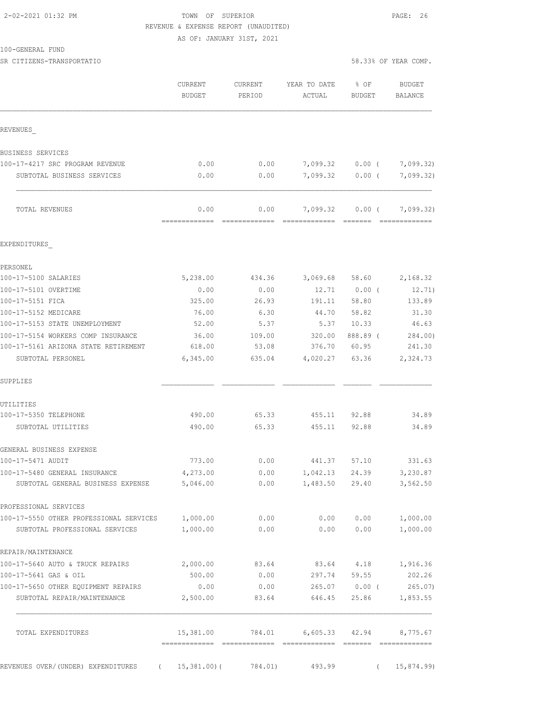### 2-02-2021 01:32 PM TOWN OF SUPERIOR PAGE: 26 REVENUE & EXPENSE REPORT (UNAUDITED)

AS OF: JANUARY 31ST, 2021

SR CITIZENS-TRANSPORTATIO 58.33% OF YEAR COMP.

| 58.33% OF YEAR COMP |  |  |
|---------------------|--|--|
|---------------------|--|--|

|                                                                            | <b>CURRENT</b><br><b>BUDGET</b> | <b>CURRENT</b><br>PERIOD  | YEAR TO DATE<br>ACTUAL                | % OF<br>BUDGET    | <b>BUDGET</b><br>BALANCE       |
|----------------------------------------------------------------------------|---------------------------------|---------------------------|---------------------------------------|-------------------|--------------------------------|
| REVENUES                                                                   |                                 |                           |                                       |                   |                                |
| BUSINESS SERVICES                                                          |                                 |                           |                                       |                   |                                |
| 100-17-4217 SRC PROGRAM REVENUE                                            | 0.00                            | 0.00                      | 7,099.32                              | $0.00$ (          | 7,099.32)                      |
| SUBTOTAL BUSINESS SERVICES                                                 | 0.00                            | 0.00                      | 7,099.32                              | $0.00$ (          | 7,099.32)                      |
| TOTAL REVENUES                                                             | 0.00<br>-------------           | 0.00<br>$222222222222222$ | 7,099.32<br>========================= | $0.00$ (          | 7,099.32)<br>$222222222222222$ |
| EXPENDITURES                                                               |                                 |                           |                                       |                   |                                |
| PERSONEL                                                                   |                                 |                           |                                       |                   |                                |
| 100-17-5100 SALARIES                                                       | 5,238.00                        | 434.36                    | 3,069.68                              | 58.60             | 2,168.32                       |
| 100-17-5101 OVERTIME                                                       | 0.00                            | 0.00                      | 12.71                                 | $0.00$ (          | 12.71)                         |
| 100-17-5151 FICA                                                           | 325.00                          | 26.93                     | 191.11                                | 58.80             | 133.89                         |
| 100-17-5152 MEDICARE                                                       | 76.00                           | 6.30                      | 44.70                                 | 58.82             | 31.30                          |
| 100-17-5153 STATE UNEMPLOYMENT                                             | 52.00                           | 5.37                      | 5.37                                  | 10.33             | 46.63                          |
| 100-17-5154 WORKERS COMP INSURANCE<br>100-17-5161 ARIZONA STATE RETIREMENT | 36.00<br>618.00                 | 109.00<br>53.08           | 320.00<br>376.70                      | 888.89 (<br>60.95 | 284.00)<br>241.30              |
| SUBTOTAL PERSONEL                                                          | 6,345.00                        | 635.04                    | 4,020.27                              | 63.36             | 2,324.73                       |
| SUPPLIES                                                                   |                                 |                           |                                       |                   |                                |
| UTILITIES                                                                  |                                 |                           |                                       |                   |                                |
| 100-17-5350 TELEPHONE                                                      | 490.00                          | 65.33                     | 455.11                                | 92.88             | 34.89                          |
| SUBTOTAL UTILITIES                                                         | 490.00                          | 65.33                     | 455.11                                | 92.88             | 34.89                          |
| GENERAL BUSINESS EXPENSE                                                   |                                 |                           |                                       |                   |                                |
| 100-17-5471 AUDIT                                                          | 773.00                          | 0.00                      | 441.37                                | 57.10             | 331.63                         |
| 100-17-5480 GENERAL INSURANCE                                              | 4,273.00                        | 0.00                      | 1,042.13                              | 24.39             | 3,230.87                       |
| SUBTOTAL GENERAL BUSINESS EXPENSE                                          | 5,046.00                        | 0.00                      | 1,483.50                              | 29.40             | 3,562.50                       |
| PROFESSIONAL SERVICES                                                      |                                 |                           |                                       |                   |                                |
| 100-17-5550 OTHER PROFESSIONAL SERVICES                                    | 1,000.00                        | 0.00                      | 0.00                                  | 0.00              | 1,000.00                       |
| SUBTOTAL PROFESSIONAL SERVICES                                             | 1,000.00                        | 0.00                      | 0.00                                  | 0.00              | 1,000.00                       |
| REPAIR/MAINTENANCE                                                         |                                 |                           |                                       |                   |                                |
| 100-17-5640 AUTO & TRUCK REPAIRS                                           | 2,000.00                        | 83.64                     | 83.64                                 | 4.18              | 1,916.36                       |
| 100-17-5641 GAS & OIL                                                      | 500.00                          | 0.00                      | 297.74                                | 59.55             | 202.26                         |
| 100-17-5650 OTHER EQUIPMENT REPAIRS<br>SUBTOTAL REPAIR/MAINTENANCE         | 0.00<br>2,500.00                | 0.00<br>83.64             | 265.07<br>646.45                      | $0.00$ (<br>25.86 | 265.07<br>1,853.55             |
| TOTAL EXPENDITURES                                                         | 15,381.00                       | 784.01                    | 6,605.33                              | 42.94             | 8,775.67                       |
|                                                                            |                                 |                           |                                       |                   |                                |
| REVENUES OVER/(UNDER) EXPENDITURES<br>$\sqrt{2}$                           | 15,381.00)(                     | 784.01)                   | 493.99                                | $\left($          | 15,874.99)                     |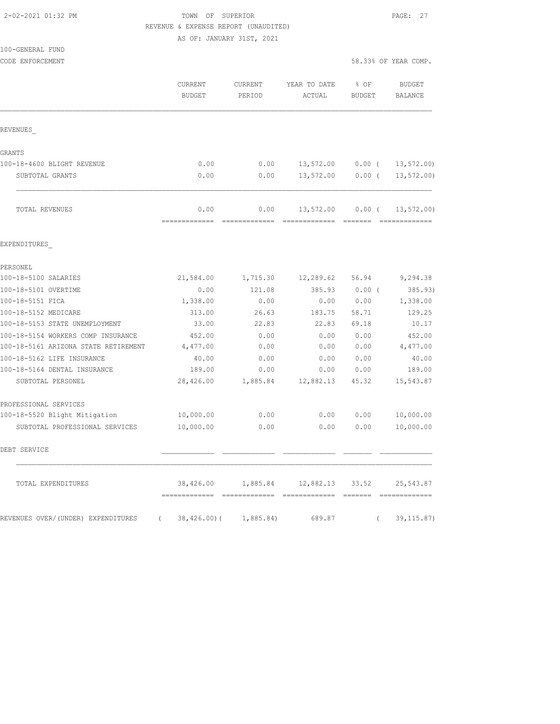#### 2-02-2021 01:32 PM TOWN OF SUPERIOR PAGE: 27 REVENUE & EXPENSE REPORT (UNAUDITED)

| 100-GENERAL FUND           |                   |                   |                        |                       |                      |
|----------------------------|-------------------|-------------------|------------------------|-----------------------|----------------------|
| CODE ENFORCEMENT           |                   |                   |                        |                       | 58.33% OF YEAR COMP. |
|                            | CURRENT<br>BUDGET | CURRENT<br>PERIOD | YEAR TO DATE<br>ACTUAL | % OF<br><b>BUDGET</b> | BUDGET<br>BALANCE    |
| <b>REVENUES</b>            |                   |                   |                        |                       |                      |
| GRANTS                     |                   |                   |                        |                       |                      |
| 100-18-4600 BLIGHT REVENUE | 0.00              | 0.00              | 13,572.00              | $0.00$ (              | 13,572.00            |
| SUBTOTAL GRANTS            | 0.00              | 0.00              | 13,572.00              | 0.00 <sub>1</sub>     | 13,572.00            |

| 58.33% OF YEAR COME |  |  |
|---------------------|--|--|
|                     |  |  |

|                                                | <b>CURRENT</b><br><b>BUDGET</b> | <b>CURRENT</b><br>PERIOD                                                                                                                                                                                                                                                                                                                                                                                                                                                                       | YEAR TO DATE<br>ACTUAL | % OF<br><b>BUDGET</b>                                                                                                                                                                                                                                                                                                                                                                                                                                                                              | <b>BUDGET</b><br><b>BALANCE</b> |
|------------------------------------------------|---------------------------------|------------------------------------------------------------------------------------------------------------------------------------------------------------------------------------------------------------------------------------------------------------------------------------------------------------------------------------------------------------------------------------------------------------------------------------------------------------------------------------------------|------------------------|----------------------------------------------------------------------------------------------------------------------------------------------------------------------------------------------------------------------------------------------------------------------------------------------------------------------------------------------------------------------------------------------------------------------------------------------------------------------------------------------------|---------------------------------|
|                                                |                                 |                                                                                                                                                                                                                                                                                                                                                                                                                                                                                                |                        |                                                                                                                                                                                                                                                                                                                                                                                                                                                                                                    |                                 |
| REVENUES                                       |                                 |                                                                                                                                                                                                                                                                                                                                                                                                                                                                                                |                        |                                                                                                                                                                                                                                                                                                                                                                                                                                                                                                    |                                 |
| GRANTS                                         |                                 |                                                                                                                                                                                                                                                                                                                                                                                                                                                                                                |                        |                                                                                                                                                                                                                                                                                                                                                                                                                                                                                                    |                                 |
| 100-18-4600 BLIGHT REVENUE                     | 0.00                            | 0.00                                                                                                                                                                                                                                                                                                                                                                                                                                                                                           | 13,572.00              | $0.00$ (                                                                                                                                                                                                                                                                                                                                                                                                                                                                                           | 13, 572.00                      |
| SUBTOTAL GRANTS                                | 0.00                            | 0.00                                                                                                                                                                                                                                                                                                                                                                                                                                                                                           | 13,572.00              | $0.00$ (                                                                                                                                                                                                                                                                                                                                                                                                                                                                                           | 13, 572.00                      |
| TOTAL REVENUES                                 | 0.00<br>-------------           | 0.00<br>$\begin{array}{cccccccccc} \multicolumn{2}{c}{} & \multicolumn{2}{c}{} & \multicolumn{2}{c}{} & \multicolumn{2}{c}{} & \multicolumn{2}{c}{} & \multicolumn{2}{c}{} & \multicolumn{2}{c}{} & \multicolumn{2}{c}{} & \multicolumn{2}{c}{} & \multicolumn{2}{c}{} & \multicolumn{2}{c}{} & \multicolumn{2}{c}{} & \multicolumn{2}{c}{} & \multicolumn{2}{c}{} & \multicolumn{2}{c}{} & \multicolumn{2}{c}{} & \multicolumn{2}{c}{} & \multicolumn{2}{c}{} & \multicolumn{2}{c}{} & \mult$ | 13,572.00              | $0.00$ (<br>$\begin{array}{cccccccccc} \multicolumn{2}{c}{} & \multicolumn{2}{c}{} & \multicolumn{2}{c}{} & \multicolumn{2}{c}{} & \multicolumn{2}{c}{} & \multicolumn{2}{c}{} & \multicolumn{2}{c}{} & \multicolumn{2}{c}{} & \multicolumn{2}{c}{} & \multicolumn{2}{c}{} & \multicolumn{2}{c}{} & \multicolumn{2}{c}{} & \multicolumn{2}{c}{} & \multicolumn{2}{c}{} & \multicolumn{2}{c}{} & \multicolumn{2}{c}{} & \multicolumn{2}{c}{} & \multicolumn{2}{c}{} & \multicolumn{2}{c}{} & \mult$ | 13, 572.00                      |
| EXPENDITURES                                   |                                 |                                                                                                                                                                                                                                                                                                                                                                                                                                                                                                |                        |                                                                                                                                                                                                                                                                                                                                                                                                                                                                                                    |                                 |
| PERSONEL                                       |                                 |                                                                                                                                                                                                                                                                                                                                                                                                                                                                                                |                        |                                                                                                                                                                                                                                                                                                                                                                                                                                                                                                    |                                 |
| 100-18-5100 SALARIES                           | 21,584.00                       | 1,715.30                                                                                                                                                                                                                                                                                                                                                                                                                                                                                       | 12,289.62              | 56.94                                                                                                                                                                                                                                                                                                                                                                                                                                                                                              | 9,294.38                        |
| 100-18-5101 OVERTIME                           | 0.00                            | 121.08                                                                                                                                                                                                                                                                                                                                                                                                                                                                                         | 385.93                 | $0.00$ (                                                                                                                                                                                                                                                                                                                                                                                                                                                                                           | 385.93)                         |
| 100-18-5151 FICA                               | 1,338.00                        | 0.00                                                                                                                                                                                                                                                                                                                                                                                                                                                                                           | 0.00                   | 0.00                                                                                                                                                                                                                                                                                                                                                                                                                                                                                               | 1,338.00                        |
| 100-18-5152 MEDICARE                           | 313.00                          | 26.63                                                                                                                                                                                                                                                                                                                                                                                                                                                                                          | 183.75                 | 58.71                                                                                                                                                                                                                                                                                                                                                                                                                                                                                              | 129.25                          |
| 100-18-5153 STATE UNEMPLOYMENT                 | 33.00                           | 22.83                                                                                                                                                                                                                                                                                                                                                                                                                                                                                          | 22.83                  | 69.18                                                                                                                                                                                                                                                                                                                                                                                                                                                                                              | 10.17                           |
| 100-18-5154 WORKERS COMP INSURANCE             | 452.00                          | 0.00                                                                                                                                                                                                                                                                                                                                                                                                                                                                                           | 0.00                   | 0.00                                                                                                                                                                                                                                                                                                                                                                                                                                                                                               | 452.00                          |
| 100-18-5161 ARIZONA STATE RETIREMENT           | 4,477.00                        | 0.00                                                                                                                                                                                                                                                                                                                                                                                                                                                                                           | 0.00                   | 0.00                                                                                                                                                                                                                                                                                                                                                                                                                                                                                               | 4,477.00                        |
| 100-18-5162 LIFE INSURANCE                     | 40.00                           | 0.00                                                                                                                                                                                                                                                                                                                                                                                                                                                                                           | 0.00                   | 0.00                                                                                                                                                                                                                                                                                                                                                                                                                                                                                               | 40.00                           |
| 100-18-5164 DENTAL INSURANCE                   | 189.00                          | 0.00                                                                                                                                                                                                                                                                                                                                                                                                                                                                                           | 0.00                   | 0.00                                                                                                                                                                                                                                                                                                                                                                                                                                                                                               | 189.00                          |
| SUBTOTAL PERSONEL                              | 28,426.00                       | 1,885.84                                                                                                                                                                                                                                                                                                                                                                                                                                                                                       | 12,882.13              | 45.32                                                                                                                                                                                                                                                                                                                                                                                                                                                                                              | 15,543.87                       |
| PROFESSIONAL SERVICES                          |                                 |                                                                                                                                                                                                                                                                                                                                                                                                                                                                                                |                        |                                                                                                                                                                                                                                                                                                                                                                                                                                                                                                    |                                 |
| 100-18-5520 Blight Mitigation                  | 10,000.00                       | 0.00                                                                                                                                                                                                                                                                                                                                                                                                                                                                                           | 0.00                   | 0.00                                                                                                                                                                                                                                                                                                                                                                                                                                                                                               | 10,000.00                       |
| SUBTOTAL PROFESSIONAL SERVICES                 | 10,000.00                       | 0.00                                                                                                                                                                                                                                                                                                                                                                                                                                                                                           | 0.00                   | 0.00                                                                                                                                                                                                                                                                                                                                                                                                                                                                                               | 10,000.00                       |
| DEBT SERVICE                                   |                                 |                                                                                                                                                                                                                                                                                                                                                                                                                                                                                                |                        |                                                                                                                                                                                                                                                                                                                                                                                                                                                                                                    |                                 |
| TOTAL EXPENDITURES                             | 38,426.00                       | 1,885.84                                                                                                                                                                                                                                                                                                                                                                                                                                                                                       | 12,882.13              | 33.52                                                                                                                                                                                                                                                                                                                                                                                                                                                                                              | 25,543.87                       |
| REVENUES OVER/(UNDER) EXPENDITURES<br>$\left($ | 38,426.00) (                    | 1,885.84                                                                                                                                                                                                                                                                                                                                                                                                                                                                                       | 689.87                 | $\left($                                                                                                                                                                                                                                                                                                                                                                                                                                                                                           | 39, 115.87)                     |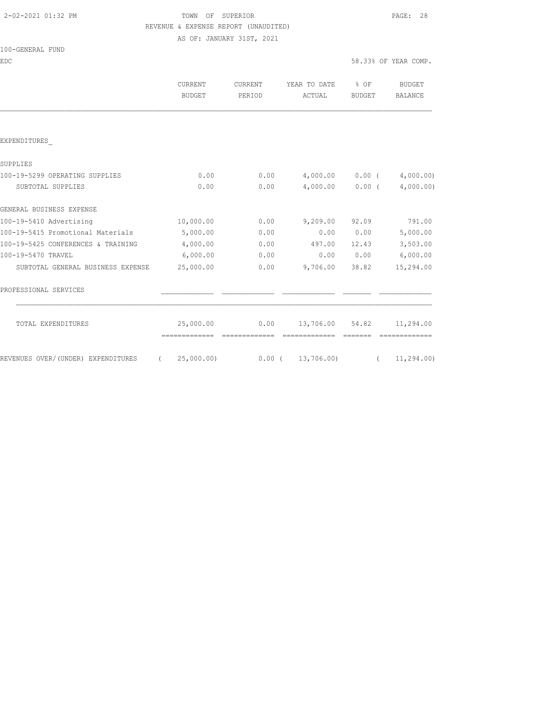## 2-02-2021 01:32 PM TOWN OF SUPERIOR PAGE: 28 REVENUE & EXPENSE REPORT (UNAUDITED)

AS OF: JANUARY 31ST, 2021

| 100-GENERAL FUND |  |
|------------------|--|
|------------------|--|

EDC 58.33% OF YEAR COMP.

|                                    | CURRENT<br><b>BUDGET</b> | CURRENT<br>PERIOD | YEAR TO DATE<br>ACTUAL   | % OF<br>BUDGET | BUDGET<br><b>BALANCE</b> |
|------------------------------------|--------------------------|-------------------|--------------------------|----------------|--------------------------|
|                                    |                          |                   |                          |                |                          |
| EXPENDITURES                       |                          |                   |                          |                |                          |
| SUPPLIES                           |                          |                   |                          |                |                          |
| 100-19-5299 OPERATING SUPPLIES     | 0.00                     | 0.00              | 4,000.00                 | $0.00$ (       | 4,000.00)                |
| SUBTOTAL SUPPLIES                  | 0.00                     | 0.00              | 4,000.00                 | 0.00(          | 4,000.00)                |
| GENERAL BUSINESS EXPENSE           |                          |                   |                          |                |                          |
| 100-19-5410 Advertising            | 10,000.00                | 0.00              | 9,209.00                 | 92.09          | 791.00                   |
| 100-19-5415 Promotional Materials  | 5,000.00                 | 0.00              | 0.00                     | 0.00           | 5,000.00                 |
| 100-19-5425 CONFERENCES & TRAINING | 4,000.00                 | 0.00              | 497.00                   | 12.43          | 3,503.00                 |
| 100-19-5470 TRAVEL                 | 6,000.00                 | 0.00              | 0.00                     | 0.00           | 6,000.00                 |
| SUBTOTAL GENERAL BUSINESS EXPENSE  | 25,000.00                | 0.00              | 9,706.00                 | 38.82          | 15,294.00                |
| PROFESSIONAL SERVICES              |                          |                   |                          |                |                          |
| TOTAL EXPENDITURES                 | 25,000.00                | 0.00              | 13,706.00                | 54.82          | 11,294.00                |
|                                    | =============            | =============     | =============            | =======        |                          |
| REVENUES OVER/(UNDER) EXPENDITURES | (25,000.00)              |                   | $0.00$ ( $13,706.00$ ) ( |                | 11, 294.00               |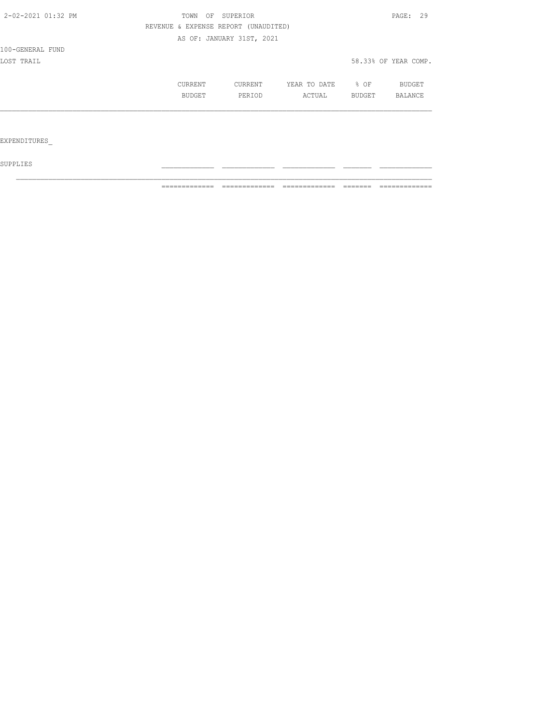| 2-02-2021 01:32 PM  | OF<br>TOWN                           | SUPERIOR                  |              |                  | PAGE: 29             |
|---------------------|--------------------------------------|---------------------------|--------------|------------------|----------------------|
|                     | REVENUE & EXPENSE REPORT (UNAUDITED) |                           |              |                  |                      |
|                     |                                      | AS OF: JANUARY 31ST, 2021 |              |                  |                      |
| 100-GENERAL FUND    |                                      |                           |              |                  |                      |
| LOST TRAIL          |                                      |                           |              |                  | 58.33% OF YEAR COMP. |
|                     | CURRENT                              | CURRENT                   | YEAR TO DATE | $\frac{1}{2}$ OF | BUDGET               |
|                     | BUDGET                               | PERIOD                    | ACTUAL       | BUDGET           | <b>BALANCE</b>       |
|                     |                                      |                           |              |                  |                      |
|                     |                                      |                           |              |                  |                      |
| <b>EXPENDITURES</b> |                                      |                           |              |                  |                      |

 ${\tt SUPPLIES}$ 

============= ============= ============= ======= =============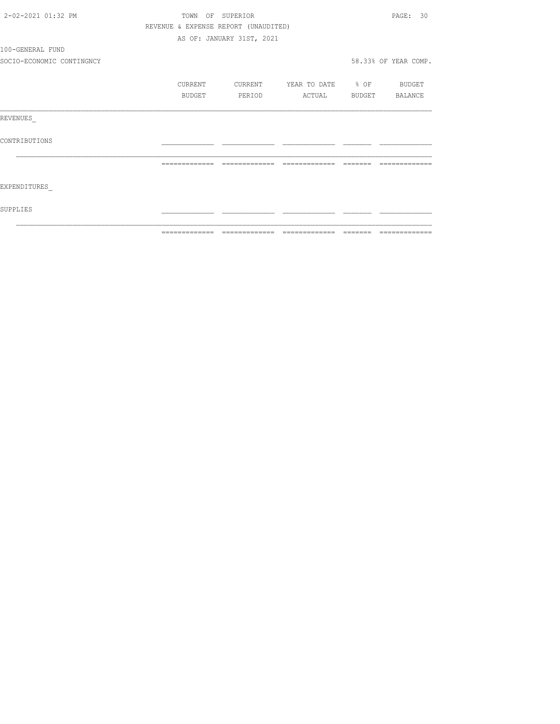| 2-02-2021 01:32 PM        | TOWN                                 | OF SUPERIOR               |                                  |          | PAGE: 30             |
|---------------------------|--------------------------------------|---------------------------|----------------------------------|----------|----------------------|
|                           | REVENUE & EXPENSE REPORT (UNAUDITED) |                           |                                  |          |                      |
|                           |                                      | AS OF: JANUARY 31ST, 2021 |                                  |          |                      |
| 100-GENERAL FUND          |                                      |                           |                                  |          |                      |
| SOCIO-ECONOMIC CONTINGNCY |                                      |                           |                                  |          | 58.33% OF YEAR COMP. |
|                           | CURRENT                              |                           | CURRENT YEAR TO DATE % OF BUDGET |          |                      |
|                           | BUDGET                               | PERIOD                    | ACTUAL BUDGET BALANCE            |          |                      |
| REVENUES                  |                                      |                           |                                  |          |                      |
| CONTRIBUTIONS             |                                      |                           |                                  |          |                      |
|                           | =============                        | --------------            | --------------                   | -------- |                      |
| EXPENDITURES              |                                      |                           |                                  |          |                      |
| SUPPLIES                  |                                      |                           |                                  |          |                      |
|                           |                                      |                           |                                  |          |                      |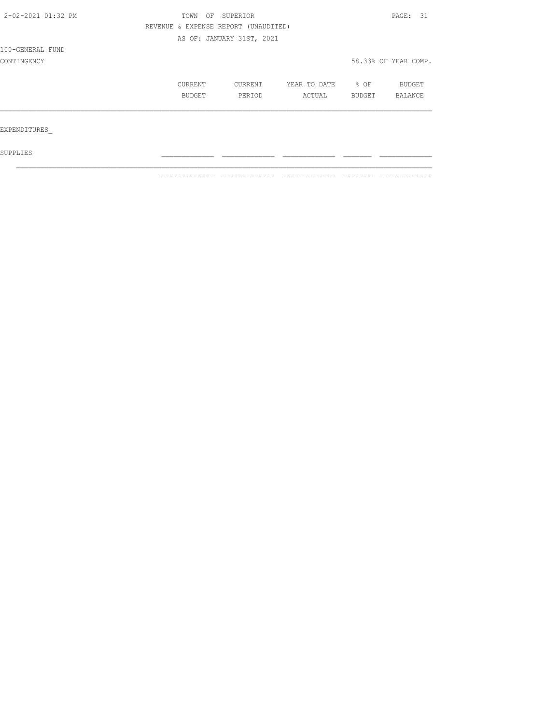| 2-02-2021 01:32 PM | OF<br>TOWN                           | SUPERIOR                  |              |        | PAGE: 31             |  |
|--------------------|--------------------------------------|---------------------------|--------------|--------|----------------------|--|
|                    | REVENUE & EXPENSE REPORT (UNAUDITED) |                           |              |        |                      |  |
|                    |                                      | AS OF: JANUARY 31ST, 2021 |              |        |                      |  |
| 100-GENERAL FUND   |                                      |                           |              |        |                      |  |
| CONTINGENCY        |                                      |                           |              |        | 58.33% OF YEAR COMP. |  |
|                    | CURRENT                              | CURRENT                   | YEAR TO DATE | % OF   | BUDGET               |  |
|                    | <b>BUDGET</b>                        | PERIOD                    | ACTUAL       | BUDGET | BALANCE              |  |
|                    |                                      |                           |              |        |                      |  |
| EXPENDITURES       |                                      |                           |              |        |                      |  |
| SUPPLIES           |                                      |                           |              |        |                      |  |

 $\mathcal{L}_\text{max}$ 

============= ============= ============= ======= =============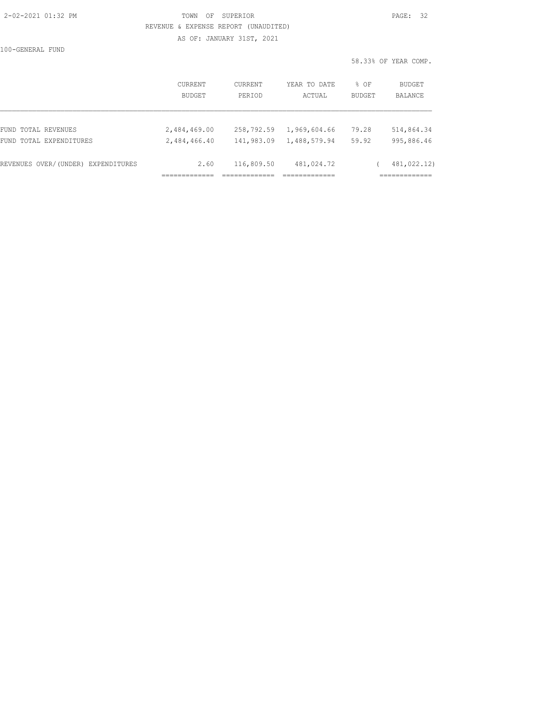#### 2-02-2021 01:32 PM TOWN OF SUPERIOR PAGE: 32 REVENUE & EXPENSE REPORT (UNAUDITED)

AS OF: JANUARY 31ST, 2021

100-GENERAL FUND

58.33% OF YEAR COMP.

|                                    | CURRENT<br><b>BUDGET</b> | <b>CURRENT</b><br>PERTOD | YEAR TO DATE<br>ACTUAL | % OF<br><b>BUDGET</b> | BUDGET<br>BALANCE |
|------------------------------------|--------------------------|--------------------------|------------------------|-----------------------|-------------------|
| FUND TOTAL REVENUES                | 2,484,469.00             | 258,792.59               | 1,969,604.66           | 79.28                 | 514,864.34        |
| FUND TOTAL EXPENDITURES            | 2,484,466.40             | 141,983.09               | 1,488,579.94           | 59.92                 | 995,886.46        |
| REVENUES OVER/(UNDER) EXPENDITURES | 2.60                     | 116,809.50               | 481,024.72             |                       | 481,022.12)       |
|                                    |                          |                          |                        |                       | ___________       |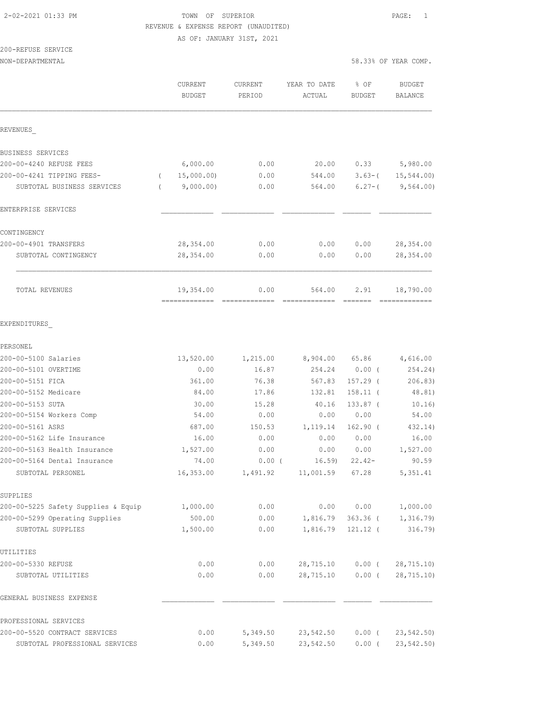## 2-02-2021 01:33 PM TOWN OF SUPERIOR PAGE: 1 REVENUE & EXPENSE REPORT (UNAUDITED)

AS OF: JANUARY 31ST, 2021

# 200-REFUSE SERVICE

|                                                     | CURRENT<br><b>BUDGET</b> | CURRENT<br>PERIOD  | YEAR TO DATE<br>ACTUAL | % OF<br>BUDGET           | <b>BUDGET</b><br><b>BALANCE</b> |
|-----------------------------------------------------|--------------------------|--------------------|------------------------|--------------------------|---------------------------------|
| REVENUES                                            |                          |                    |                        |                          |                                 |
| BUSINESS SERVICES                                   |                          |                    |                        |                          |                                 |
| 200-00-4240 REFUSE FEES                             | 6,000.00                 | 0.00               | 20.00                  | 0.33                     | 5,980.00                        |
| 200-00-4241 TIPPING FEES-                           | 15,000.00)<br>$\left($   | 0.00               | 544.00                 | $3.63 - ($               | 15, 544.00                      |
| SUBTOTAL BUSINESS SERVICES                          | 9,000.00)<br>$\left($    | 0.00               | 564.00                 | $6.27 - ($               | 9,564.00)                       |
| ENTERPRISE SERVICES                                 |                          |                    |                        |                          |                                 |
| CONTINGENCY                                         |                          |                    |                        |                          |                                 |
| 200-00-4901 TRANSFERS                               | 28, 354.00               | 0.00               | 0.00                   | 0.00                     | 28, 354.00                      |
| SUBTOTAL CONTINGENCY                                | 28,354.00                | 0.00               | 0.00                   | 0.00                     | 28,354.00                       |
| TOTAL REVENUES                                      | 19,354.00                | 0.00<br>---------- | 564.00                 | 2.91                     | 18,790.00                       |
| EXPENDITURES                                        |                          |                    |                        |                          |                                 |
| PERSONEL                                            |                          |                    |                        |                          |                                 |
| 200-00-5100 Salaries                                | 13,520.00                | 1,215.00           | 8,904.00               | 65.86                    | 4,616.00                        |
| 200-00-5101 OVERTIME                                | 0.00                     | 16.87              | 254.24                 | 0.00(                    | 254.24)                         |
| 200-00-5151 FICA                                    | 361.00                   | 76.38              | 567.83                 | $157.29$ (               | 206.83)                         |
| 200-00-5152 Medicare                                | 84.00                    | 17.86              | 132.81                 | 158.11 (                 | 48.81)                          |
| 200-00-5153 SUTA                                    | 30.00                    | 15.28              | 40.16                  | $133.87$ (               | 10.16)                          |
| 200-00-5154 Workers Comp                            | 54.00                    | 0.00               | 0.00                   | 0.00                     | 54.00                           |
| 200-00-5161 ASRS                                    | 687.00                   | 150.53             | 1,119.14               | $162.90$ (               | 432.14)                         |
| 200-00-5162 Life Insurance                          | 16.00                    | 0.00               | 0.00                   | 0.00                     | 16.00                           |
| 200-00-5163 Health Insurance                        | 1,527.00                 | 0.00               | 0.00                   | 0.00                     | 1,527.00                        |
| 200-00-5164 Dental Insurance                        | 74.00                    | $0.00$ (           | 16.59                  | $22.42-$                 | 90.59                           |
| SUBTOTAL PERSONEL                                   | 16,353.00                | 1,491.92           | 11,001.59              | 67.28                    | 5, 351.41                       |
| SUPPLIES                                            |                          |                    |                        |                          |                                 |
| 200-00-5225 Safety Supplies & Equip                 | 1,000.00                 | 0.00               | 0.00                   | 0.00                     | 1,000.00                        |
| 200-00-5299 Operating Supplies<br>SUBTOTAL SUPPLIES | 500.00<br>1,500.00       | 0.00<br>0.00       | 1,816.79<br>1,816.79   | $363.36$ (<br>$121.12$ ( | 1,316.79<br>316.79              |
| UTILITIES                                           |                          |                    |                        |                          |                                 |
| 200-00-5330 REFUSE                                  | 0.00                     | 0.00               | 28,715.10              | $0.00$ (                 | 28,715.10)                      |
| SUBTOTAL UTILITIES                                  | 0.00                     | 0.00               | 28,715.10              | $0.00$ (                 | 28, 715.10                      |
| GENERAL BUSINESS EXPENSE                            |                          |                    |                        |                          |                                 |
| PROFESSIONAL SERVICES                               |                          |                    |                        |                          |                                 |
| 200-00-5520 CONTRACT SERVICES                       | 0.00                     | 5,349.50           | 23,542.50              | $0.00$ (                 | 23, 542.50                      |
| SUBTOTAL PROFESSIONAL SERVICES                      | 0.00                     | 5,349.50           | 23,542.50              | $0.00$ (                 | 23,542.50)                      |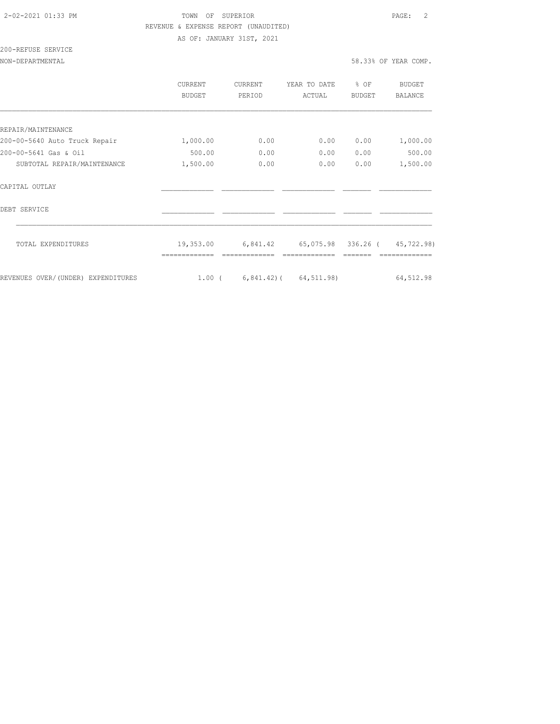## 2-02-2021 01:33 PM TOWN OF SUPERIOR PAGE: 2 REVENUE & EXPENSE REPORT (UNAUDITED)

AS OF: JANUARY 31ST, 2021

# 200-REFUSE SERVICE

NON-DEPARTMENTAL 58.33% OF YEAR COMP.

|                                    | <b>CURRENT</b><br><b>BUDGET</b> | <b>CURRENT</b><br>PERIOD | YEAR TO DATE<br>ACTUAL       | % OF<br><b>BUDGET</b> | <b>BUDGET</b><br><b>BALANCE</b> |
|------------------------------------|---------------------------------|--------------------------|------------------------------|-----------------------|---------------------------------|
|                                    |                                 |                          |                              |                       |                                 |
| REPAIR/MAINTENANCE                 |                                 |                          |                              |                       |                                 |
| 200-00-5640 Auto Truck Repair      | 1,000.00                        | 0.00                     | 0.00                         | 0.00                  | 1,000.00                        |
| 200-00-5641 Gas & Oil              | 500.00                          | 0.00                     | 0.00                         | 0.00                  | 500.00                          |
| SUBTOTAL REPAIR/MAINTENANCE        | 1,500.00                        | 0.00                     | 0.00                         | 0.00                  | 1,500.00                        |
| CAPITAL OUTLAY                     |                                 |                          |                              |                       |                                 |
| DEBT SERVICE                       |                                 |                          |                              |                       |                                 |
| TOTAL EXPENDITURES                 | 19,353.00                       | 6,841.42                 | 65,075.98 336.26 (           |                       | 45,722.98)                      |
|                                    |                                 |                          |                              |                       |                                 |
| REVENUES OVER/(UNDER) EXPENDITURES | $1.00$ (                        |                          | $6, 841.42$ ( $64, 511.98$ ) |                       | 64,512.98                       |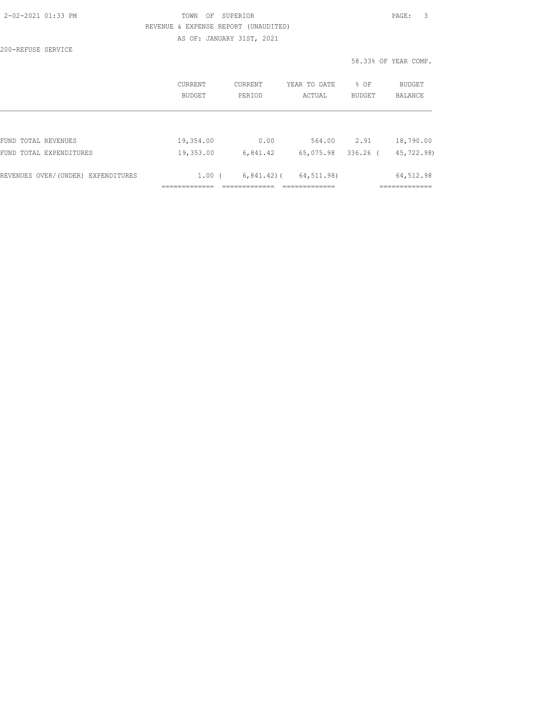| 2-02-2021 01:33 PM |  |
|--------------------|--|
|                    |  |

# TOWN OF SUPERIOR **PAGE:** 3 REVENUE & EXPENSE REPORT (UNAUDITED)

AS OF: JANUARY 31ST, 2021

200-REFUSE SERVICE

58.33% OF YEAR COMP.

|                                    | <b>CURRENT</b>    | CURRENT        | YEAR TO DATE | % OF          | BUDGET         |
|------------------------------------|-------------------|----------------|--------------|---------------|----------------|
|                                    | <b>BUDGET</b>     | PERTOD         | ACTUAL       | <b>BUDGET</b> | <b>BALANCE</b> |
| FUND TOTAL REVENUES                | 19,354.00         | 0.00           | 564.00       | 2.91          | 18,790.00      |
| FUND TOTAL EXPENDITURES            | 19,353.00         | 6,841.42       | 65,075.98    | $336.26$ (    | 45,722.98)     |
| REVENUES OVER/(UNDER) EXPENDITURES | 1.00 <sub>0</sub> | $6,841.42$ ) ( | 64,511.98)   |               | 64,512.98      |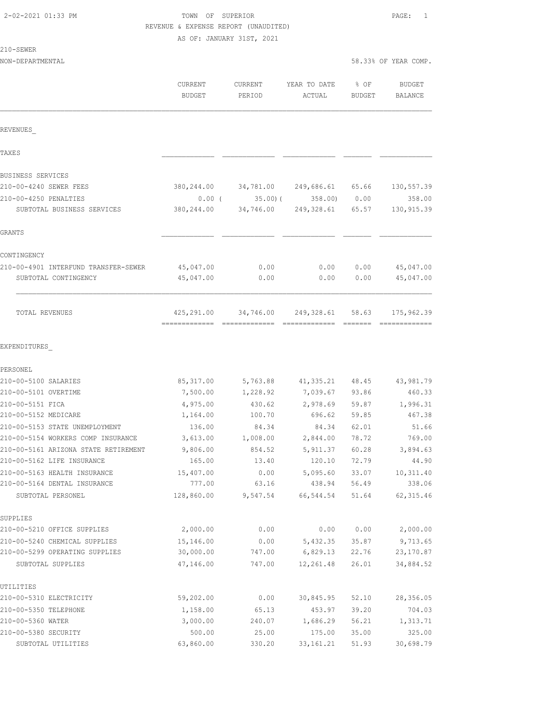## TOWN OF SUPERIOR **PAGE:** 1 REVENUE & EXPENSE REPORT (UNAUDITED)

| -SEWE |  |
|-------|--|
|-------|--|

|                                                                    | CURRENT<br><b>BUDGET</b> | CURRENT<br>PERIOD | YEAR TO DATE<br>ACTUAL                | % OF<br><b>BUDGET</b> | <b>BUDGET</b><br>BALANCE |
|--------------------------------------------------------------------|--------------------------|-------------------|---------------------------------------|-----------------------|--------------------------|
| REVENUES                                                           |                          |                   |                                       |                       |                          |
| TAXE S                                                             |                          |                   |                                       |                       |                          |
| <b>BUSINESS SERVICES</b>                                           |                          |                   |                                       |                       |                          |
| 210-00-4240 SEWER FEES                                             |                          |                   | 380,244.00 34,781.00 249,686.61 65.66 |                       | 130,557.39               |
| 210-00-4250 PENALTIES                                              | $0.00$ (                 | 35.00(            | $358.00$ 0.00                         |                       | 358.00                   |
| SUBTOTAL BUSINESS SERVICES                                         | 380,244.00               |                   | 34,746.00 249,328.61 65.57            |                       | 130, 915.39              |
| GRANTS                                                             |                          |                   |                                       |                       |                          |
| CONTINGENCY                                                        |                          |                   |                                       |                       |                          |
| 210-00-4901 INTERFUND TRANSFER-SEWER                               | 45,047.00                | 0.00              | 0.00                                  | 0.00                  | 45,047.00                |
| SUBTOTAL CONTINGENCY                                               | 45,047.00                | 0.00              | 0.00                                  | 0.00                  | 45,047.00                |
| TOTAL REVENUES                                                     | 425,291.00               | 34,746.00         | 249,328.61                            | 58.63                 | 175,962.39               |
| EXPENDITURES                                                       |                          |                   |                                       |                       |                          |
| PERSONEL                                                           |                          |                   |                                       |                       |                          |
| 210-00-5100 SALARIES                                               | 85, 317.00               |                   | 5,763.88 41,335.21 48.45              |                       | 43,981.79                |
| 210-00-5101 OVERTIME                                               | 7,500.00                 | 1,228.92          | 7,039.67 93.86                        |                       | 460.33                   |
| 210-00-5151 FICA                                                   | 4,975.00                 | 430.62            | 2,978.69 59.87                        |                       | 1,996.31                 |
| 210-00-5152 MEDICARE                                               | 1,164.00                 | 100.70            | 696.62                                | 59.85                 | 467.38                   |
| 210-00-5153 STATE UNEMPLOYMENT                                     | 136.00                   | 84.34             | 84.34                                 | 62.01                 | 51.66                    |
| 210-00-5154 WORKERS COMP INSURANCE                                 | 3,613.00                 | 1,008.00          | 2,844.00                              | 78.72                 | 769.00                   |
| 210-00-5161 ARIZONA STATE RETIREMENT<br>210-00-5162 LIFE INSURANCE | 9,806.00<br>165.00       | 854.52<br>13.40   | 5,911.37<br>120.10                    | 60.28<br>72.79        | 3,894.63<br>44.90        |
| 210-00-5163 HEALTH INSURANCE                                       | 15,407.00                | 0.00              | 5,095.60                              | 33.07                 | 10, 311.40               |
| 210-00-5164 DENTAL INSURANCE                                       | 777.00                   | 63.16             | 438.94 56.49                          |                       | 338.06                   |
| SUBTOTAL PERSONEL                                                  | 128,860.00               | 9,547.54          | 66,544.54                             | 51.64                 | 62, 315.46               |
| SUPPLIES                                                           |                          |                   |                                       |                       |                          |
| 210-00-5210 OFFICE SUPPLIES                                        | 2,000.00                 | 0.00              | 0.00                                  | 0.00                  | 2,000.00                 |
| 210-00-5240 CHEMICAL SUPPLIES                                      | 15,146.00                | 0.00              | 5,432.35                              | 35.87                 | 9,713.65                 |
| 210-00-5299 OPERATING SUPPLIES                                     | 30,000.00                | 747.00            | 6,829.13                              | 22.76                 | 23, 170.87               |
| SUBTOTAL SUPPLIES                                                  | 47,146.00                | 747.00            | 12,261.48                             | 26.01                 | 34,884.52                |
| UTILITIES                                                          |                          |                   |                                       |                       |                          |
| 210-00-5310 ELECTRICITY                                            | 59,202.00                | 0.00              | 30,845.95                             | 52.10                 | 28,356.05                |
| 210-00-5350 TELEPHONE<br>210-00-5360 WATER                         | 1,158.00<br>3,000.00     | 65.13<br>240.07   | 453.97<br>1,686.29                    | 39.20<br>56.21        | 704.03<br>1,313.71       |
| 210-00-5380 SECURITY                                               | 500.00                   | 25.00             | 175.00                                | 35.00                 | 325.00                   |
| SUBTOTAL UTILITIES                                                 | 63,860.00                | 330.20            | 33, 161.21                            | 51.93                 | 30,698.79                |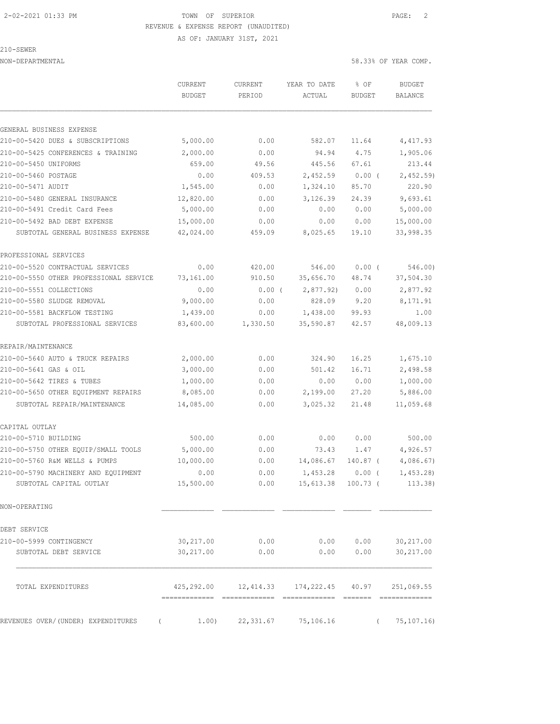AS OF: JANUARY 31ST, 2021

210-SEWER

NON-DEPARTMENTAL 58.33% OF YEAR COMP.

|                                        | CURRENT<br><b>BUDGET</b> | CURRENT<br>PERIOD | YEAR TO DATE<br>ACTUAL                | % OF<br><b>BUDGET</b> | <b>BUDGET</b><br><b>BALANCE</b> |
|----------------------------------------|--------------------------|-------------------|---------------------------------------|-----------------------|---------------------------------|
|                                        |                          |                   |                                       |                       |                                 |
| GENERAL BUSINESS EXPENSE               |                          |                   |                                       |                       |                                 |
| 210-00-5420 DUES & SUBSCRIPTIONS       | 5,000.00                 | 0.00              | 582.07                                | 11.64                 | 4,417.93                        |
| 210-00-5425 CONFERENCES & TRAINING     | 2,000.00                 | 0.00              | 94.94                                 | 4.75                  | 1,905.06                        |
| 210-00-5450 UNIFORMS                   | 659.00                   | 49.56             | 445.56                                | 67.61                 | 213.44                          |
| 210-00-5460 POSTAGE                    | 0.00                     | 409.53            | 2,452.59                              | $0.00$ (              | 2,452.59                        |
| 210-00-5471 AUDIT                      | 1,545.00                 | 0.00              | 1,324.10                              | 85.70                 | 220.90                          |
| 210-00-5480 GENERAL INSURANCE          | 12,820.00                | 0.00              | 3,126.39                              | 24.39                 | 9,693.61                        |
| 210-00-5491 Credit Card Fees           | 5,000.00                 | 0.00              | 0.00                                  | 0.00                  | 5,000.00                        |
| 210-00-5492 BAD DEBT EXPENSE           | 15,000.00                | 0.00              | 0.00                                  | 0.00                  | 15,000.00                       |
| SUBTOTAL GENERAL BUSINESS EXPENSE      | 42,024.00                | 459.09            | 8,025.65                              | 19.10                 | 33,998.35                       |
| PROFESSIONAL SERVICES                  |                          |                   |                                       |                       |                                 |
| 210-00-5520 CONTRACTUAL SERVICES       | 0.00                     | 420.00            | 546.00                                | 0.00(                 | 546.00)                         |
| 210-00-5550 OTHER PROFESSIONAL SERVICE | 73,161.00                | 910.50            | 35,656.70                             | 48.74                 | 37,504.30                       |
| 210-00-5551 COLLECTIONS                | 0.00                     | $0.00$ (          | 2,877.92                              | 0.00                  | 2,877.92                        |
| 210-00-5580 SLUDGE REMOVAL             | 9,000.00                 | 0.00              | 828.09                                | 9.20                  | 8,171.91                        |
| 210-00-5581 BACKFLOW TESTING           | 1,439.00                 | 0.00              | 1,438.00                              | 99.93                 | 1.00                            |
| SUBTOTAL PROFESSIONAL SERVICES         | 83,600.00                | 1,330.50          | 35,590.87                             | 42.57                 | 48,009.13                       |
| REPAIR/MAINTENANCE                     |                          |                   |                                       |                       |                                 |
| 210-00-5640 AUTO & TRUCK REPAIRS       | 2,000.00                 | 0.00              | 324.90                                | 16.25                 | 1,675.10                        |
| 210-00-5641 GAS & OIL                  | 3,000.00                 | 0.00              | 501.42                                | 16.71                 | 2,498.58                        |
| 210-00-5642 TIRES & TUBES              | 1,000.00                 | 0.00              | 0.00                                  | 0.00                  | 1,000.00                        |
| 210-00-5650 OTHER EQUIPMENT REPAIRS    | 8,085.00                 | 0.00              | 2,199.00                              | 27.20                 | 5,886.00                        |
| SUBTOTAL REPAIR/MAINTENANCE            | 14,085.00                | 0.00              | 3,025.32                              | 21.48                 | 11,059.68                       |
| CAPITAL OUTLAY                         |                          |                   |                                       |                       |                                 |
| 210-00-5710 BUILDING                   | 500.00                   | 0.00              | 0.00                                  | 0.00                  | 500.00                          |
| 210-00-5750 OTHER EQUIP/SMALL TOOLS    | 5,000.00                 | 0.00              | 73.43                                 | 1.47                  | 4,926.57                        |
| 210-00-5760 R&M WELLS & PUMPS          | 10,000.00                | 0.00              | 14,086.67                             | 140.87 (              | 4,086.67                        |
| 210-00-5790 MACHINERY AND EQUIPMENT    | 0.00                     | 0.00              | 1,453.28                              | 0.00(                 | 1,453.28                        |
| SUBTOTAL CAPITAL OUTLAY                | 15,500.00                | 0.00              | 15,613.38 100.73 (                    |                       | 113.38)                         |
| NON-OPERATING                          |                          |                   |                                       |                       |                                 |
| DEBT SERVICE                           |                          |                   |                                       |                       |                                 |
| 210-00-5999 CONTINGENCY                | 30, 217.00               | 0.00              | 0.00                                  | 0.00                  | 30,217.00                       |
| SUBTOTAL DEBT SERVICE                  | 30,217.00                | 0.00              | 0.00                                  | 0.00                  | 30, 217.00                      |
| TOTAL EXPENDITURES                     |                          |                   | 425,292.00 12,414.33 174,222.45 40.97 |                       | 251,069.55                      |
|                                        |                          |                   |                                       |                       |                                 |
| REVENUES OVER/ (UNDER) EXPENDITURES    | 1.00)                    | 22,331.67         | 75,106.16                             |                       | 75, 107.16                      |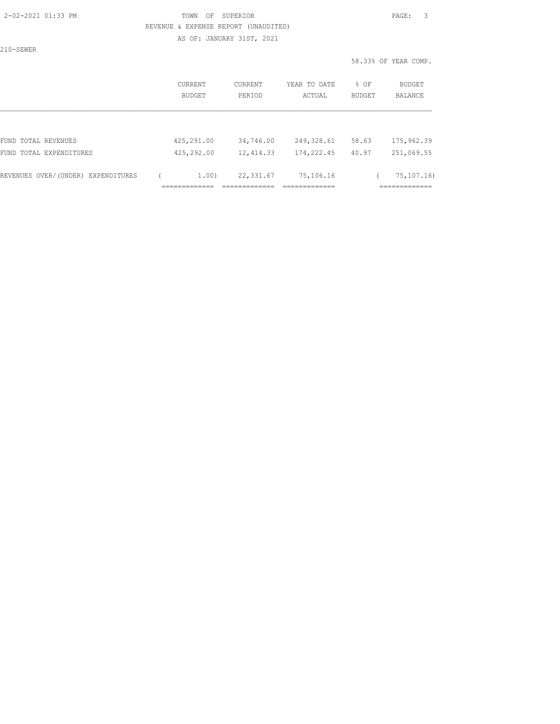AS OF: JANUARY 31ST, 2021

210-SEWER

| CURRENT<br>BUDGET             | CURRENT<br>PERIOD                    | YEAR TO DATE<br>ACTUAL                     | % OF<br>BUDGET | BUDGET<br>BALANCE                            |
|-------------------------------|--------------------------------------|--------------------------------------------|----------------|----------------------------------------------|
|                               |                                      |                                            |                |                                              |
| 425,291.00                    | 34,746.00                            | 249,328.61                                 | 58.63          | 175,962.39                                   |
| 425,292.00                    | 12, 414.33                           | 174,222.45                                 | 40.97          | 251,069.55                                   |
| _____________<br>------------ | 22,331.67<br>___________<br>________ | 75,106.16<br>_____________<br>------------ |                | 75, 107. 16)<br>____________<br>------------ |
|                               |                                      | 1.00)                                      |                |                                              |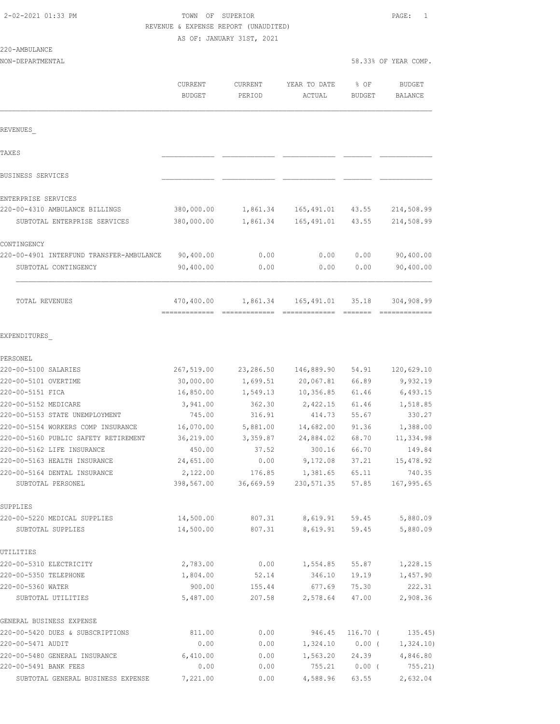| 2-02-2021 01:33 PM |  |  |
|--------------------|--|--|
|--------------------|--|--|

# TOWN OF SUPERIOR **PAGE:** 1 REVENUE & EXPENSE REPORT (UNAUDITED)

AS OF: JANUARY 31ST, 2021

#### 220-AMBULANCE

| NON-DEPARTMENTAL |               |         |              |        | 58.33% OF YEAR COMP. |
|------------------|---------------|---------|--------------|--------|----------------------|
|                  | CURRENT       | CURRENT | YEAR TO DATE | % OF   | <b>BUDGET</b>        |
|                  | <b>BUDGET</b> | PERIOD  | ACTUAL       | BUDGET | BALANCE              |
|                  |               |         |              |        |                      |
| REVENUES         |               |         |              |        |                      |
| TAXE S           |               |         |              |        |                      |

============= ============= ============= ======= =============

| TOTAL REVENUES                           | 470,400.00 | 1,861.34 | 165,491.01 | 35.18 | 304,908.99 |
|------------------------------------------|------------|----------|------------|-------|------------|
| SUBTOTAL CONTINGENCY                     | 90,400.00  | 0.00     | 0.00       | 0.00  | 90,400.00  |
| 220-00-4901 INTERFUND TRANSFER-AMBULANCE | 90,400.00  | 0.00     | 0.00       | 0.00  | 90,400.00  |
| CONTINGENCY                              |            |          |            |       |            |
| SUBTOTAL ENTERPRISE SERVICES             | 380,000.00 | 1,861.34 | 165,491.01 | 43.55 | 214,508.99 |
| 220-00-4310 AMBULANCE BILLINGS           | 380,000.00 | 1,861.34 | 165,491.01 | 43.55 | 214,508.99 |
| ENTERPRISE SERVICES                      |            |          |            |       |            |
| BUSINESS SERVICES                        |            |          |            |       |            |

#### EXPENDITURES\_

| PERSONEL                             |            |           |            |          |            |
|--------------------------------------|------------|-----------|------------|----------|------------|
| 220-00-5100 SALARIES                 | 267,519.00 | 23,286.50 | 146,889.90 | 54.91    | 120,629.10 |
| 220-00-5101 OVERTIME                 | 30,000.00  | 1,699.51  | 20,067.81  | 66.89    | 9,932.19   |
| 220-00-5151 FICA                     | 16,850.00  | 1,549.13  | 10,356.85  | 61.46    | 6,493.15   |
| 220-00-5152 MEDICARE                 | 3,941.00   | 362.30    | 2,422.15   | 61.46    | 1,518.85   |
| 220-00-5153 STATE UNEMPLOYMENT       | 745.00     | 316.91    | 414.73     | 55.67    | 330.27     |
| 220-00-5154 WORKERS COMP INSURANCE   | 16,070.00  | 5,881.00  | 14,682.00  | 91.36    | 1,388.00   |
| 220-00-5160 PUBLIC SAFETY RETIREMENT | 36,219.00  | 3,359.87  | 24,884.02  | 68.70    | 11,334.98  |
| 220-00-5162 LIFE INSURANCE           | 450.00     | 37.52     | 300.16     | 66.70    | 149.84     |
| 220-00-5163 HEALTH INSURANCE         | 24,651.00  | 0.00      | 9,172.08   | 37.21    | 15, 478.92 |
| 220-00-5164 DENTAL INSURANCE         | 2,122.00   | 176.85    | 1,381.65   | 65.11    | 740.35     |
| SUBTOTAL PERSONEL                    | 398,567.00 | 36,669.59 | 230,571.35 | 57.85    | 167,995.65 |
| SUPPLIES                             |            |           |            |          |            |
| 220-00-5220 MEDICAL SUPPLIES         | 14,500.00  | 807.31    | 8,619.91   | 59.45    | 5,880.09   |
| SUBTOTAL SUPPLIES                    | 14,500.00  | 807.31    | 8,619.91   | 59.45    | 5,880.09   |
| UTILITIES                            |            |           |            |          |            |
| 220-00-5310 ELECTRICITY              | 2,783.00   | 0.00      | 1,554.85   | 55.87    | 1,228.15   |
| 220-00-5350 TELEPHONE                | 1,804.00   | 52.14     | 346.10     | 19.19    | 1,457.90   |
| 220-00-5360 WATER                    | 900.00     | 155.44    | 677.69     | 75.30    | 222.31     |
| SUBTOTAL UTILITIES                   | 5,487.00   | 207.58    | 2,578.64   | 47.00    | 2,908.36   |
| GENERAL BUSINESS EXPENSE             |            |           |            |          |            |
| 220-00-5420 DUES & SUBSCRIPTIONS     | 811.00     | 0.00      | 946.45     | 116.70 ( | 135.45)    |
| 220-00-5471 AUDIT                    | 0.00       | 0.00      | 1,324.10   | $0.00$ ( | 1,324.10)  |
| 220-00-5480 GENERAL INSURANCE        | 6,410.00   | 0.00      | 1,563.20   | 24.39    | 4,846.80   |
| 220-00-5491 BANK FEES                | 0.00       | 0.00      | 755.21     | $0.00$ ( | 755.21)    |
| SUBTOTAL GENERAL BUSINESS EXPENSE    | 7,221.00   | 0.00      | 4,588.96   | 63.55    | 2,632.04   |
|                                      |            |           |            |          |            |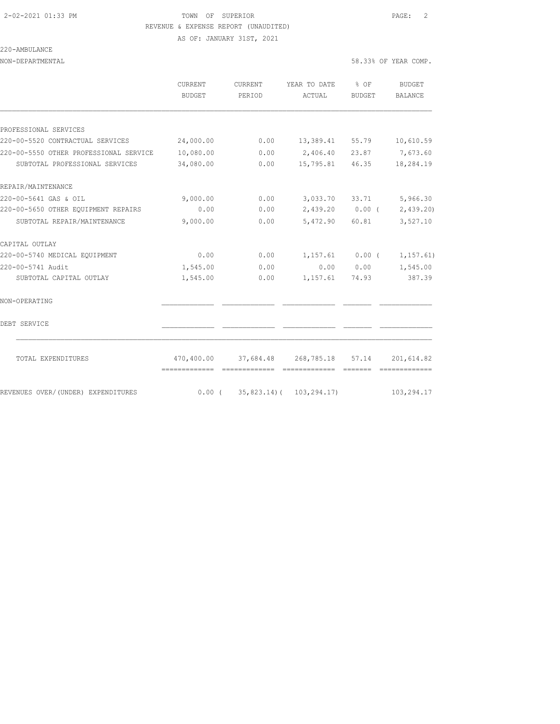AS OF: JANUARY 31ST, 2021

### 220-AMBULANCE

| NON-DEPARTMENTAL | 58.33% OF YEAR COMP. |
|------------------|----------------------|
|                  |                      |

|                                        | <b>CURRENT</b><br>BUDGET      | <b>CURRENT</b><br>PERIOD              | YEAR TO DATE<br>ACTUAL       | $\frac{6}{6}$ OF<br>BUDGET | <b>BUDGET</b><br>BALANCE |
|----------------------------------------|-------------------------------|---------------------------------------|------------------------------|----------------------------|--------------------------|
|                                        |                               |                                       |                              |                            |                          |
| PROFESSIONAL SERVICES                  |                               |                                       |                              |                            |                          |
| 220-00-5520 CONTRACTUAL SERVICES       | 24,000.00                     | 0.00                                  | 13,389.41 55.79              |                            | 10,610.59                |
| 220-00-5550 OTHER PROFESSIONAL SERVICE | 10,080.00                     | 0.00                                  | 2,406.40                     | 23.87                      | 7,673.60                 |
| SUBTOTAL PROFESSIONAL SERVICES         | 34,080.00                     | 0.00                                  | 15,795.81                    | 46.35                      | 18,284.19                |
| REPAIR/MAINTENANCE                     |                               |                                       |                              |                            |                          |
| 220-00-5641 GAS & OIL                  | 9,000.00                      | 0.00                                  | 3,033.70                     | 33.71                      | 5,966.30                 |
| 220-00-5650 OTHER EQUIPMENT REPAIRS    | 0.00                          | 0.00                                  | $2,439.20$ 0.00 (            |                            | 2,439.20)                |
| SUBTOTAL REPAIR/MAINTENANCE            | 9,000.00                      | 0.00                                  | 5,472.90                     | 60.81                      | 3,527.10                 |
| CAPITAL OUTLAY                         |                               |                                       |                              |                            |                          |
| 220-00-5740 MEDICAL EQUIPMENT          | 0.00                          | 0.00                                  | $1,157.61$ 0.00 (            |                            | 1, 157.61)               |
| 220-00-5741 Audit                      | 1,545.00                      | 0.00                                  |                              | 0.00 0.00                  | 1,545.00                 |
| SUBTOTAL CAPITAL OUTLAY                | 1,545.00                      | 0.00                                  | 1,157.61                     | 74.93                      | 387.39                   |
| NON-OPERATING                          |                               |                                       |                              |                            |                          |
| DEBT SERVICE                           |                               |                                       |                              |                            |                          |
| TOTAL EXPENDITURES                     | -------------- -------------- | 470,400.00 37,684.48 268,785.18 57.14 |                              |                            | 201,614.82               |
| REVENUES OVER/(UNDER) EXPENDITURES     | $0.00$ (                      |                                       | $35,823.14$ ( $103,294.17$ ) |                            | 103,294.17               |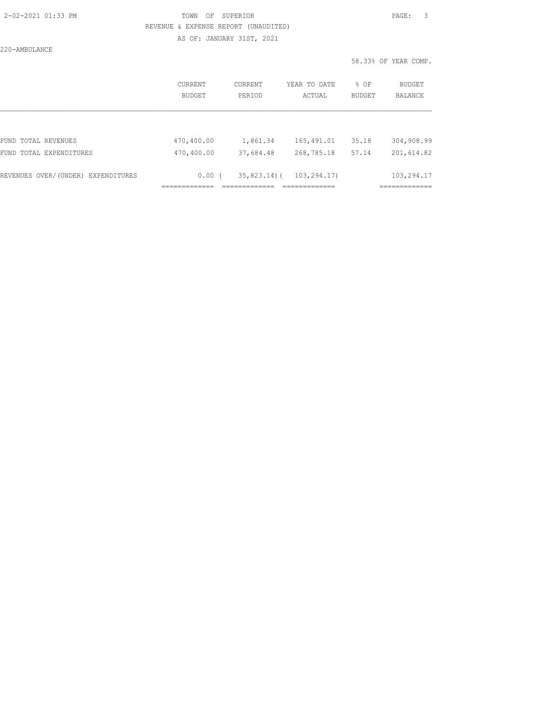AS OF: JANUARY 31ST, 2021

220-AMBULANCE

|                                    | CURRENT<br><b>BUDGET</b> | <b>CURRENT</b><br>PERIOD | YEAR TO DATE<br>ACTUAL | % OF<br><b>BUDGET</b> | BUDGET<br><b>BALANCE</b> |
|------------------------------------|--------------------------|--------------------------|------------------------|-----------------------|--------------------------|
|                                    |                          |                          |                        |                       |                          |
| FUND TOTAL REVENUES                | 470,400.00               | 1,861.34                 | 165,491.01             | 35.18                 | 304,908.99               |
| FUND TOTAL EXPENDITURES            | 470,400.00               | 37,684.48                | 268,785.18             | 57.14                 | 201,614.82               |
| REVENUES OVER/(UNDER) EXPENDITURES | 0.00(                    | $35,823.14$ ) (          | 103,294.17)            |                       | 103,294.17               |
|                                    |                          |                          |                        |                       |                          |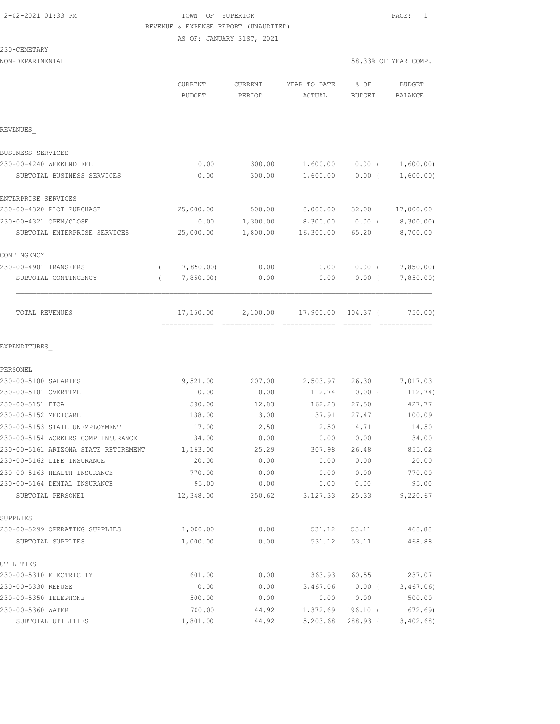#### 2-02-2021 01:33 PM TOWN OF SUPERIOR PAGE: 1 REVENUE & EXPENSE REPORT (UNAUDITED) AS OF: JANUARY 31ST, 2021

230-CEMETARY

NON-DEPARTMENTAL 58.33% OF YEAR COMP.

|                                                                      | CURRENT<br><b>BUDGET</b>   | CURRENT<br>PERIOD | YEAR TO DATE<br>ACTUAL     | % OF<br><b>BUDGET</b> | <b>BUDGET</b><br>BALANCE |
|----------------------------------------------------------------------|----------------------------|-------------------|----------------------------|-----------------------|--------------------------|
| REVENUES                                                             |                            |                   |                            |                       |                          |
| BUSINESS SERVICES                                                    |                            |                   |                            |                       |                          |
| 230-00-4240 WEEKEND FEE                                              | 0.00                       | 300.00            | 1,600.00                   | $0.00$ (              | 1,600.00)                |
| SUBTOTAL BUSINESS SERVICES                                           | 0.00                       | 300.00            | 1,600.00                   | 0.00(                 | 1,600.00)                |
| ENTERPRISE SERVICES                                                  |                            |                   |                            |                       |                          |
| 230-00-4320 PLOT PURCHASE                                            | 25,000.00                  | 500.00            | 8,000.00                   | 32.00                 | 17,000.00                |
| 230-00-4321 OPEN/CLOSE                                               | 0.00                       | 1,300.00          | 8,300.00                   | $0.00$ (              | 8,300.00)                |
| SUBTOTAL ENTERPRISE SERVICES                                         | 25,000.00                  | 1,800.00          | 16,300.00                  | 65.20                 | 8,700.00                 |
| CONTINGENCY                                                          |                            |                   |                            |                       |                          |
| 230-00-4901 TRANSFERS                                                | 7,850.00                   | 0.00              | 0.00                       | $0.00$ (              | 7,850.00                 |
| SUBTOTAL CONTINGENCY                                                 | 7,850.00                   | 0.00              | 0.00                       | 0.00(                 | 7,850.00                 |
| TOTAL REVENUES                                                       | 17,150.00<br>============= | 2,100.00          | 17,900.00<br>============= | 104.37 (              | 750.00)                  |
| EXPENDITURES                                                         |                            |                   |                            |                       |                          |
| PERSONEL                                                             |                            |                   |                            |                       |                          |
| 230-00-5100 SALARIES                                                 | 9,521.00                   | 207.00            | 2,503.97                   | 26.30                 | 7,017.03                 |
| 230-00-5101 OVERTIME                                                 | 0.00                       | 0.00              | 112.74                     | $0.00$ (              | 112.74)                  |
| 230-00-5151 FICA                                                     | 590.00                     | 12.83             | 162.23                     | 27.50                 | 427.77                   |
| 230-00-5152 MEDICARE                                                 | 138.00                     | 3.00              | 37.91                      | 27.47                 | 100.09                   |
| 230-00-5153 STATE UNEMPLOYMENT<br>230-00-5154 WORKERS COMP INSURANCE | 17.00                      | 2.50              | 2.50                       | 14.71                 | 14.50                    |
|                                                                      | 34.00                      | 0.00              | 0.00                       | 0.00                  | 34.00<br>855.02          |
| 230-00-5161 ARIZONA STATE RETIREMENT<br>230-00-5162 LIFE INSURANCE   | 1,163.00<br>20.00          | 25.29<br>0.00     | 307.98<br>0.00             | 26.48<br>0.00         | 20.00                    |
| 230-00-5163 HEALTH INSURANCE                                         | 770.00                     | 0.00              | 0.00                       | 0.00                  | 770.00                   |
| 230-00-5164 DENTAL INSURANCE                                         | 95.00                      | 0.00              | 0.00                       | 0.00                  | 95.00                    |
| SUBTOTAL PERSONEL                                                    | 12,348.00                  | 250.62            | 3,127.33                   | 25.33                 | 9,220.67                 |
| SUPPLIES                                                             |                            |                   |                            |                       |                          |
| 230-00-5299 OPERATING SUPPLIES                                       | 1,000.00                   | 0.00              | 531.12                     | 53.11                 | 468.88                   |
| SUBTOTAL SUPPLIES                                                    | 1,000.00                   | 0.00              | 531.12                     | 53.11                 | 468.88                   |
| UTILITIES                                                            |                            |                   |                            |                       |                          |
| 230-00-5310 ELECTRICITY                                              | 601.00                     | 0.00              | 363.93                     | 60.55                 | 237.07                   |
| 230-00-5330 REFUSE                                                   | 0.00                       | 0.00              | 3,467.06                   | $0.00$ (              | 3,467.06                 |
| 230-00-5350 TELEPHONE                                                | 500.00                     | 0.00              | 0.00                       | 0.00                  | 500.00                   |
| 230-00-5360 WATER                                                    | 700.00                     | 44.92             | 1,372.69                   | 196.10 (              | 672.69)                  |
| SUBTOTAL UTILITIES                                                   | 1,801.00                   | 44.92             | 5,203.68                   | 288.93 (              | 3,402.68                 |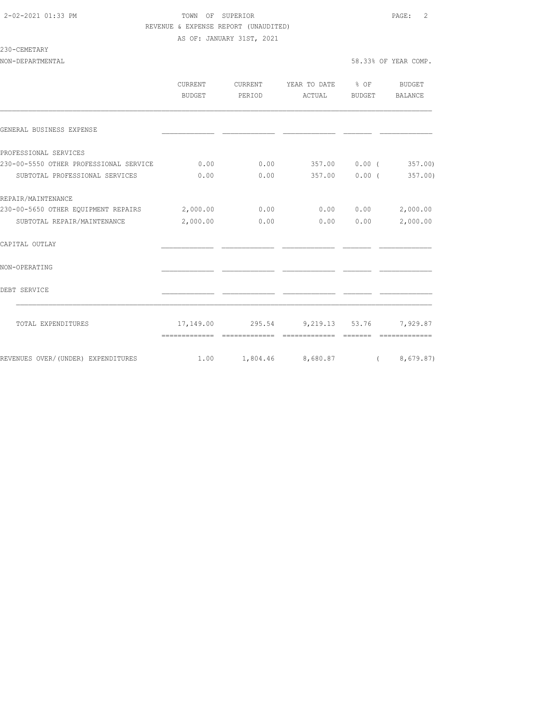AS OF: JANUARY 31ST, 2021

### 230-CEMETARY

|                                        | <b>CURRENT</b><br>BUDGET | CURRENT<br>PERIOD | YEAR TO DATE % OF<br>ACTUAL                  | BUDGET        | BUDGET<br>BALANCE |
|----------------------------------------|--------------------------|-------------------|----------------------------------------------|---------------|-------------------|
|                                        |                          |                   |                                              |               |                   |
| GENERAL BUSINESS EXPENSE               |                          |                   |                                              |               |                   |
| PROFESSIONAL SERVICES                  |                          |                   |                                              |               |                   |
| 230-00-5550 OTHER PROFESSIONAL SERVICE | 0.00                     | 0.00              |                                              | 357.00 0.00 ( | 357.00            |
| SUBTOTAL PROFESSIONAL SERVICES         | 0.00                     | 0.00              |                                              | 357.00 0.00 ( | 357.00)           |
| REPAIR/MAINTENANCE                     |                          |                   |                                              |               |                   |
| 230-00-5650 OTHER EQUIPMENT REPAIRS    | 2,000.00                 | 0.00              |                                              | 0.0000000     | 2,000.00          |
| SUBTOTAL REPAIR/MAINTENANCE            | 2,000.00                 | 0.00              |                                              | 0.00 0.00     | 2,000.00          |
| CAPITAL OUTLAY                         |                          |                   |                                              |               |                   |
| NON-OPERATING                          |                          |                   |                                              |               |                   |
| DEBT SERVICE                           |                          |                   |                                              |               |                   |
| TOTAL EXPENDITURES                     |                          |                   | 17,149.00 295.54 9,219.13 53.76              |               | 7,929.87          |
|                                        | -------------            | =============     | =============                                |               | =============     |
| REVENUES OVER/(UNDER) EXPENDITURES     |                          |                   | $1.00 \t 1,804.46 \t 8,680.87 \t (8,679.87)$ |               |                   |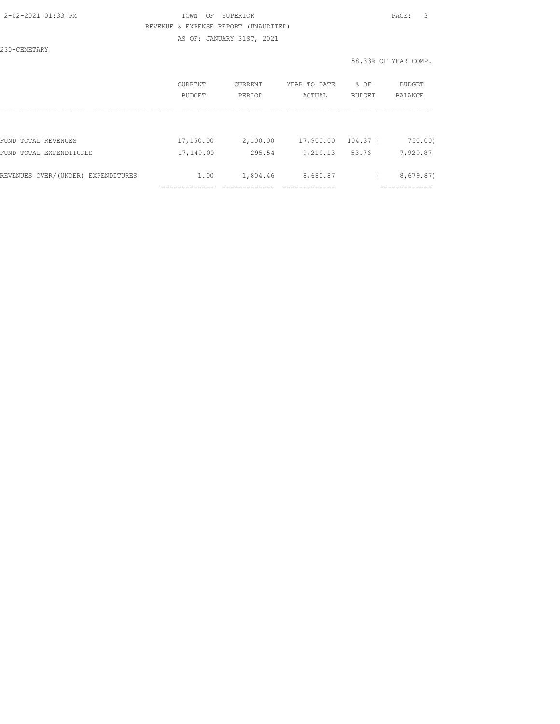AS OF: JANUARY 31ST, 2021

230-CEMETARY

|                                    | CURRENT<br><b>BUDGET</b> | <b>CURRENT</b><br>PERIOD | YEAR TO DATE<br>ACTUAL | % OF<br>BUDGET | <b>BUDGET</b><br>BALANCE |
|------------------------------------|--------------------------|--------------------------|------------------------|----------------|--------------------------|
| FUND TOTAL REVENUES                | 17,150.00                | 2,100.00                 | 17,900.00              | 104.37 (       | 750.00)                  |
| FUND TOTAL EXPENDITURES            | 17,149.00                | 295.54                   | 9,219.13               | 53.76          | 7,929.87                 |
| REVENUES OVER/(UNDER) EXPENDITURES | 1.00                     | 1,804.46                 | 8,680.87               |                | 8,679.87)                |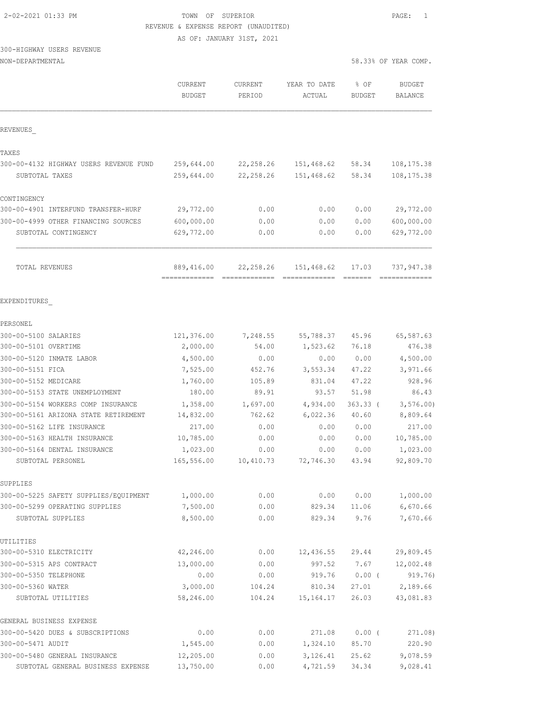AS OF: JANUARY 31ST, 2021

# 300-HIGHWAY USERS REVENUE

| NON-DEPARTMENTAL |  |
|------------------|--|
|------------------|--|

|                                                     | CURRENT<br><b>BUDGET</b>    | CURRENT<br>PERIOD | YEAR TO DATE<br>ACTUAL | % OF<br><b>BUDGET</b> | <b>BUDGET</b><br><b>BALANCE</b> |
|-----------------------------------------------------|-----------------------------|-------------------|------------------------|-----------------------|---------------------------------|
| REVENUES                                            |                             |                   |                        |                       |                                 |
| TAXES                                               |                             |                   |                        |                       |                                 |
| 300-00-4132 HIGHWAY USERS REVENUE FUND              | 259,644.00                  | 22, 258.26        | 151,468.62             | 58.34                 | 108, 175.38                     |
| SUBTOTAL TAXES                                      | 259,644.00                  | 22,258.26         | 151,468.62             | 58.34                 | 108, 175.38                     |
| CONTINGENCY                                         |                             |                   |                        |                       |                                 |
| 300-00-4901 INTERFUND TRANSFER-HURF                 | 29,772.00                   | 0.00              | 0.00                   | 0.00                  | 29,772.00                       |
| 300-00-4999 OTHER FINANCING SOURCES                 | 600,000.00                  | 0.00              | 0.00                   | 0.00                  | 600,000.00                      |
| SUBTOTAL CONTINGENCY                                | 629,772.00                  | 0.00              | 0.00                   | 0.00                  | 629,772.00                      |
| TOTAL REVENUES                                      | 889,416.00<br>============= | 22,258.26         | 151,468.62             | 17.03                 | 737,947.38                      |
| EXPENDITURES                                        |                             |                   |                        |                       |                                 |
| PERSONEL                                            |                             |                   |                        |                       |                                 |
| 300-00-5100 SALARIES                                | 121,376.00                  | 7,248.55          | 55,788.37              | 45.96                 | 65,587.63                       |
| 300-00-5101 OVERTIME                                | 2,000.00                    | 54.00             | 1,523.62               | 76.18                 | 476.38                          |
| 300-00-5120 INMATE LABOR                            | 4,500.00                    | 0.00              | 0.00                   | 0.00                  | 4,500.00                        |
| 300-00-5151 FICA                                    | 7,525.00                    | 452.76            | 3,553.34               | 47.22                 | 3,971.66                        |
| 300-00-5152 MEDICARE                                | 1,760.00                    | 105.89            | 831.04                 | 47.22                 | 928.96                          |
| 300-00-5153 STATE UNEMPLOYMENT                      | 180.00                      | 89.91             | 93.57                  | 51.98                 | 86.43                           |
| 300-00-5154 WORKERS COMP INSURANCE                  | 1,358.00                    | 1,697.00          | 4,934.00               | $363.33$ (            | 3, 576.00                       |
| 300-00-5161 ARIZONA STATE RETIREMENT                | 14,832.00                   | 762.62            | 6,022.36               | 40.60                 | 8,809.64                        |
| 300-00-5162 LIFE INSURANCE                          | 217.00                      | 0.00              | 0.00                   | 0.00                  | 217.00                          |
| 300-00-5163 HEALTH INSURANCE                        | 10,785.00                   | 0.00              | 0.00                   | 0.00                  | 10,785.00                       |
| 300-00-5164 DENTAL INSURANCE                        | 1,023.00                    | 0.00              | 0.00                   | 0.00                  | 1,023.00                        |
| SUBTOTAL PERSONEL                                   | 165,556.00                  | 10,410.73         | 72,746.30              | 43.94                 | 92,809.70                       |
| SUPPLIES                                            |                             |                   |                        |                       |                                 |
| 300-00-5225 SAFETY SUPPLIES/EQUIPMENT               | 1,000.00                    | 0.00              | 0.00                   | 0.00                  | 1,000.00                        |
| 300-00-5299 OPERATING SUPPLIES<br>SUBTOTAL SUPPLIES | 7,500.00<br>8,500.00        | 0.00<br>0.00      | 829.34<br>829.34       | 11.06<br>9.76         | 6,670.66<br>7,670.66            |
| UTILITIES                                           |                             |                   |                        |                       |                                 |
| 300-00-5310 ELECTRICITY                             | 42,246.00                   | 0.00              | 12,436.55              | 29.44                 | 29,809.45                       |
| 300-00-5315 APS CONTRACT                            | 13,000.00                   | 0.00              | 997.52                 | 7.67                  | 12,002.48                       |
| 300-00-5350 TELEPHONE                               | 0.00                        | 0.00              | 919.76                 | $0.00$ (              | 919.76)                         |
| 300-00-5360 WATER                                   | 3,000.00                    | 104.24            | 810.34                 | 27.01                 | 2,189.66                        |
| SUBTOTAL UTILITIES                                  | 58,246.00                   | 104.24            | 15, 164. 17            | 26.03                 | 43,081.83                       |
| GENERAL BUSINESS EXPENSE                            |                             |                   |                        |                       |                                 |
| 300-00-5420 DUES & SUBSCRIPTIONS                    | 0.00                        | 0.00              | 271.08                 | $0.00$ (              | 271.08)                         |
| 300-00-5471 AUDIT                                   | 1,545.00                    | 0.00              | 1,324.10               | 85.70                 | 220.90                          |
| 300-00-5480 GENERAL INSURANCE                       | 12,205.00                   | 0.00              | 3,126.41               | 25.62                 | 9,078.59                        |
| SUBTOTAL GENERAL BUSINESS EXPENSE                   | 13,750.00                   | 0.00              | 4,721.59               | 34.34                 | 9,028.41                        |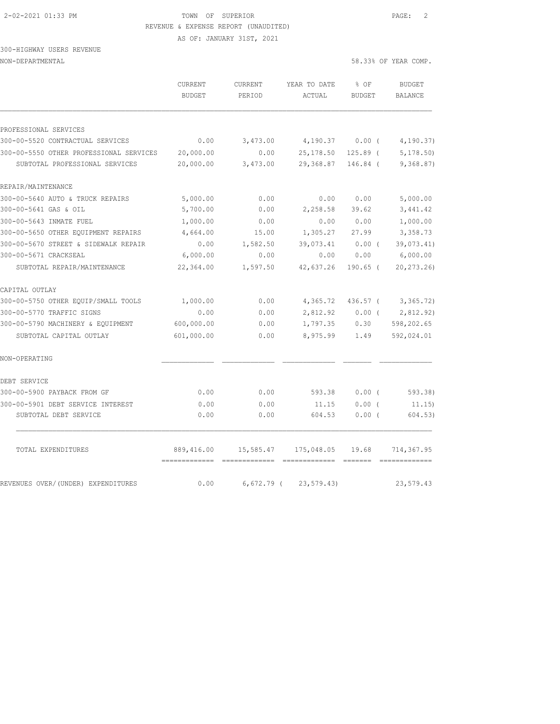AS OF: JANUARY 31ST, 2021

# 300-HIGHWAY USERS REVENUE

| JUUTHIGHWAI UJERJ REVENUE |                      |  |
|---------------------------|----------------------|--|
| NON-DEPARTMENTAL          | 58.33% OF YEAR COMP. |  |

|  | 8.33% OF YEAR COMP |  |
|--|--------------------|--|

|                                         | <b>CURRENT</b><br><b>BUDGET</b> | CURRENT<br>PERIOD | YEAR TO DATE<br>ACTUAL | % OF<br><b>BUDGET</b> | <b>BUDGET</b><br>BALANCE |
|-----------------------------------------|---------------------------------|-------------------|------------------------|-----------------------|--------------------------|
|                                         |                                 |                   |                        |                       |                          |
| PROFESSIONAL SERVICES                   |                                 |                   |                        |                       |                          |
| 300-00-5520 CONTRACTUAL SERVICES        | 0.00                            | 3,473.00          | 4,190.37               | 0.00(                 | 4, 190.37)               |
| 300-00-5550 OTHER PROFESSIONAL SERVICES | 20,000.00                       | 0.00              | 25,178.50              | $125.89$ (            | 5, 178, 50               |
| SUBTOTAL PROFESSIONAL SERVICES          | 20,000.00                       | 3,473.00          | 29,368.87              | $146.84$ (            | 9,368.87)                |
| REPAIR/MAINTENANCE                      |                                 |                   |                        |                       |                          |
| 300-00-5640 AUTO & TRUCK REPAIRS        | 5,000.00                        | 0.00              | 0.00                   | 0.00                  | 5,000.00                 |
| 300-00-5641 GAS & OIL                   | 5,700.00                        | 0.00              | 2,258.58               | 39.62                 | 3,441.42                 |
| 300-00-5643 INMATE FUEL                 | 1,000.00                        | 0.00              | 0.00                   | 0.00                  | 1,000.00                 |
| 300-00-5650 OTHER EQUIPMENT REPAIRS     | 4,664.00                        | 15.00             | 1,305.27               | 27.99                 | 3,358.73                 |
| 300-00-5670 STREET & SIDEWALK REPAIR    | 0.00                            | 1,582.50          | 39,073.41              | 0.00(                 | 39,073.41)               |
| 300-00-5671 CRACKSEAL                   | 6,000.00                        | 0.00              | 0.00                   | 0.00                  | 6,000.00                 |
| SUBTOTAL REPAIR/MAINTENANCE             | 22,364.00                       | 1,597.50          | 42,637.26              | $190.65$ (            | 20, 273.26               |
| CAPITAL OUTLAY                          |                                 |                   |                        |                       |                          |
| 300-00-5750 OTHER EQUIP/SMALL TOOLS     | 1,000.00                        | 0.00              | 4,365.72               | 436.57 (              | 3,365.72)                |
| 300-00-5770 TRAFFIC SIGNS               | 0.00                            | 0.00              | 2,812.92               | $0.00$ (              | 2,812.92)                |
| 300-00-5790 MACHINERY & EQUIPMENT       | 600,000.00                      | 0.00              | 1,797.35               | 0.30                  | 598,202.65               |
| SUBTOTAL CAPITAL OUTLAY                 | 601,000.00                      | 0.00              | 8,975.99               | 1.49                  | 592,024.01               |
| NON-OPERATING                           |                                 |                   |                        |                       |                          |
| DEBT SERVICE                            |                                 |                   |                        |                       |                          |
| 300-00-5900 PAYBACK FROM GF             | 0.00                            | 0.00              | 593.38                 | 0.00(                 | 593.38                   |
| 300-00-5901 DEBT SERVICE INTEREST       | 0.00                            | 0.00              | 11.15                  | $0.00$ (              | 11.15)                   |
| SUBTOTAL DEBT SERVICE                   | 0.00                            | 0.00              | 604.53                 | $0.00$ (              | 604.53)                  |
| TOTAL EXPENDITURES                      | 889,416.00                      | 15,585.47         | 175,048.05             | 19.68                 | 714,367.95               |
|                                         |                                 |                   |                        |                       |                          |
| REVENUES OVER/(UNDER) EXPENDITURES      | 0.00                            | $6,672.79$ (      | 23, 579.43             |                       | 23,579.43                |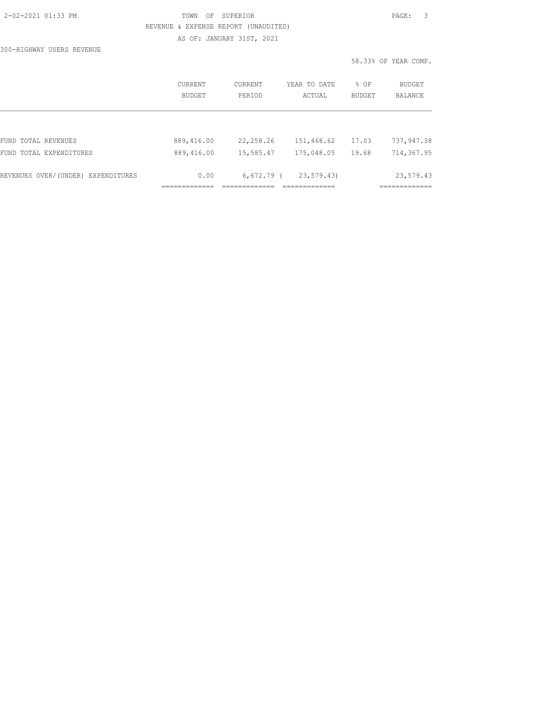AS OF: JANUARY 31ST, 2021

300-HIGHWAY USERS REVENUE

|                                    | <b>CURRENT</b><br><b>BUDGET</b> | CURRENT<br>PERIOD | YEAR TO DATE<br>ACTUAL | % OF<br>BUDGET | BUDGET<br><b>BALANCE</b> |
|------------------------------------|---------------------------------|-------------------|------------------------|----------------|--------------------------|
|                                    |                                 |                   |                        |                |                          |
| FUND TOTAL REVENUES                | 889,416.00                      | 22,258.26         | 151,468.62             | 17.03          | 737,947.38               |
| FUND TOTAL EXPENDITURES            | 889,416.00                      | 15,585.47         | 175,048.05             | 19.68          | 714,367.95               |
| REVENUES OVER/(UNDER) EXPENDITURES | 0.00                            | $6,672.79$ (      | 23,579.43)             |                | 23,579.43                |
|                                    |                                 |                   |                        |                |                          |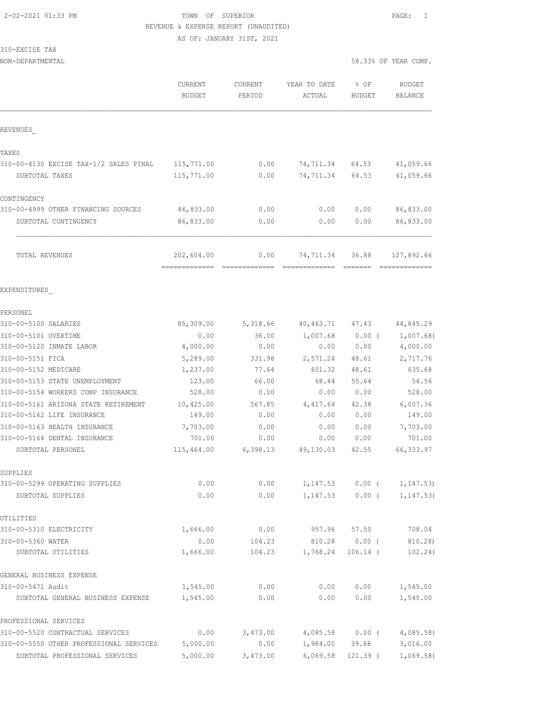AS OF: JANUARY 31ST, 2021

| 310-EXCISE<br>TAX |  |
|-------------------|--|
|-------------------|--|

NON-DEPARTMENTAL 58.33% OF YEAR COMP.

|                                         | <b>CURRENT</b><br><b>BUDGET</b> | <b>CURRENT</b><br>PERIOD | YEAR TO DATE<br>ACTUAL     | % OF<br><b>BUDGET</b> | <b>BUDGET</b><br>BALANCE    |
|-----------------------------------------|---------------------------------|--------------------------|----------------------------|-----------------------|-----------------------------|
| REVENUES                                |                                 |                          |                            |                       |                             |
| TAXES                                   |                                 |                          |                            |                       |                             |
| 310-00-4130 EXCISE TAX-1/2 SALES PINAL  | 115,771.00                      | 0.00                     | 74,711.34                  | 64.53                 | 41,059.66                   |
| SUBTOTAL TAXES                          | 115,771.00                      | 0.00                     | 74,711.34                  | 64.53                 | 41,059.66                   |
| CONTINGENCY                             |                                 |                          |                            |                       |                             |
| 310-00-4999 OTHER FINANCING SOURCES     | 86,833.00                       | 0.00                     | 0.00                       | 0.00                  | 86,833.00                   |
| SUBTOTAL CONTINGENCY                    | 86,833.00                       | 0.00                     | 0.00                       | 0.00                  | 86,833.00                   |
| TOTAL REVENUES                          | 202,604.00                      | 0.00                     | 74,711.34<br>============= | 36.88<br>--------     | 127,892.66<br>------------- |
| EXPENDITURES                            |                                 |                          |                            |                       |                             |
| PERSONEL                                |                                 |                          |                            |                       |                             |
| 310-00-5100 SALARIES                    | 85,309.00                       | 5,318.66                 | 40,463.71                  | 47.43                 | 44,845.29                   |
| 310-00-5101 OVERTIME                    | 0.00                            | 36.00                    | 1,007.68                   | $0.00$ (              | 1,007.68)                   |
| 310-00-5120 INMATE LABOR                | 4,000.00                        | 0.00                     | 0.00                       | 0.00                  | 4,000.00                    |
| 310-00-5151 FICA                        | 5,289.00                        | 331.98                   | 2,571.24                   | 48.61                 | 2,717.76                    |
| 310-00-5152 MEDICARE                    | 1,237.00                        | 77.64                    | 601.32                     | 48.61                 | 635.68                      |
| 310-00-5153 STATE UNEMPLOYMENT          | 123.00                          | 66.00                    | 68.44                      | 55.64                 | 54.56                       |
| 310-00-5154 WORKERS COMP INSURANCE      | 528.00                          | 0.00                     | 0.00                       | 0.00                  | 528.00                      |
| 310-00-5161 ARIZONA STATE RETIREMENT    | 10,425.00                       | 567.85                   | 4,417.64                   | 42.38                 | 6,007.36                    |
| 310-00-5162 LIFE INSURANCE              | 149.00                          | 0.00                     | 0.00                       | 0.00                  | 149.00                      |
| 310-00-5163 HEALTH INSURANCE            | 7,703.00                        | 0.00                     | 0.00                       | 0.00                  | 7,703.00                    |
| 310-00-5164 DENTAL INSURANCE            | 701.00                          | 0.00                     | 0.00                       | 0.00                  | 701.00                      |
| SUBTOTAL PERSONEL                       | 115,464.00                      | 6,398.13                 | 49,130.03                  | 42.55                 | 66, 333.97                  |
| SUPPLIES                                |                                 |                          |                            |                       |                             |
| 310-00-5299 OPERATING SUPPLIES          | 0.00                            | 0.00                     | 1, 147.53                  | $0.00$ (              | 1, 147.53)                  |
| SUBTOTAL SUPPLIES                       | 0.00                            | 0.00                     | 1, 147.53                  | $0.00$ (              | 1, 147.53)                  |
| UTILITIES                               |                                 |                          |                            |                       |                             |
| 310-00-5310 ELECTRICITY                 | 1,666.00                        | 0.00                     | 957.96                     | 57.50                 | 708.04                      |
| 310-00-5360 WATER                       | 0.00                            | 104.23                   | 810.28                     | $0.00$ (              | 810.28)                     |
| SUBTOTAL UTILITIES                      | 1,666.00                        | 104.23                   | 1,768.24                   | $106.14$ (            | 102.24)                     |
| GENERAL BUSINESS EXPENSE                |                                 |                          |                            |                       |                             |
| 310-00-5471 Audit                       | 1,545.00                        | 0.00                     | 0.00                       | 0.00                  | 1,545.00                    |
| SUBTOTAL GENERAL BUSINESS EXPENSE       | 1,545.00                        | 0.00                     | 0.00                       | 0.00                  | 1,545.00                    |
| PROFESSIONAL SERVICES                   |                                 |                          |                            |                       |                             |
| 310-00-5520 CONTRACTUAL SERVICES        | 0.00                            | 3,473.00                 | 4,085.58                   | $0.00$ (              | 4,085.58)                   |
| 310-00-5550 OTHER PROFESSIONAL SERVICES | 5,000.00                        | 0.00                     | 1,984.00                   | 39.68                 | 3,016.00                    |

SUBTOTAL PROFESSIONAL SERVICES 5,000.00 3,473.00 6,069.58 121.39 ( 1,069.58)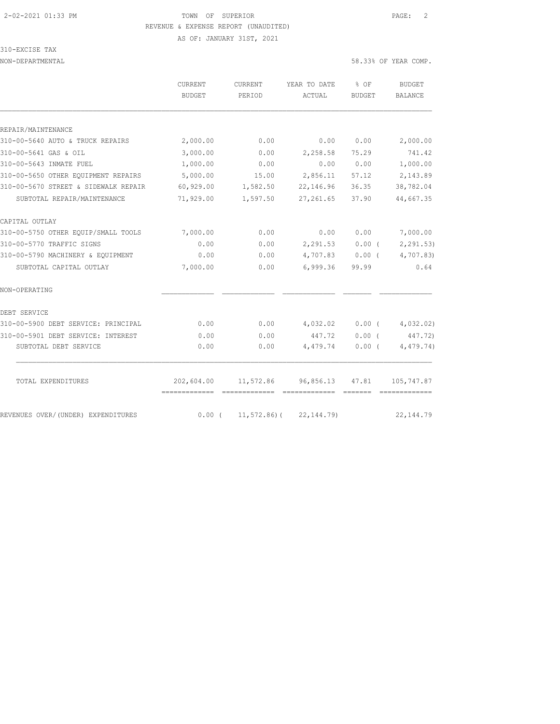AS OF: JANUARY 31ST, 2021

# 310-EXCISE TAX

|                                      | <b>CURRENT</b>               | CURRENT       | YEAR TO DATE              | % OF          | <b>BUDGET</b>         |
|--------------------------------------|------------------------------|---------------|---------------------------|---------------|-----------------------|
|                                      | <b>BUDGET</b>                | PERIOD        | ACTUAL                    | <b>BUDGET</b> | BALANCE               |
|                                      |                              |               |                           |               |                       |
| REPAIR/MAINTENANCE                   |                              |               |                           |               |                       |
| 310-00-5640 AUTO & TRUCK REPAIRS     | 2,000.00                     | 0.00          | 0.00                      | 0.00          | 2,000.00              |
| 310-00-5641 GAS & OIL                | 3,000.00                     | 0.00          | 2,258.58                  | 75.29         | 741.42                |
| 310-00-5643 INMATE FUEL              | 1,000.00                     | 0.00          | 0.00                      | 0.00          | 1,000.00              |
| 310-00-5650 OTHER EQUIPMENT REPAIRS  | 5,000.00                     | 15.00         | 2,856.11                  | 57.12         | 2,143.89              |
| 310-00-5670 STREET & SIDEWALK REPAIR | 60,929.00                    | 1,582.50      | 22,146.96                 | 36.35         | 38,782.04             |
| SUBTOTAL REPAIR/MAINTENANCE          | 71,929.00                    | 1,597.50      | 27, 261.65                | 37.90         | 44,667.35             |
| CAPITAL OUTLAY                       |                              |               |                           |               |                       |
| 310-00-5750 OTHER EQUIP/SMALL TOOLS  | 7,000.00                     | 0.00          | 0.00                      | 0.00          | 7,000.00              |
| 310-00-5770 TRAFFIC SIGNS            | 0.00                         | 0.00          | 2,291.53                  | $0.00$ (      | 2, 291.53             |
| 310-00-5790 MACHINERY & EQUIPMENT    | 0.00                         | 0.00          | 4,707.83                  | $0.00$ (      | 4,707.83)             |
| SUBTOTAL CAPITAL OUTLAY              | 7,000.00                     | 0.00          | 6,999.36                  | 99.99         | 0.64                  |
| NON-OPERATING                        |                              |               |                           |               |                       |
| DEBT SERVICE                         |                              |               |                           |               |                       |
| 310-00-5900 DEBT SERVICE: PRINCIPAL  | 0.00                         | 0.00          | 4,032.02                  |               | $0.00$ ( $4,032.02$ ) |
| 310-00-5901 DEBT SERVICE: INTEREST   | 0.00                         | 0.00          | 447.72                    | 0.00(         | 447.72)               |
| SUBTOTAL DEBT SERVICE                | 0.00                         | 0.00          | 4,479.74                  | $0.00$ (      | 4,479.74)             |
| TOTAL EXPENDITURES                   | 202,604.00                   |               | 11,572.86 96,856.13 47.81 |               | 105,747.87            |
|                                      | -------------- ------------- |               | -------------             |               |                       |
| REVENUES OVER/(UNDER) EXPENDITURES   | $0.00$ (                     | $11,572.86$ ( | 22, 144.79)               |               | 22, 144.79            |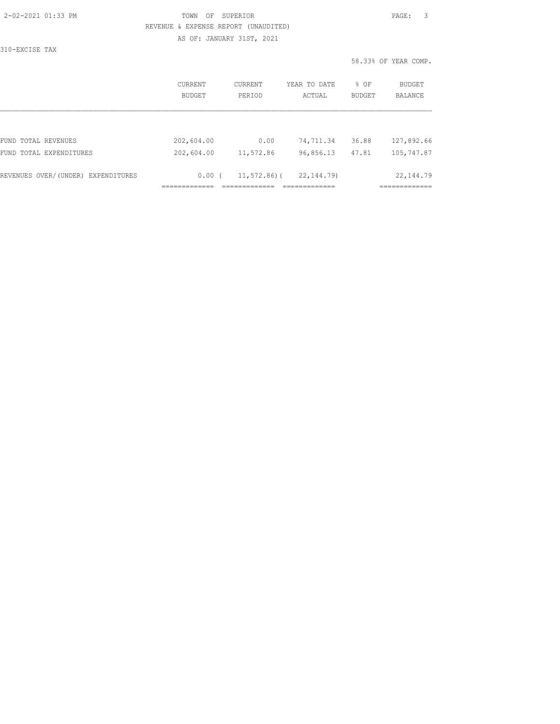AS OF: JANUARY 31ST, 2021

310-EXCISE TAX

|                                    | CURRENT<br><b>BUDGET</b> | <b>CURRENT</b><br>PERTOD | YEAR TO DATE<br>ACTUAL | % OF<br><b>BUDGET</b> | BUDGET<br><b>BALANCE</b> |
|------------------------------------|--------------------------|--------------------------|------------------------|-----------------------|--------------------------|
| FUND TOTAL REVENUES                | 202,604.00               | 0.00                     | 74,711.34              | 36.88                 | 127,892.66               |
| FUND TOTAL EXPENDITURES            | 202,604.00               | 11,572.86                | 96,856.13              | 47.81                 | 105,747.87               |
| REVENUES OVER/(UNDER) EXPENDITURES | 0.00(                    | $11,572.86$ ) (          | 22, 144, 79)           |                       | 22, 144.79               |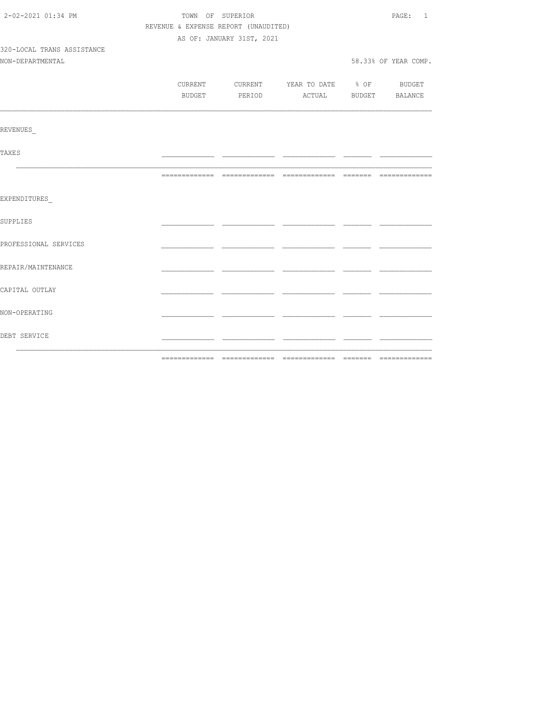| 2-02-2021 01:34 PM         | TOWN OF SUPERIOR                     | PAGE: 1                   |                                          |  |                      |
|----------------------------|--------------------------------------|---------------------------|------------------------------------------|--|----------------------|
|                            | REVENUE & EXPENSE REPORT (UNAUDITED) |                           |                                          |  |                      |
|                            |                                      | AS OF: JANUARY 31ST, 2021 |                                          |  |                      |
| 320-LOCAL TRANS ASSISTANCE |                                      |                           |                                          |  |                      |
| NON-DEPARTMENTAL           |                                      |                           |                                          |  | 58.33% OF YEAR COMP. |
|                            |                                      |                           |                                          |  |                      |
|                            |                                      |                           | CURRENT CURRENT YEAR TO DATE % OF BUDGET |  |                      |
|                            |                                      |                           | BUDGET PERIOD ACTUAL BUDGET BALANCE      |  |                      |
| <b>REVENUES</b>            |                                      |                           |                                          |  |                      |
|                            |                                      |                           |                                          |  |                      |
| TAXE S                     |                                      |                           |                                          |  |                      |
|                            |                                      |                           |                                          |  |                      |
| EXPENDITURES               |                                      |                           |                                          |  |                      |
| SUPPLIES                   |                                      |                           |                                          |  |                      |
| PROFESSIONAL SERVICES      |                                      |                           |                                          |  |                      |
| REPAIR/MAINTENANCE         |                                      |                           |                                          |  |                      |
| CAPITAL OUTLAY             |                                      |                           |                                          |  |                      |
| NON-OPERATING              |                                      |                           |                                          |  |                      |
| DEBT SERVICE               |                                      |                           |                                          |  |                      |
|                            |                                      |                           | ____ _____________ _____ _               |  |                      |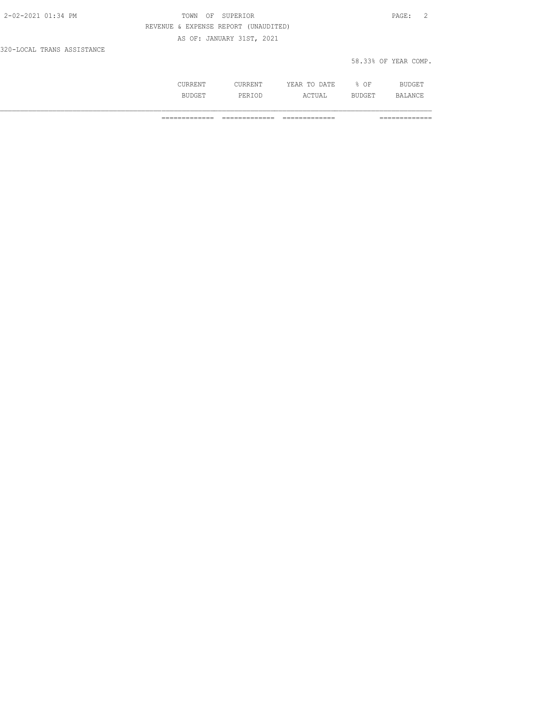| 2-02-2021 01:34 PM         | TOWN OF SUPERIOR                     | $\overline{2}$<br>PAGE: |
|----------------------------|--------------------------------------|-------------------------|
|                            | REVENUE & EXPENSE REPORT (UNAUDITED) |                         |
|                            | AS OF: JANUARY 31ST, 2021            |                         |
| 320-LOCAL TRANS ASSISTANCE |                                      |                         |

| 58.33% OF YEAR COMP. |
|----------------------|
|----------------------|

|                   | D A mm<br>. .<br>. | ΟF  |  |
|-------------------|--------------------|-----|--|
| .<br>$\mathbf{H}$ | ---                | --- |  |

============= ============= ============= =============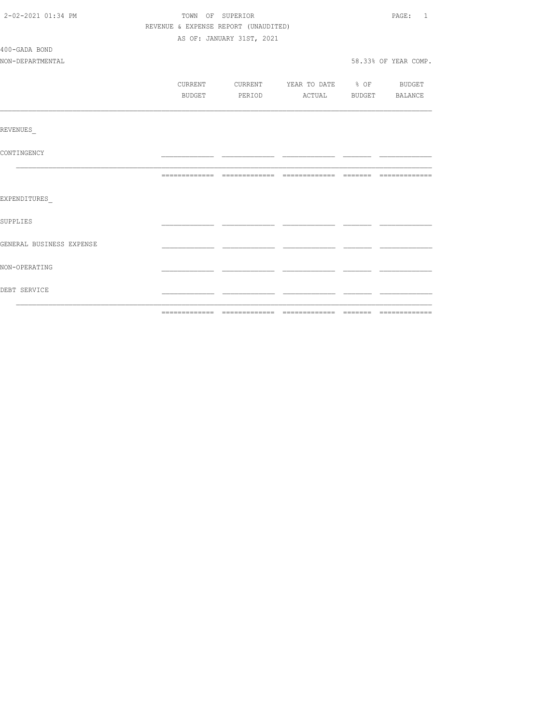| 2-02-2021 01:34 PM       | TOWN OF SUPERIOR                     | PAGE: 1                   |                                  |                      |
|--------------------------|--------------------------------------|---------------------------|----------------------------------|----------------------|
|                          | REVENUE & EXPENSE REPORT (UNAUDITED) |                           |                                  |                      |
|                          |                                      | AS OF: JANUARY 31ST, 2021 |                                  |                      |
| 400-GADA BOND            |                                      |                           |                                  |                      |
| NON-DEPARTMENTAL         |                                      |                           |                                  | 58.33% OF YEAR COMP. |
|                          |                                      |                           |                                  |                      |
|                          | CURRENT                              |                           | CURRENT YEAR TO DATE % OF BUDGET |                      |
|                          | BUDGET                               |                           | PERIOD ACTUAL BUDGET BALANCE     |                      |
|                          |                                      |                           |                                  |                      |
|                          |                                      |                           |                                  |                      |
| REVENUES                 |                                      |                           |                                  |                      |
| CONTINGENCY              |                                      |                           |                                  |                      |
|                          |                                      |                           |                                  |                      |
|                          |                                      |                           |                                  |                      |
|                          |                                      |                           |                                  |                      |
| EXPENDITURES             |                                      |                           |                                  |                      |
|                          |                                      |                           |                                  |                      |
| <b>SUPPLIES</b>          |                                      |                           |                                  |                      |
|                          |                                      |                           |                                  |                      |
| GENERAL BUSINESS EXPENSE |                                      |                           |                                  |                      |
| NON-OPERATING            |                                      |                           |                                  |                      |
|                          |                                      |                           |                                  |                      |
| DEBT SERVICE             |                                      |                           |                                  |                      |
|                          |                                      |                           |                                  |                      |
|                          |                                      |                           |                                  |                      |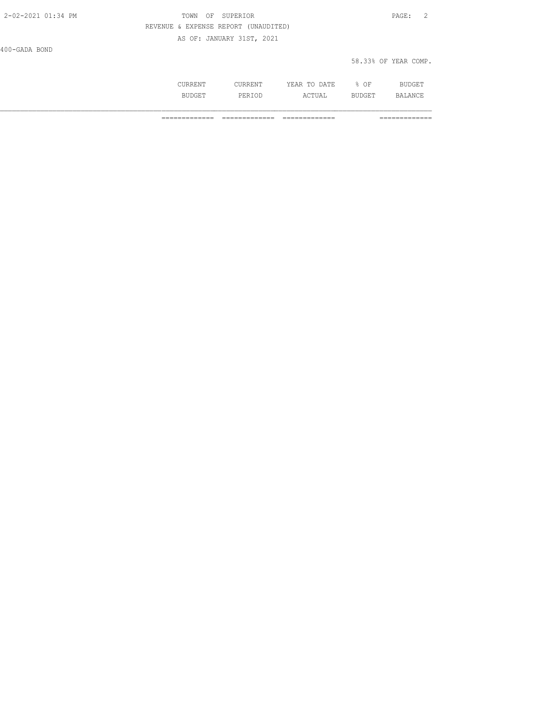| 2-02-2021 01:34 PM | TOWN OF SUPERIOR                     | PAGE: 2 |  |
|--------------------|--------------------------------------|---------|--|
|                    | REVENUE & EXPENSE REPORT (UNAUDITED) |         |  |
|                    | AS OF: JANUARY 31ST, 2021            |         |  |
| 400-GADA BOND      |                                      |         |  |

| РA<br>$\cdots$<br>11 T P . |  |
|----------------------------|--|
|                            |  |

58.33% OF YEAR COMP.

| ∴N™                          | へんやで<br>$\sim$ $\sim$ $\sim$<br>∠ H'∆ l⊋<br>. | ΟF  |          |
|------------------------------|-----------------------------------------------|-----|----------|
| ヘアロ<br><b>BIIP</b><br>------ | IΔ<br>---                                     | --- | $\cdots$ |

============= ============= ============= =============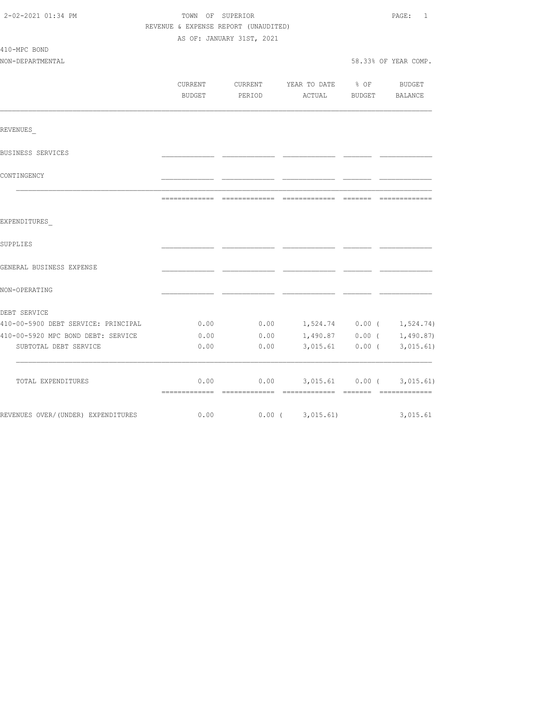| 2-02-2021 01:34 PM                  | TOWN OF SUPERIOR<br>REVENUE & EXPENSE REPORT (UNAUDITED)<br>AS OF: JANUARY 31ST, 2021 |                                 |                              |                     | PAGE:<br>1            |  |
|-------------------------------------|---------------------------------------------------------------------------------------|---------------------------------|------------------------------|---------------------|-----------------------|--|
| 410-MPC BOND<br>NON-DEPARTMENTAL    |                                                                                       |                                 |                              |                     | 58.33% OF YEAR COMP.  |  |
|                                     | <b>CURRENT</b><br>BUDGET                                                              | CURRENT<br>PERIOD               | YEAR TO DATE<br>ACTUAL       | $\div$ OF<br>BUDGET | BUDGET<br>BALANCE     |  |
| REVENUES                            |                                                                                       |                                 |                              |                     |                       |  |
| BUSINESS SERVICES                   |                                                                                       |                                 |                              |                     |                       |  |
| CONTINGENCY                         |                                                                                       |                                 |                              |                     |                       |  |
|                                     |                                                                                       | ------------------------------- |                              | --------            |                       |  |
| EXPENDITURES<br>SUPPLIES            |                                                                                       |                                 |                              |                     |                       |  |
| GENERAL BUSINESS EXPENSE            |                                                                                       |                                 |                              |                     |                       |  |
| NON-OPERATING                       |                                                                                       |                                 |                              |                     |                       |  |
| DEBT SERVICE                        |                                                                                       |                                 |                              |                     |                       |  |
| 410-00-5900 DEBT SERVICE: PRINCIPAL | 0.00                                                                                  | 0.00                            | $1, 524.74$ 0.00 ( 1,524.74) |                     |                       |  |
| 410-00-5920 MPC BOND DEBT: SERVICE  | 0.00                                                                                  | 0.00                            | 1,490.87                     |                     | $0.00$ ( $1,490.87$ ) |  |
| SUBTOTAL DEBT SERVICE               | 0.00                                                                                  | 0.00                            | 3,015.61                     | $0.00$ (            | 3,015.61)             |  |
| TOTAL EXPENDITURES                  | 0.00                                                                                  | 0.00                            |                              | 3,015.61 0.00 (     | 3,015.61)             |  |
| REVENUES OVER/(UNDER) EXPENDITURES  | 0.00                                                                                  |                                 | $0.00$ ( 3,015.61)           |                     | 3,015.61              |  |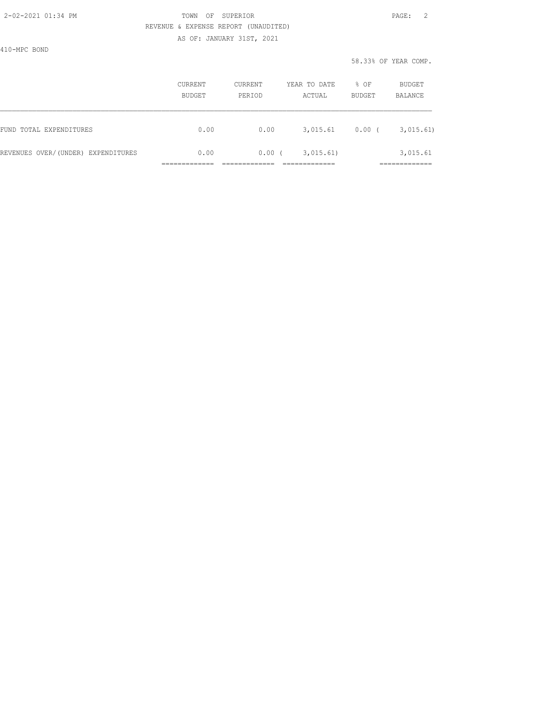AS OF: JANUARY 31ST, 2021

410-MPC BOND

|                                    | CURRENT<br>BUDGET | <b>CURRENT</b><br>PERIOD | YEAR TO DATE<br>ACTUAL | % OF<br>BUDGET | BUDGET<br>BALANCE       |
|------------------------------------|-------------------|--------------------------|------------------------|----------------|-------------------------|
| FUND TOTAL EXPENDITURES            | 0.00              | 0.00                     | 3,015.61               | $0.00$ (       | 3,015.61)               |
| REVENUES OVER/(UNDER) EXPENDITURES | 0.00              | 0.00(                    | 3,015.61)              |                | 3,015.61<br>___________ |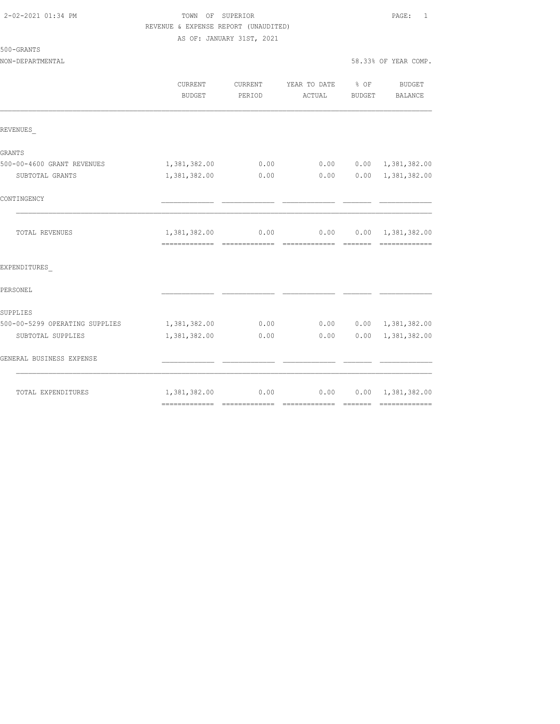AS OF: JANUARY 31ST, 2021

NON-DEPARTMENTAL 58

| 8.33% OF YEAR COMP. |  |
|---------------------|--|
|---------------------|--|

|                                | CURRENT<br>BUDGET             | <b>CURRENT</b><br>PERIOD | YEAR TO DATE<br>ACTUAL | $8$ OF<br>BUDGET | <b>BUDGET</b><br>BALANCE                   |
|--------------------------------|-------------------------------|--------------------------|------------------------|------------------|--------------------------------------------|
| REVENUES                       |                               |                          |                        |                  |                                            |
| <b>GRANTS</b>                  |                               |                          |                        |                  |                                            |
| 500-00-4600 GRANT REVENUES     | 1,381,382.00                  | 0.00                     | 0.00                   |                  | $0.00 \quad 1,381,382.00$                  |
| SUBTOTAL GRANTS                | 1,381,382.00                  | 0.00                     | 0.00                   |                  | $0.00 \quad 1,381,382.00$                  |
| CONTINGENCY                    |                               |                          |                        |                  |                                            |
| TOTAL REVENUES                 | 1,381,382.00<br>------------- | 0.00<br>--------------   | 0.00<br>-------------- | --------         | $0.00 \quad 1,381,382.00$<br>------------- |
| EXPENDITURES                   |                               |                          |                        |                  |                                            |
| PERSONEL                       |                               |                          |                        |                  |                                            |
| SUPPLIES                       |                               |                          |                        |                  |                                            |
| 500-00-5299 OPERATING SUPPLIES | 1,381,382.00                  | 0.00                     | 0.00                   |                  | $0.00 \quad 1,381,382.00$                  |
| SUBTOTAL SUPPLIES              | 1,381,382.00                  | 0.00                     | 0.00                   | 0.00             | 1,381,382.00                               |
| GENERAL BUSINESS EXPENSE       |                               |                          |                        |                  |                                            |
| TOTAL EXPENDITURES             | 1,381,382.00                  | 0.00                     | 0.00                   |                  | $0.00 \quad 1,381,382.00$                  |
|                                |                               |                          |                        |                  |                                            |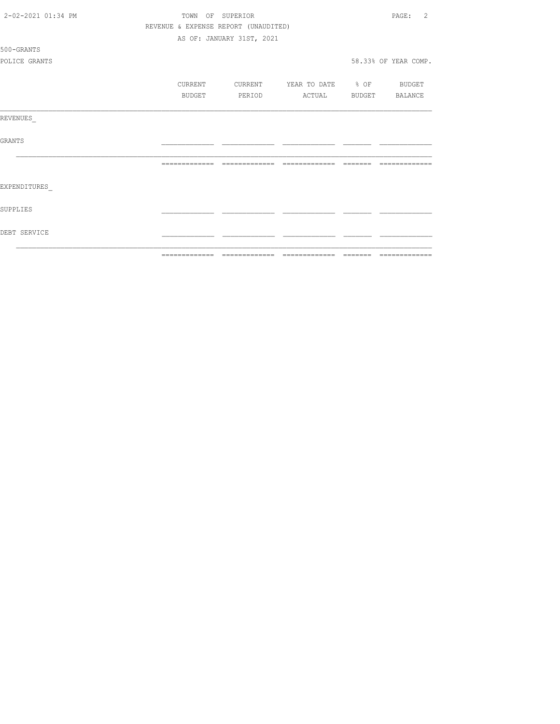| 2-02-2021 01:34 PM |                                      | TOWN OF SUPERIOR          |                   |          | 2<br>PAGE:           |
|--------------------|--------------------------------------|---------------------------|-------------------|----------|----------------------|
|                    | REVENUE & EXPENSE REPORT (UNAUDITED) |                           |                   |          |                      |
|                    |                                      | AS OF: JANUARY 31ST, 2021 |                   |          |                      |
| 500-GRANTS         |                                      |                           |                   |          |                      |
| POLICE GRANTS      |                                      |                           |                   |          | 58.33% OF YEAR COMP. |
|                    | CURRENT                              | CURRENT                   | YEAR TO DATE % OF |          | BUDGET               |
|                    | BUDGET                               | PERIOD                    | ACTUAL            | BUDGET   | BALANCE              |
| REVENUES           |                                      |                           |                   |          |                      |
| GRANTS             |                                      |                           |                   |          |                      |
|                    | --------------                       | --------------            | --------------    | -------- |                      |
| EXPENDITURES       |                                      |                           |                   |          |                      |
| SUPPLIES           |                                      |                           |                   |          |                      |
| DEBT SERVICE       |                                      |                           |                   |          |                      |
|                    | =============                        | -------------             | --------------    | -------- | =============        |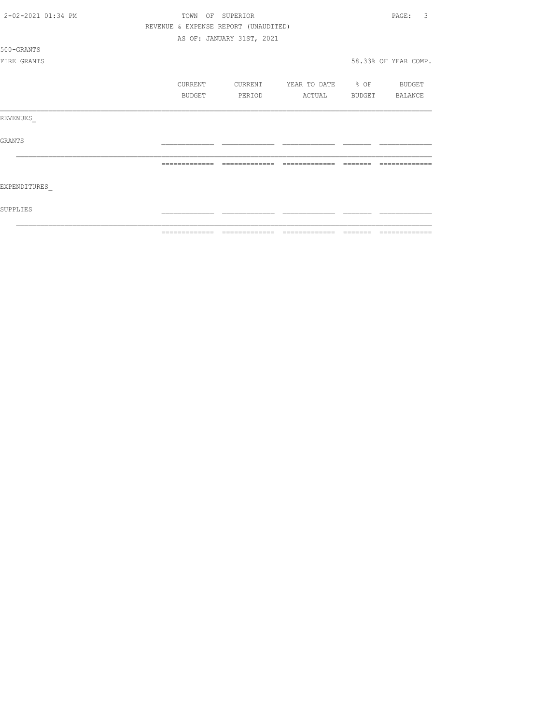| 2-02-2021 01:34 PM | TOWN<br>OF     | SUPERIOR                             |                       | 3<br>PAGE:           |
|--------------------|----------------|--------------------------------------|-----------------------|----------------------|
|                    |                | REVENUE & EXPENSE REPORT (UNAUDITED) |                       |                      |
|                    |                | AS OF: JANUARY 31ST, 2021            |                       |                      |
| 500-GRANTS         |                |                                      |                       |                      |
| FIRE GRANTS        |                |                                      |                       | 58.33% OF YEAR COMP. |
|                    |                |                                      |                       |                      |
|                    | CURRENT        | CURRENT                              | YEAR TO DATE % OF     | BUDGET               |
|                    | BUDGET         | PERIOD                               | ACTUAL BUDGET BALANCE |                      |
|                    |                |                                      |                       |                      |
| REVENUES           |                |                                      |                       |                      |
|                    |                |                                      |                       |                      |
| <b>GRANTS</b>      |                |                                      |                       |                      |
|                    |                |                                      |                       |                      |
|                    | =============  | -------------                        | --------------        |                      |
|                    |                |                                      |                       |                      |
| EXPENDITURES       |                |                                      |                       |                      |
|                    |                |                                      |                       |                      |
| SUPPLIES           |                |                                      |                       |                      |
|                    |                |                                      |                       |                      |
|                    | -------------- |                                      | --------------        | -------------        |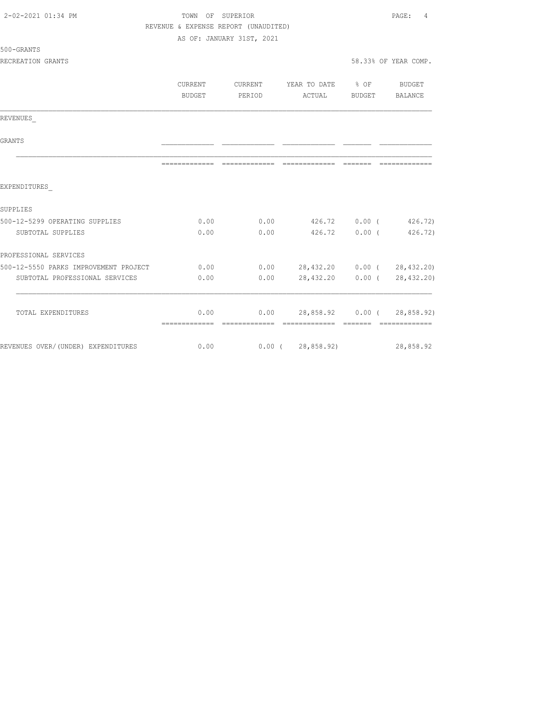| 2-02-2021 01:34 PM                    | TOWN OF SUPERIOR                     |                           |                                    |        | PAGE:<br>$\overline{4}$ |
|---------------------------------------|--------------------------------------|---------------------------|------------------------------------|--------|-------------------------|
|                                       | REVENUE & EXPENSE REPORT (UNAUDITED) |                           |                                    |        |                         |
|                                       |                                      | AS OF: JANUARY 31ST, 2021 |                                    |        |                         |
| 500-GRANTS                            |                                      |                           |                                    |        |                         |
| RECREATION GRANTS                     |                                      |                           |                                    |        | 58.33% OF YEAR COMP.    |
|                                       | <b>CURRENT</b>                       | <b>CURRENT</b>            | YEAR TO DATE % OF BUDGET           |        |                         |
|                                       | <b>BUDGET</b>                        | <b>PERIOD</b>             | ACTUAL                             | BUDGET | BALANCE                 |
| REVENUES                              |                                      |                           |                                    |        |                         |
| GRANTS                                |                                      |                           |                                    |        |                         |
|                                       |                                      |                           |                                    |        |                         |
| EXPENDITURES                          |                                      |                           |                                    |        |                         |
| SUPPLIES                              |                                      |                           |                                    |        |                         |
| 500-12-5299 OPERATING SUPPLIES        | 0.00                                 |                           | $0.00$ $426.72$ $0.00$ $426.72$    |        |                         |
| SUBTOTAL SUPPLIES                     | 0.00                                 | 0.00                      | 426.72                             | 0.00(  | 426.72)                 |
| PROFESSIONAL SERVICES                 |                                      |                           |                                    |        |                         |
| 500-12-5550 PARKS IMPROVEMENT PROJECT | 0.00                                 |                           | $0.00$ 28,432.20 0.00 ( 28,432.20) |        |                         |
| SUBTOTAL PROFESSIONAL SERVICES        | 0.00                                 | 0.00                      | 28,432.20                          |        | 0.00(28, 432, 20)       |
| TOTAL EXPENDITURES                    | 0.00                                 |                           | $0.00$ 28,858.92 0.00 ( 28,858.92) |        |                         |
|                                       |                                      |                           |                                    |        |                         |
| REVENUES OVER/(UNDER) EXPENDITURES    | 0.00                                 |                           | 0.00(28,858.92)                    |        | 28,858.92               |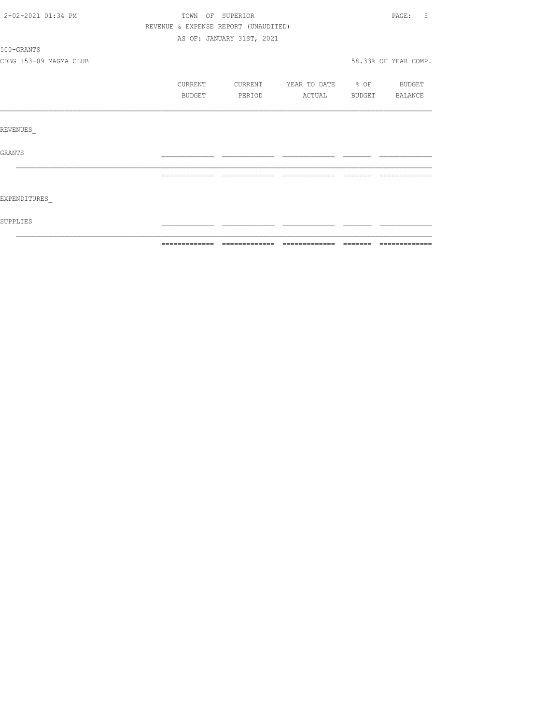| 2-02-2021 01:34 PM     | TOWN OF SUPERIOR                     |                           |                          |                | PAGE:<br>.5          |
|------------------------|--------------------------------------|---------------------------|--------------------------|----------------|----------------------|
|                        | REVENUE & EXPENSE REPORT (UNAUDITED) |                           |                          |                |                      |
|                        |                                      | AS OF: JANUARY 31ST, 2021 |                          |                |                      |
| 500-GRANTS             |                                      |                           |                          |                |                      |
| CDBG 153-09 MAGMA CLUB |                                      |                           |                          |                | 58.33% OF YEAR COMP. |
|                        | CURRENT                              | CURRENT                   | YEAR TO DATE % OF BUDGET |                |                      |
|                        | BUDGET                               | PERIOD                    | ACTUAL                   | BUDGET BALANCE |                      |
|                        |                                      |                           |                          |                |                      |
| REVENUES               |                                      |                           |                          |                |                      |
| GRANTS                 |                                      |                           |                          |                |                      |
|                        | =============                        |                           |                          |                |                      |
| EXPENDITURES           |                                      |                           |                          |                |                      |
| SUPPLIES               |                                      |                           |                          |                |                      |
|                        |                                      |                           |                          |                |                      |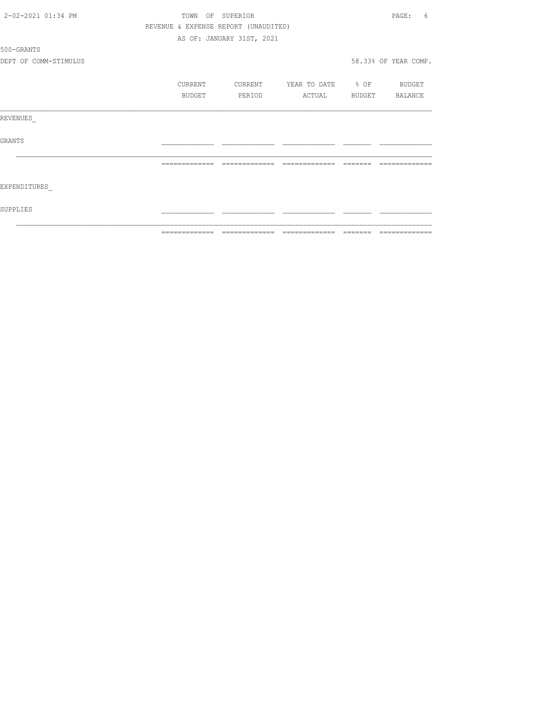| 2-02-2021 01:34 PM    |                |         | TOWN OF SUPERIOR                     |                          |          | PAGE:<br>6           |
|-----------------------|----------------|---------|--------------------------------------|--------------------------|----------|----------------------|
|                       |                |         | REVENUE & EXPENSE REPORT (UNAUDITED) |                          |          |                      |
|                       |                |         | AS OF: JANUARY 31ST, 2021            |                          |          |                      |
| 500-GRANTS            |                |         |                                      |                          |          |                      |
| DEPT OF COMM-STIMULUS |                |         |                                      |                          |          | 58.33% OF YEAR COMP. |
|                       |                | CURRENT | CURRENT                              | YEAR TO DATE % OF BUDGET |          |                      |
|                       |                | BUDGET  | PERIOD                               | ACTUAL                   |          | BUDGET BALANCE       |
| REVENUES              |                |         |                                      |                          |          |                      |
| GRANTS                |                |         |                                      |                          |          |                      |
|                       | -------------- |         | --------------                       | --------------           | -------- |                      |
| EXPENDITURES          |                |         |                                      |                          |          |                      |
| SUPPLIES              |                |         |                                      |                          |          |                      |
|                       |                |         |                                      |                          |          |                      |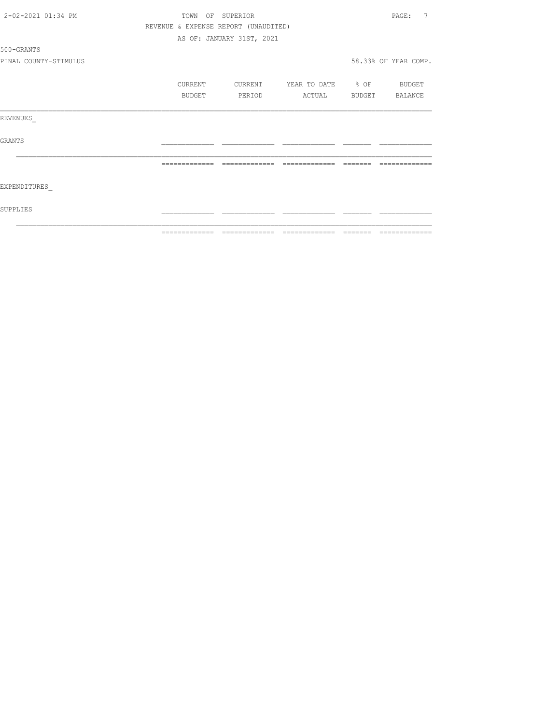| 2-02-2021 01:34 PM    |                | TOWN OF SUPERIOR                     |                          | 7<br>PAGE:           |
|-----------------------|----------------|--------------------------------------|--------------------------|----------------------|
|                       |                | REVENUE & EXPENSE REPORT (UNAUDITED) |                          |                      |
|                       |                | AS OF: JANUARY 31ST, 2021            |                          |                      |
| 500-GRANTS            |                |                                      |                          |                      |
| PINAL COUNTY-STIMULUS |                |                                      |                          | 58.33% OF YEAR COMP. |
|                       | CURRENT        | CURRENT                              | YEAR TO DATE % OF BUDGET |                      |
|                       | BUDGET         | PERIOD                               | ACTUAL                   | BUDGET BALANCE       |
| REVENUES              |                |                                      |                          |                      |
| GRANTS                |                |                                      |                          |                      |
|                       |                | --------------                       | =============            |                      |
| EXPENDITURES          |                |                                      |                          |                      |
| SUPPLIES              |                |                                      |                          |                      |
|                       | -------------- |                                      |                          |                      |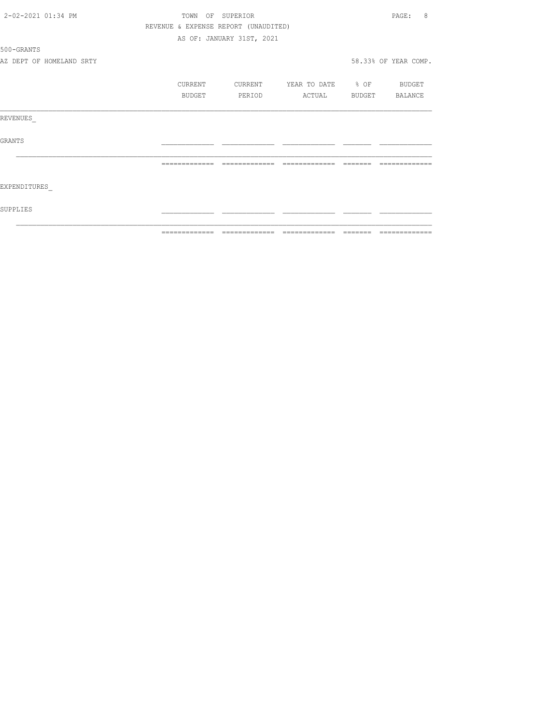| 2-02-2021 01:34 PM |                          | TOWN OF SUPERIOR                     |                           |                          |                | 8<br>PAGE:           |
|--------------------|--------------------------|--------------------------------------|---------------------------|--------------------------|----------------|----------------------|
|                    |                          | REVENUE & EXPENSE REPORT (UNAUDITED) |                           |                          |                |                      |
|                    |                          |                                      | AS OF: JANUARY 31ST, 2021 |                          |                |                      |
| 500-GRANTS         |                          |                                      |                           |                          |                |                      |
|                    | AZ DEPT OF HOMELAND SRTY |                                      |                           |                          |                | 58.33% OF YEAR COMP. |
|                    |                          | CURRENT                              | CURRENT                   | YEAR TO DATE % OF BUDGET |                |                      |
|                    |                          | BUDGET                               | PERIOD                    | ACTUAL                   | BUDGET BALANCE |                      |
| REVENUES           |                          |                                      |                           |                          |                |                      |
| <b>GRANTS</b>      |                          |                                      |                           |                          |                |                      |
|                    |                          |                                      |                           |                          |                |                      |
| EXPENDITURES       |                          |                                      |                           |                          |                |                      |
| SUPPLIES           |                          |                                      |                           |                          |                |                      |
|                    |                          | -------------                        |                           | --------------           |                |                      |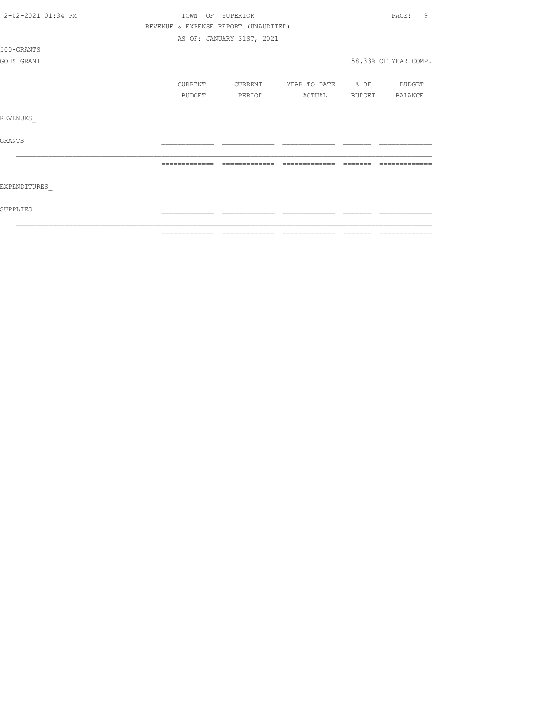| 2-02-2021 01:34 PM |  | TOWN          | OF SUPERIOR                          |                          | 9<br>PAGE:           |
|--------------------|--|---------------|--------------------------------------|--------------------------|----------------------|
|                    |  |               | REVENUE & EXPENSE REPORT (UNAUDITED) |                          |                      |
|                    |  |               | AS OF: JANUARY 31ST, 2021            |                          |                      |
| 500-GRANTS         |  |               |                                      |                          |                      |
| GOHS GRANT         |  |               |                                      |                          | 58.33% OF YEAR COMP. |
|                    |  |               |                                      |                          |                      |
|                    |  | CURRENT       | CURRENT                              | YEAR TO DATE % OF BUDGET |                      |
|                    |  | <b>BUDGET</b> | PERIOD                               | ACTUAL                   | BUDGET BALANCE       |
|                    |  |               |                                      |                          |                      |
| REVENUES           |  |               |                                      |                          |                      |
|                    |  |               |                                      |                          |                      |
| <b>GRANTS</b>      |  |               |                                      |                          |                      |
|                    |  |               |                                      |                          |                      |
|                    |  |               |                                      |                          |                      |
|                    |  |               |                                      |                          |                      |
| EXPENDITURES       |  |               |                                      |                          |                      |
|                    |  |               |                                      |                          |                      |
| SUPPLIES           |  |               |                                      |                          |                      |
|                    |  |               |                                      |                          |                      |
|                    |  | _____________ |                                      |                          | _____________        |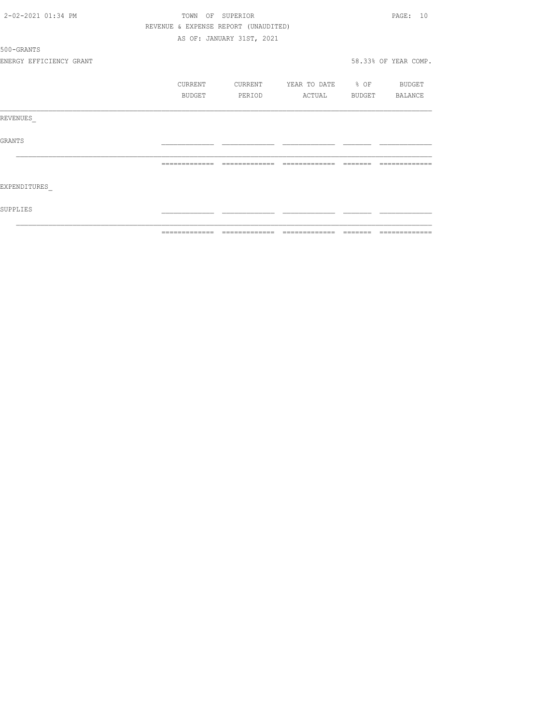| 2-02-2021 01:34 PM      |                | TOWN OF SUPERIOR                     |                                 |                | PAGE: 10             |
|-------------------------|----------------|--------------------------------------|---------------------------------|----------------|----------------------|
|                         |                | REVENUE & EXPENSE REPORT (UNAUDITED) |                                 |                |                      |
|                         |                | AS OF: JANUARY 31ST, 2021            |                                 |                |                      |
| 500-GRANTS              |                |                                      |                                 |                |                      |
| ENERGY EFFICIENCY GRANT |                |                                      |                                 |                | 58.33% OF YEAR COMP. |
|                         | <b>CURRENT</b> | CURRENT                              | YEAR TO DATE % OF BUDGET        |                |                      |
|                         | BUDGET         | PERIOD                               | ACTUAL                          | BUDGET BALANCE |                      |
| REVENUES                |                |                                      |                                 |                |                      |
| GRANTS                  |                |                                      |                                 |                |                      |
|                         |                |                                      |                                 |                |                      |
| EXPENDITURES            |                |                                      |                                 |                |                      |
| SUPPLIES                |                |                                      |                                 |                |                      |
|                         | =============  |                                      | =============================== | =======        | =============        |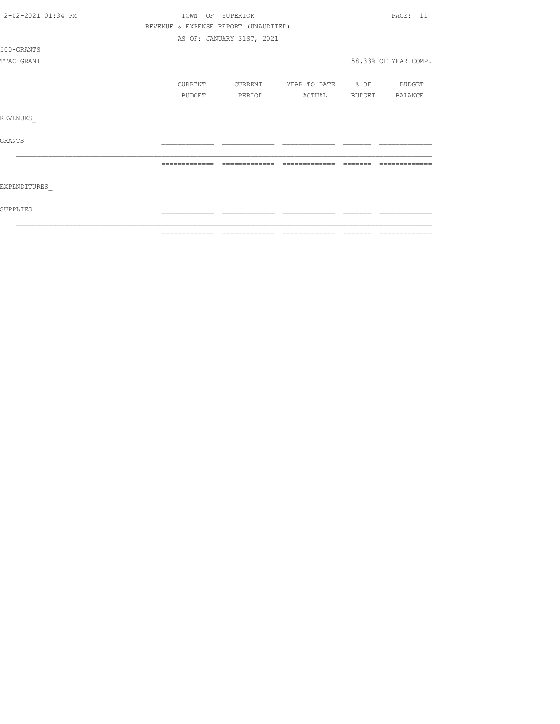| 2-02-2021 01:34 PM | TOWN OF SUPERIOR |                                      |                          |                 | PAGE: 11             |
|--------------------|------------------|--------------------------------------|--------------------------|-----------------|----------------------|
|                    |                  | REVENUE & EXPENSE REPORT (UNAUDITED) |                          |                 |                      |
|                    |                  | AS OF: JANUARY 31ST, 2021            |                          |                 |                      |
| 500-GRANTS         |                  |                                      |                          |                 |                      |
| TTAC GRANT         |                  |                                      |                          |                 | 58.33% OF YEAR COMP. |
|                    | CURRENT          | CURRENT                              | YEAR TO DATE % OF BUDGET |                 |                      |
|                    | BUDGET           | PERIOD                               | ACTUAL                   |                 | BUDGET BALANCE       |
| REVENUES           |                  |                                      |                          |                 |                      |
| GRANTS             |                  |                                      |                          |                 |                      |
|                    | =============    | =============                        | =============            |                 |                      |
| EXPENDITURES       |                  |                                      |                          |                 |                      |
| SUPPLIES           |                  |                                      |                          |                 |                      |
|                    | -------------    | -------------                        | ______________           | $- - - - - - -$ | -------------        |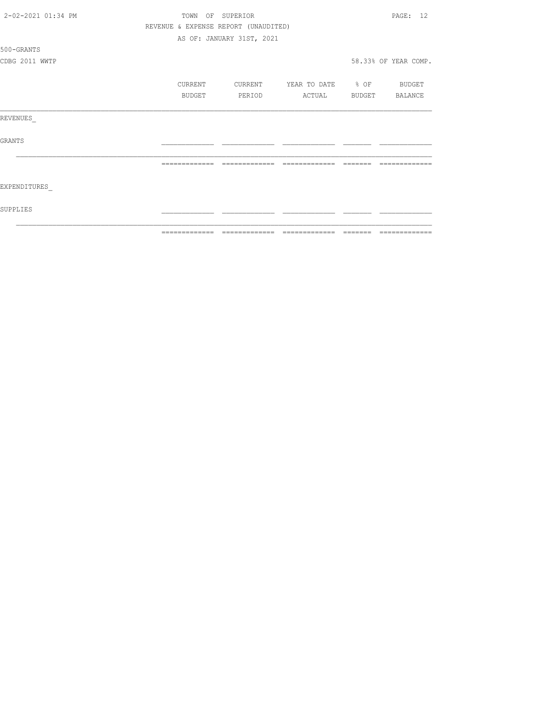| 2-02-2021 01:34 PM | TOWN          | $\circ$ $\circ$ $\circ$<br>SUPERIOR  |                          |        | PAGE: 12             |
|--------------------|---------------|--------------------------------------|--------------------------|--------|----------------------|
|                    |               | REVENUE & EXPENSE REPORT (UNAUDITED) |                          |        |                      |
|                    |               | AS OF: JANUARY 31ST, 2021            |                          |        |                      |
| 500-GRANTS         |               |                                      |                          |        |                      |
| CDBG 2011 WWTP     |               |                                      |                          |        | 58.33% OF YEAR COMP. |
|                    | CURRENT       | CURRENT                              | YEAR TO DATE % OF BUDGET |        |                      |
|                    | BUDGET        | PERIOD                               | ACTUAL                   | BUDGET | BALANCE              |
| REVENUES           |               |                                      |                          |        |                      |
| GRANTS             |               |                                      |                          |        |                      |
|                    |               | --------------                       | --------------           |        |                      |
| EXPENDITURES       |               |                                      |                          |        |                      |
| SUPPLIES           |               |                                      |                          |        |                      |
|                    | ============= |                                      |                          |        |                      |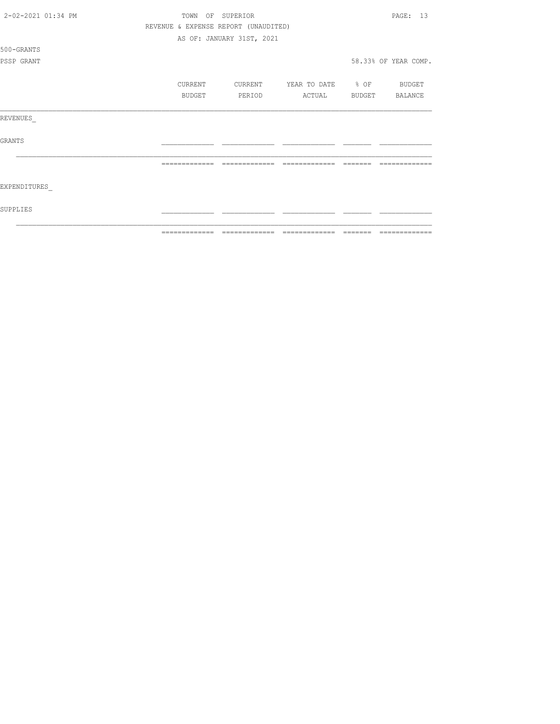| 2-02-2021 01:34 PM | TOWN          | OF SUPERIOR                          |                          |                | PAGE: 13             |
|--------------------|---------------|--------------------------------------|--------------------------|----------------|----------------------|
|                    |               | REVENUE & EXPENSE REPORT (UNAUDITED) |                          |                |                      |
|                    |               | AS OF: JANUARY 31ST, 2021            |                          |                |                      |
| 500-GRANTS         |               |                                      |                          |                |                      |
| PSSP GRANT         |               |                                      |                          |                | 58.33% OF YEAR COMP. |
|                    |               |                                      |                          |                |                      |
|                    | CURRENT       | CURRENT                              | YEAR TO DATE % OF BUDGET |                |                      |
|                    | BUDGET        | PERIOD                               | ACTUAL                   | BUDGET BALANCE |                      |
|                    |               |                                      |                          |                |                      |
| REVENUES           |               |                                      |                          |                |                      |
|                    |               |                                      |                          |                |                      |
| <b>GRANTS</b>      |               |                                      |                          |                |                      |
|                    |               |                                      |                          |                |                      |
|                    | ------------- | -------------                        | =============            |                |                      |
|                    |               |                                      |                          |                |                      |
| EXPENDITURES       |               |                                      |                          |                |                      |
|                    |               |                                      |                          |                |                      |
| SUPPLIES           |               |                                      |                          |                |                      |
|                    |               |                                      |                          |                |                      |
|                    | _____________ |                                      |                          |                |                      |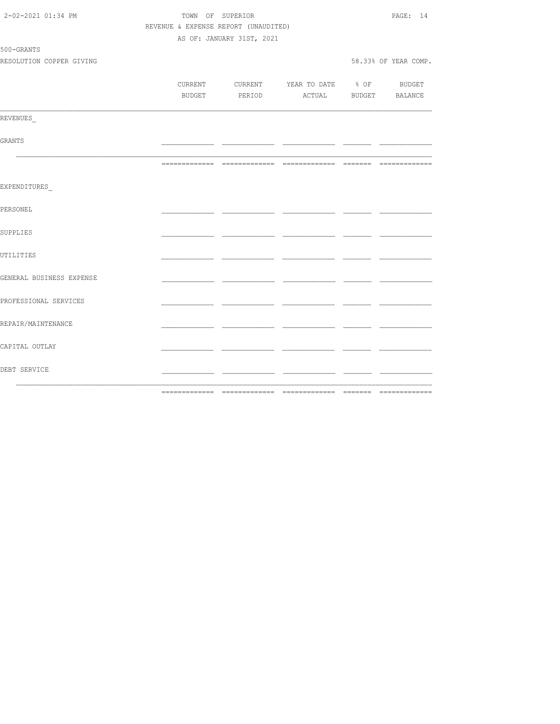| DEBT SERVICE                           |                                      |                           |                                                                                                                                                                                                                                | _____ |                      |
|----------------------------------------|--------------------------------------|---------------------------|--------------------------------------------------------------------------------------------------------------------------------------------------------------------------------------------------------------------------------|-------|----------------------|
| CAPITAL OUTLAY                         |                                      |                           |                                                                                                                                                                                                                                | - -   |                      |
| REPAIR/MAINTENANCE                     |                                      |                           |                                                                                                                                                                                                                                |       |                      |
| PROFESSIONAL SERVICES                  |                                      |                           |                                                                                                                                                                                                                                | - -   |                      |
| GENERAL BUSINESS EXPENSE               |                                      |                           |                                                                                                                                                                                                                                |       |                      |
| UTILITIES                              |                                      |                           |                                                                                                                                                                                                                                |       |                      |
| SUPPLIES                               |                                      |                           |                                                                                                                                                                                                                                |       |                      |
| PERSONEL                               |                                      |                           |                                                                                                                                                                                                                                |       |                      |
| EXPENDITURES                           |                                      |                           |                                                                                                                                                                                                                                |       |                      |
|                                        |                                      |                           |                                                                                                                                                                                                                                |       |                      |
| GRANTS                                 |                                      |                           | and the contract of the contract of the contract of the contract of the contract of the contract of the contract of the contract of the contract of the contract of the contract of the contract of the contract of the contra |       |                      |
| REVENUES                               |                                      |                           |                                                                                                                                                                                                                                |       |                      |
|                                        |                                      |                           | BUDGET PERIOD ACTUAL BUDGET BALANCE                                                                                                                                                                                            |       |                      |
|                                        |                                      |                           | CURRENT CURRENT YEAR TO DATE % OF BUDGET                                                                                                                                                                                       |       |                      |
| 500-GRANTS<br>RESOLUTION COPPER GIVING |                                      |                           |                                                                                                                                                                                                                                |       | 58.33% OF YEAR COMP. |
|                                        |                                      | AS OF: JANUARY 31ST, 2021 |                                                                                                                                                                                                                                |       |                      |
|                                        | REVENUE & EXPENSE REPORT (UNAUDITED) |                           |                                                                                                                                                                                                                                |       |                      |
| 2-02-2021 01:34 PM                     |                                      | TOWN OF SUPERIOR          |                                                                                                                                                                                                                                |       | PAGE: 14             |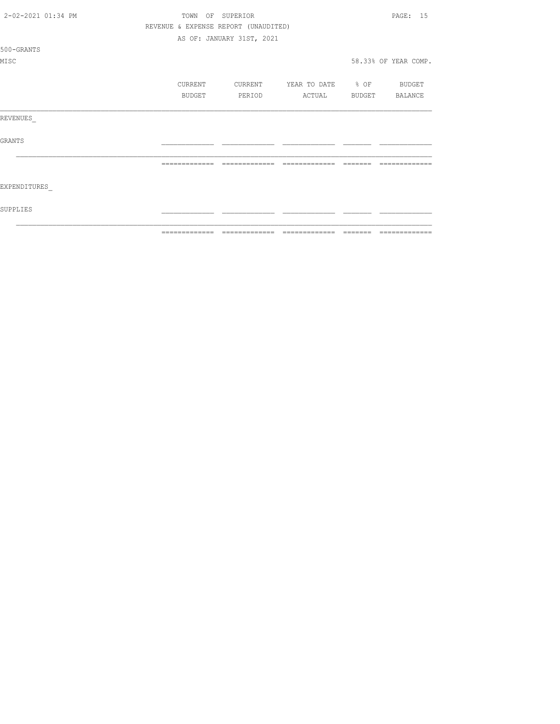| 2-02-2021 01:34 PM |  | TOWN          | OF SUPERIOR                          | PAGE: 15                     |         |                      |  |  |
|--------------------|--|---------------|--------------------------------------|------------------------------|---------|----------------------|--|--|
|                    |  |               | REVENUE & EXPENSE REPORT (UNAUDITED) |                              |         |                      |  |  |
|                    |  |               | AS OF: JANUARY 31ST, 2021            |                              |         |                      |  |  |
| 500-GRANTS         |  |               |                                      |                              |         |                      |  |  |
| MISC               |  |               |                                      |                              |         | 58.33% OF YEAR COMP. |  |  |
|                    |  | CURRENT       |                                      | CURRENT YEAR TO DATE % OF    |         | BUDGET               |  |  |
|                    |  | BUDGET        |                                      | PERIOD ACTUAL BUDGET BALANCE |         |                      |  |  |
| REVENUES           |  |               |                                      |                              |         |                      |  |  |
| <b>GRANTS</b>      |  |               |                                      |                              |         |                      |  |  |
|                    |  | ============= | --------------                       | --------------               | _______ | -------              |  |  |
| EXPENDITURES       |  |               |                                      |                              |         |                      |  |  |
| SUPPLIES           |  |               |                                      |                              |         |                      |  |  |
|                    |  | ------------- |                                      |                              |         |                      |  |  |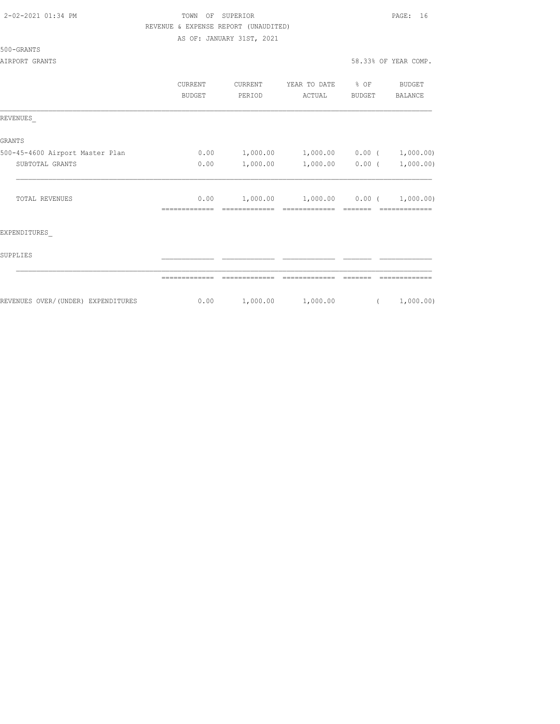# TOWN OF SUPERIOR **PAGE:** 16 REVENUE & EXPENSE REPORT (UNAUDITED)

AS OF: JANUARY 31ST, 2021

#### 500-GRANTS

|                                    | CURRENT<br><b>BUDGET</b> | <b>CURRENT</b><br>PERIOD | YEAR TO DATE<br>ACTUAL | % OF<br><b>BUDGET</b> | BUDGET<br>BALANCE |
|------------------------------------|--------------------------|--------------------------|------------------------|-----------------------|-------------------|
| REVENUES                           |                          |                          |                        |                       |                   |
| <b>GRANTS</b>                      |                          |                          |                        |                       |                   |
| 500-45-4600 Airport Master Plan    | 0.00                     | 1,000.00                 | 1,000.00               | $0.00$ (              | 1,000.00)         |
| SUBTOTAL GRANTS                    | 0.00                     | 1,000.00                 | 1,000.00               | 0.00(                 | 1,000.00)         |
| TOTAL REVENUES                     | 0.00                     | 1,000.00                 | 1,000.00               | $0.00$ (              | 1,000.00)         |
| EXPENDITURES                       |                          |                          |                        |                       |                   |
| SUPPLIES                           |                          |                          |                        |                       |                   |
|                                    |                          |                          |                        |                       |                   |
| REVENUES OVER/(UNDER) EXPENDITURES | 0.00                     | 1,000.00                 | 1,000.00               |                       | 1,000.00)         |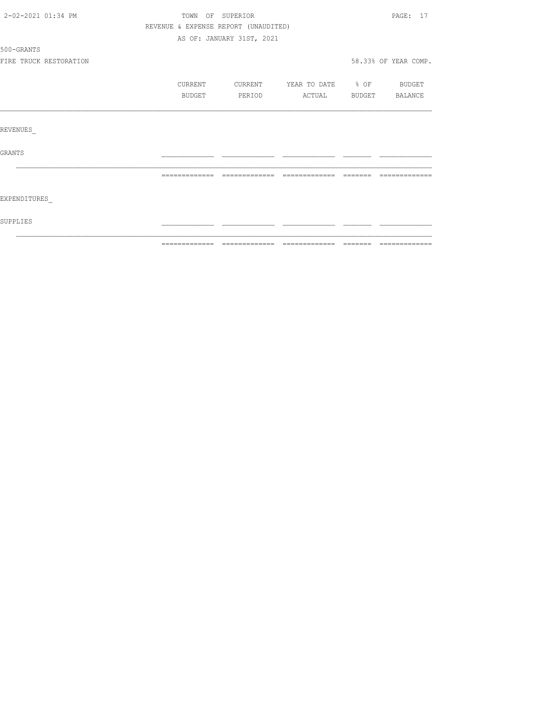| 2-02-2021 01:34 PM |                        |                                      | TOWN OF SUPERIOR          |                   |                                                                                                                                                                                                                                                                                                                                                                                                                                                                                           | PAGE: 17             |
|--------------------|------------------------|--------------------------------------|---------------------------|-------------------|-------------------------------------------------------------------------------------------------------------------------------------------------------------------------------------------------------------------------------------------------------------------------------------------------------------------------------------------------------------------------------------------------------------------------------------------------------------------------------------------|----------------------|
|                    |                        | REVENUE & EXPENSE REPORT (UNAUDITED) |                           |                   |                                                                                                                                                                                                                                                                                                                                                                                                                                                                                           |                      |
|                    |                        |                                      | AS OF: JANUARY 31ST, 2021 |                   |                                                                                                                                                                                                                                                                                                                                                                                                                                                                                           |                      |
| 500-GRANTS         |                        |                                      |                           |                   |                                                                                                                                                                                                                                                                                                                                                                                                                                                                                           |                      |
|                    | FIRE TRUCK RESTORATION |                                      |                           |                   |                                                                                                                                                                                                                                                                                                                                                                                                                                                                                           | 58.33% OF YEAR COMP. |
|                    |                        | CURRENT                              | CURRENT                   | YEAR TO DATE % OF |                                                                                                                                                                                                                                                                                                                                                                                                                                                                                           | <b>BUDGET</b>        |
|                    |                        | BUDGET                               | PERIOD                    | ACTUAL            | BUDGET                                                                                                                                                                                                                                                                                                                                                                                                                                                                                    | BALANCE              |
|                    |                        |                                      |                           |                   |                                                                                                                                                                                                                                                                                                                                                                                                                                                                                           |                      |
| REVENUES           |                        |                                      |                           |                   |                                                                                                                                                                                                                                                                                                                                                                                                                                                                                           |                      |
| <b>GRANTS</b>      |                        |                                      |                           |                   |                                                                                                                                                                                                                                                                                                                                                                                                                                                                                           |                      |
|                    |                        | =============                        | --------------            | --------------    | $\qquad \qquad =\qquad \qquad =\qquad \qquad =\qquad \qquad =\qquad \qquad =\qquad \qquad =\qquad \qquad =\qquad \qquad =\qquad \qquad =\qquad \qquad =\qquad \qquad =\qquad \qquad =\qquad \qquad =\qquad \qquad =\qquad \qquad =\qquad \qquad =\qquad \qquad =\qquad \qquad =\qquad \qquad =\qquad \qquad =\qquad \qquad =\qquad \qquad =\qquad \qquad =\qquad \qquad =\qquad \qquad =\qquad \qquad =\qquad \qquad =\qquad \qquad =\qquad \qquad =\qquad \qquad =\qquad \qquad =\qquad$ | ----------           |
|                    |                        |                                      |                           |                   |                                                                                                                                                                                                                                                                                                                                                                                                                                                                                           |                      |
| EXPENDITURES       |                        |                                      |                           |                   |                                                                                                                                                                                                                                                                                                                                                                                                                                                                                           |                      |
| SUPPLIES           |                        |                                      |                           |                   |                                                                                                                                                                                                                                                                                                                                                                                                                                                                                           |                      |
|                    |                        |                                      |                           |                   |                                                                                                                                                                                                                                                                                                                                                                                                                                                                                           |                      |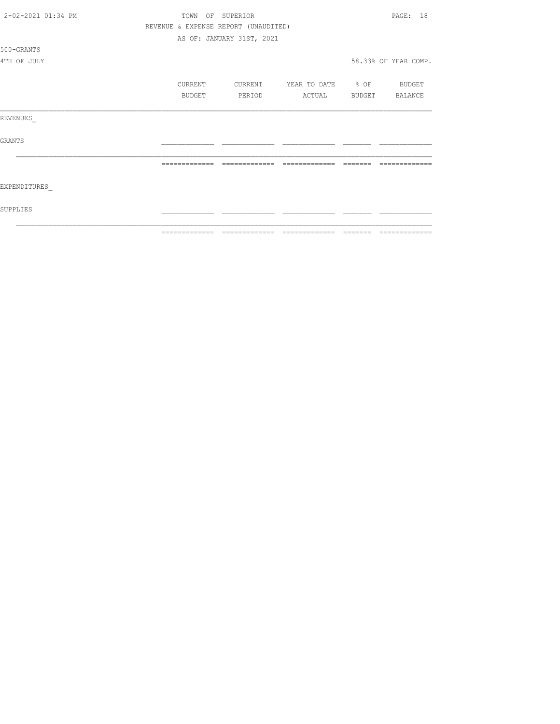| 2-02-2021 01:34 PM | TOWN           |        | OF SUPERIOR                          |                   |        | 18<br>PAGE:          |
|--------------------|----------------|--------|--------------------------------------|-------------------|--------|----------------------|
|                    |                |        | REVENUE & EXPENSE REPORT (UNAUDITED) |                   |        |                      |
|                    |                |        | AS OF: JANUARY 31ST, 2021            |                   |        |                      |
| 500-GRANTS         |                |        |                                      |                   |        |                      |
| 4TH OF JULY        |                |        |                                      |                   |        | 58.33% OF YEAR COMP. |
|                    | CURRENT        |        | CURRENT                              | YEAR TO DATE % OF |        | BUDGET               |
|                    |                | BUDGET | PERIOD                               | ACTUAL            | BUDGET | BALANCE              |
| REVENUES           |                |        |                                      |                   |        |                      |
| <b>GRANTS</b>      |                |        |                                      |                   |        |                      |
|                    | -------------- |        | -------------                        | =======<br>______ |        |                      |
| EXPENDITURES       |                |        |                                      |                   |        |                      |
| SUPPLIES           |                |        |                                      |                   |        |                      |
|                    | -------------- |        |                                      | -------------     |        | -------------        |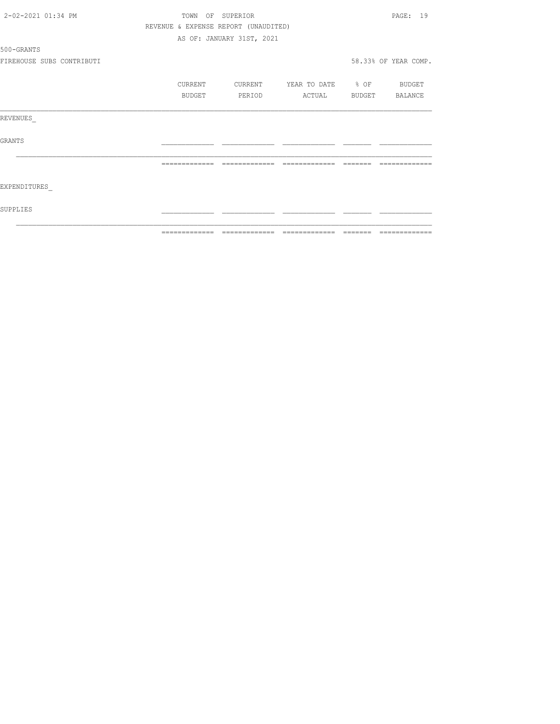| 2-02-2021 01:34 PM        | TOWN          | OF SUPERIOR                          |                          | PAGE: 19             |
|---------------------------|---------------|--------------------------------------|--------------------------|----------------------|
|                           |               | REVENUE & EXPENSE REPORT (UNAUDITED) |                          |                      |
|                           |               | AS OF: JANUARY 31ST, 2021            |                          |                      |
| 500-GRANTS                |               |                                      |                          |                      |
| FIREHOUSE SUBS CONTRIBUTI |               |                                      |                          | 58.33% OF YEAR COMP. |
|                           | CURRENT       | CURRENT                              | YEAR TO DATE % OF BUDGET |                      |
|                           | BUDGET        | PERIOD                               | ACTUAL                   | BUDGET BALANCE       |
| REVENUES                  |               |                                      |                          |                      |
| <b>GRANTS</b>             |               |                                      |                          |                      |
|                           |               |                                      |                          |                      |
| EXPENDITURES              |               |                                      |                          |                      |
| SUPPLIES                  |               |                                      |                          |                      |
|                           | ------------- |                                      | --------------           |                      |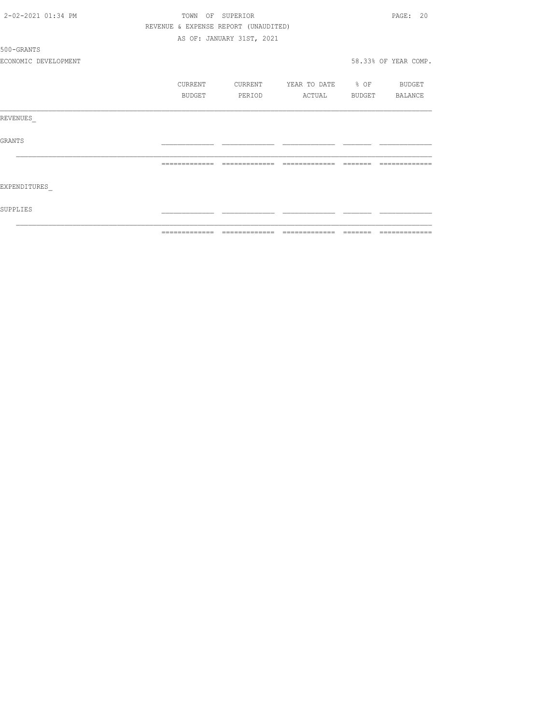| 2-02-2021 01:34 PM   |                |        | TOWN OF SUPERIOR                     |                                                                                                                                                                                                                                                                                                                                                                                                                                                                                        |          | PAGE: 20                                                                                                                                                                                                                                                                                                                                                                                                                                                                      |
|----------------------|----------------|--------|--------------------------------------|----------------------------------------------------------------------------------------------------------------------------------------------------------------------------------------------------------------------------------------------------------------------------------------------------------------------------------------------------------------------------------------------------------------------------------------------------------------------------------------|----------|-------------------------------------------------------------------------------------------------------------------------------------------------------------------------------------------------------------------------------------------------------------------------------------------------------------------------------------------------------------------------------------------------------------------------------------------------------------------------------|
|                      |                |        | REVENUE & EXPENSE REPORT (UNAUDITED) |                                                                                                                                                                                                                                                                                                                                                                                                                                                                                        |          |                                                                                                                                                                                                                                                                                                                                                                                                                                                                               |
|                      |                |        | AS OF: JANUARY 31ST, 2021            |                                                                                                                                                                                                                                                                                                                                                                                                                                                                                        |          |                                                                                                                                                                                                                                                                                                                                                                                                                                                                               |
| 500-GRANTS           |                |        |                                      |                                                                                                                                                                                                                                                                                                                                                                                                                                                                                        |          |                                                                                                                                                                                                                                                                                                                                                                                                                                                                               |
| ECONOMIC DEVELOPMENT |                |        |                                      |                                                                                                                                                                                                                                                                                                                                                                                                                                                                                        |          | 58.33% OF YEAR COMP.                                                                                                                                                                                                                                                                                                                                                                                                                                                          |
|                      | CURRENT        |        | CURRENT                              | YEAR TO DATE % OF BUDGET                                                                                                                                                                                                                                                                                                                                                                                                                                                               |          |                                                                                                                                                                                                                                                                                                                                                                                                                                                                               |
|                      |                | BUDGET | PERIOD                               | ACTUAL                                                                                                                                                                                                                                                                                                                                                                                                                                                                                 |          | BUDGET BALANCE                                                                                                                                                                                                                                                                                                                                                                                                                                                                |
| REVENUES             |                |        |                                      |                                                                                                                                                                                                                                                                                                                                                                                                                                                                                        |          |                                                                                                                                                                                                                                                                                                                                                                                                                                                                               |
| GRANTS               |                |        |                                      |                                                                                                                                                                                                                                                                                                                                                                                                                                                                                        |          |                                                                                                                                                                                                                                                                                                                                                                                                                                                                               |
|                      | -------------- |        | =============                        | $\begin{array}{cccccccccccccc} \multicolumn{2}{c}{} & \multicolumn{2}{c}{} & \multicolumn{2}{c}{} & \multicolumn{2}{c}{} & \multicolumn{2}{c}{} & \multicolumn{2}{c}{} & \multicolumn{2}{c}{} & \multicolumn{2}{c}{} & \multicolumn{2}{c}{} & \multicolumn{2}{c}{} & \multicolumn{2}{c}{} & \multicolumn{2}{c}{} & \multicolumn{2}{c}{} & \multicolumn{2}{c}{} & \multicolumn{2}{c}{} & \multicolumn{2}{c}{} & \multicolumn{2}{c}{} & \multicolumn{2}{c}{} & \multicolumn{2}{c}{} & \$ | -------- |                                                                                                                                                                                                                                                                                                                                                                                                                                                                               |
| EXPENDITURES         |                |        |                                      |                                                                                                                                                                                                                                                                                                                                                                                                                                                                                        |          |                                                                                                                                                                                                                                                                                                                                                                                                                                                                               |
| SUPPLIES             |                |        |                                      |                                                                                                                                                                                                                                                                                                                                                                                                                                                                                        |          |                                                                                                                                                                                                                                                                                                                                                                                                                                                                               |
|                      |                |        |                                      |                                                                                                                                                                                                                                                                                                                                                                                                                                                                                        |          | $\begin{array}{c} \multicolumn{2}{c} {\textbf 1} & \multicolumn{2}{c} {\textbf 2} & \multicolumn{2}{c} {\textbf 3} & \multicolumn{2}{c} {\textbf 4} & \multicolumn{2}{c} {\textbf 5} & \multicolumn{2}{c} {\textbf 6} & \multicolumn{2}{c} {\textbf 7} & \multicolumn{2}{c} {\textbf 8} & \multicolumn{2}{c} {\textbf 9} & \multicolumn{2}{c} {\textbf 1} & \multicolumn{2}{c} {\textbf 1} & \multicolumn{2}{c} {\textbf 1} & \multicolumn{2}{c} {\textbf 1} & \multicolumn{$ |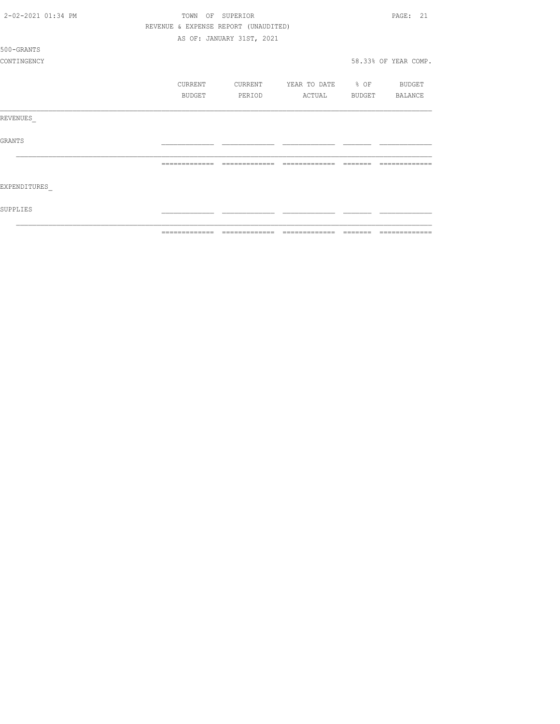| 2-02-2021 01:34 PM | TOWN<br>OF    | SUPERIOR                             |                                 |        | PAGE: 21              |
|--------------------|---------------|--------------------------------------|---------------------------------|--------|-----------------------|
|                    |               | REVENUE & EXPENSE REPORT (UNAUDITED) |                                 |        |                       |
|                    |               | AS OF: JANUARY 31ST, 2021            |                                 |        |                       |
| 500-GRANTS         |               |                                      |                                 |        |                       |
| CONTINGENCY        |               |                                      |                                 |        | 58.33% OF YEAR COMP.  |
|                    | CURRENT       | CURRENT                              | YEAR TO DATE % OF               |        | BUDGET                |
|                    | BUDGET        | PERIOD                               | ACTUAL                          | BUDGET | BALANCE               |
| REVENUES           |               |                                      |                                 |        |                       |
| <b>GRANTS</b>      |               |                                      |                                 |        |                       |
|                    |               |                                      |                                 |        |                       |
| EXPENDITURES       |               |                                      |                                 |        |                       |
| SUPPLIES           |               |                                      |                                 |        |                       |
|                    | ============= |                                      | =============================== |        | ======= ============= |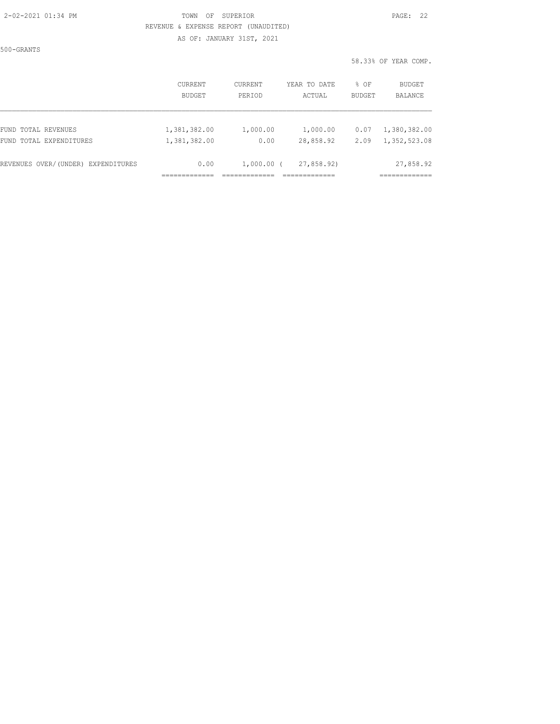#### 2-02-2021 01:34 PM TOWN OF SUPERIOR PAGE: 22 REVENUE & EXPENSE REPORT (UNAUDITED)

AS OF: JANUARY 31ST, 2021

500-GRANTS

|                                    | <b>CURRENT</b> | <b>CURRENT</b> | YEAR TO DATE | % OF          | <b>BUDGET</b> |
|------------------------------------|----------------|----------------|--------------|---------------|---------------|
|                                    | <b>BUDGET</b>  | PERIOD         | ACTUAL       | <b>BUDGET</b> | BALANCE       |
| FUND TOTAL REVENUES                | 1,381,382.00   | 1,000.00       | 1,000.00     | 0.07          | 1,380,382.00  |
| FUND TOTAL EXPENDITURES            | 1,381,382.00   | 0.00           | 28,858.92    | 2.09          | 1,352,523.08  |
| REVENUES OVER/(UNDER) EXPENDITURES | 0.00           | $1,000.00$ (   | 27,858.92)   |               | 27,858.92     |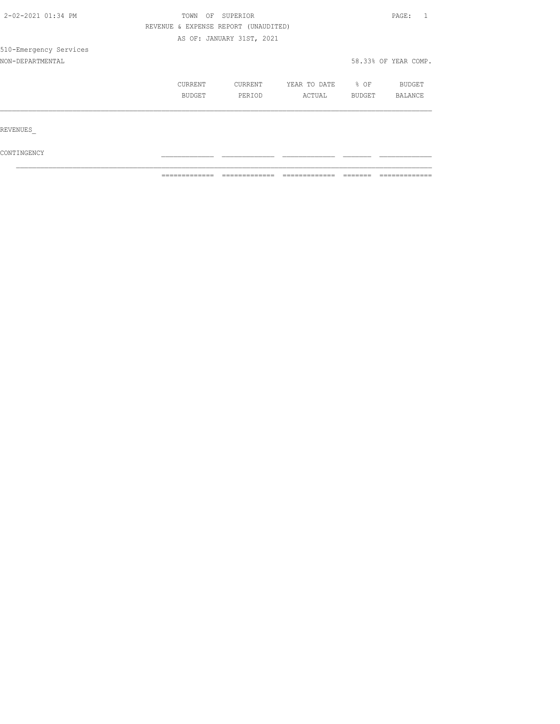| 2-02-2021 01:34 PM     | TOWN<br>OF                           | SUPERIOR                  |              |        |                      |  |
|------------------------|--------------------------------------|---------------------------|--------------|--------|----------------------|--|
|                        | REVENUE & EXPENSE REPORT (UNAUDITED) |                           |              |        |                      |  |
|                        |                                      | AS OF: JANUARY 31ST, 2021 |              |        |                      |  |
| 510-Emergency Services |                                      |                           |              |        |                      |  |
| NON-DEPARTMENTAL       |                                      |                           |              |        | 58.33% OF YEAR COMP. |  |
|                        | CURRENT                              | CURRENT                   | YEAR TO DATE | % OF   | <b>BUDGET</b>        |  |
|                        | BUDGET                               | PERIOD                    | ACTUAL       | BUDGET | BALANCE              |  |
|                        |                                      |                           |              |        |                      |  |
| REVENUES               |                                      |                           |              |        |                      |  |
| CONTINGENCY            |                                      |                           |              |        |                      |  |

 $\mathcal{L}_\text{max}$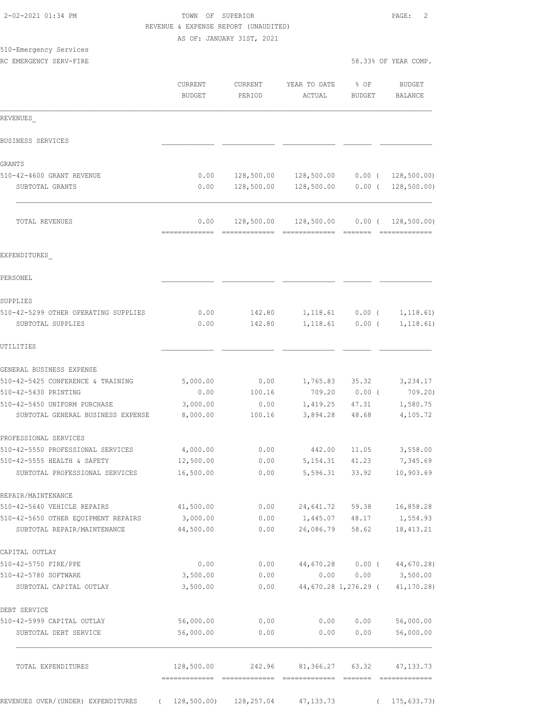### TOWN OF SUPERIOR **PAGE:** 2 REVENUE & EXPENSE REPORT (UNAUDITED)

AS OF: JANUARY 31ST, 2021

# 510-Emergency Services

| JIG BRUITSTUUR DUI VICU<br>RC EMERGENCY SERV-FIRE                 |                      |                   |                                                |                                  | 58.33% OF YEAR COMP.           |
|-------------------------------------------------------------------|----------------------|-------------------|------------------------------------------------|----------------------------------|--------------------------------|
|                                                                   | CURRENT<br>BUDGET    | CURRENT<br>PERIOD | YEAR TO DATE<br>ACTUAL                         | $8$ OF<br>BUDGET                 | BUDGET<br>BALANCE              |
| REVENUES                                                          |                      |                   |                                                |                                  |                                |
| BUSINESS SERVICES                                                 |                      |                   |                                                |                                  |                                |
| GRANTS                                                            |                      |                   |                                                |                                  |                                |
| 510-42-4600 GRANT REVENUE                                         | 0.00                 |                   | 128,500.00  128,500.00  0.00  ( 128,500.00)    |                                  |                                |
| SUBTOTAL GRANTS                                                   | 0.00                 |                   | 128,500.00  128,500.00  0.00  ( 128,500.00)    |                                  |                                |
| TOTAL REVENUES                                                    |                      |                   | $0.00$ 128,500.00 128,500.00 0.00 (128,500.00) |                                  |                                |
| EXPENDITURES                                                      |                      |                   |                                                |                                  |                                |
| PERSONEL.                                                         |                      |                   |                                                |                                  |                                |
| SUPPLIES                                                          |                      |                   |                                                |                                  |                                |
| 510-42-5299 OTHER OPERATING SUPPLIES                              | 0.00                 | 142.80            |                                                |                                  | $1, 118.61$ 0.00 ( 1, 118.61)  |
| SUBTOTAL SUPPLIES                                                 | 0.00                 | 142.80            | 1,118.61                                       | $0.00$ (                         | 1, 118.61)                     |
| UTILITIES                                                         |                      |                   |                                                |                                  |                                |
| GENERAL BUSINESS EXPENSE                                          |                      |                   |                                                |                                  |                                |
| 510-42-5425 CONFERENCE & TRAINING                                 | 5,000.00             | 0.00              | 1,765.83 35.32 3,234.17                        |                                  |                                |
| 510-42-5430 PRINTING                                              | 0.00                 | 100.16            |                                                | 709.20 0.00 (                    | 709.20)                        |
| 510-42-5450 UNIFORM PURCHASE<br>SUBTOTAL GENERAL BUSINESS EXPENSE | 3,000.00<br>8,000.00 | 0.00<br>100.16    |                                                | 1,419.25 47.31<br>3,894.28 48.68 | 1,580.75<br>4,105.72           |
| PROFESSIONAL SERVICES                                             |                      |                   |                                                |                                  |                                |
| 510-42-5550 PROFESSIONAL SERVICES                                 | 4,000.00             | 0.00              |                                                | 442.00 11.05                     | 3,558.00                       |
| 510-42-5555 HEALTH & SAFETY                                       | $12,500.00$ 0.00     |                   |                                                | 5, 154. 31 41. 23                | 7,345.69                       |
| SUBTOTAL PROFESSIONAL SERVICES                                    | 16,500.00            | 0.00              |                                                | 5,596.31 33.92                   | 10,903.69                      |
| REPAIR/MAINTENANCE                                                |                      |                   |                                                |                                  |                                |
| 510-42-5640 VEHICLE REPAIRS                                       | 41,500.00            |                   | $0.00$ 24,641.72 59.38 16,858.28               |                                  |                                |
| 510-42-5650 OTHER EQUIPMENT REPAIRS                               | 3,000.00             | 0.00              | 1,445.07 48.17 1,554.93                        |                                  |                                |
| SUBTOTAL REPAIR/MAINTENANCE                                       | 44,500.00            | 0.00              |                                                | 26,086.79 58.62                  | 18, 413.21                     |
| CAPITAL OUTLAY                                                    |                      |                   |                                                |                                  |                                |
| 510-42-5750 FIRE/PPE                                              | 0.00                 | 0.00              |                                                |                                  | 44,670.28 0.00 (44,670.28)     |
| 510-42-5780 SOFTWARE                                              | 3,500.00             | 0.00              | 0.00                                           |                                  | $0.00$ $3,500.00$              |
| SUBTOTAL CAPITAL OUTLAY                                           | 3,500.00             | 0.00              |                                                |                                  | 44,670.28 1,276.29 (41,170.28) |
| DEBT SERVICE                                                      |                      |                   |                                                |                                  |                                |
| 510-42-5999 CAPITAL OUTLAY                                        | 56,000.00            | 0.00              | 0.00                                           | 0.00                             | 56,000.00                      |
| SUBTOTAL DEBT SERVICE                                             | 56,000.00            | 0.00              | 0.00                                           | 0.00                             | 56,000.00                      |
| TOTAL EXPENDITURES                                                |                      |                   | 128,500.00 242.96 81,366.27 63.32              |                                  | 47, 133.73                     |
|                                                                   |                      |                   |                                                |                                  |                                |

REVENUES OVER/(UNDER) EXPENDITURES ( 128,500.00) 128,257.04 47,133.73 ( 175,633.73)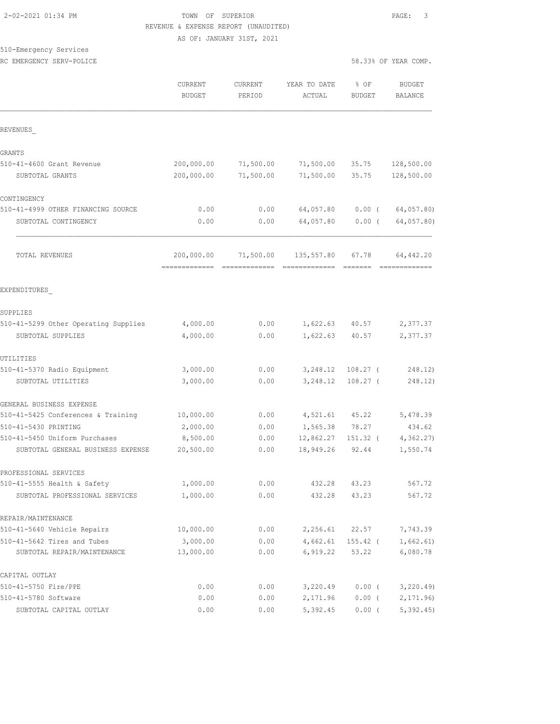### 2-02-2021 01:34 PM TOWN OF SUPERIOR PAGE: 3 REVENUE & EXPENSE REPORT (UNAUDITED)

AS OF: JANUARY 31ST, 2021

### 510-Emergency Services

RC EMERGENCY SERV-POLICE **For a state of the service of the service of the service of the service of the service of the service of the service of the service of the service of the service of the service of the service of t** 

|                                      | CURRENT<br><b>BUDGET</b> | CURRENT<br>PERIOD | YEAR TO DATE<br>ACTUAL | % OF<br><b>BUDGET</b> | <b>BUDGET</b><br><b>BALANCE</b> |
|--------------------------------------|--------------------------|-------------------|------------------------|-----------------------|---------------------------------|
| REVENUES                             |                          |                   |                        |                       |                                 |
| GRANTS                               |                          |                   |                        |                       |                                 |
| 510-41-4600 Grant Revenue            | 200,000.00               | 71,500.00         | 71,500.00              | 35.75                 | 128,500.00                      |
| SUBTOTAL GRANTS                      | 200,000.00               | 71,500.00         | 71,500.00              | 35.75                 | 128,500.00                      |
| CONTINGENCY                          |                          |                   |                        |                       |                                 |
| 510-41-4999 OTHER FINANCING SOURCE   | 0.00                     | 0.00              | 64,057.80              | $0.00$ (              | 64,057.80)                      |
| SUBTOTAL CONTINGENCY                 | 0.00                     | 0.00              | 64,057.80              | $0.00$ (              | 64,057.80)                      |
| TOTAL REVENUES                       | 200,000.00               | 71,500.00         | 135,557.80             | 67.78                 | 64,442.20                       |
| EXPENDITURES                         |                          |                   |                        |                       |                                 |
| SUPPLIES                             |                          |                   |                        |                       |                                 |
| 510-41-5299 Other Operating Supplies | 4,000.00                 | 0.00              | 1,622.63               | 40.57                 | 2,377.37                        |
| SUBTOTAL SUPPLIES                    | 4,000.00                 | 0.00              | 1,622.63               | 40.57                 | 2,377.37                        |
| UTILITIES                            |                          |                   |                        |                       |                                 |
| 510-41-5370 Radio Equipment          | 3,000.00                 | 0.00              | 3,248.12               | $108.27$ (            | 248.12)                         |
| SUBTOTAL UTILITIES                   | 3,000.00                 | 0.00              | 3,248.12               | $108.27$ (            | 248.12)                         |
| GENERAL BUSINESS EXPENSE             |                          |                   |                        |                       |                                 |
| 510-41-5425 Conferences & Training   | 10,000.00                | 0.00              | 4,521.61               | 45.22                 | 5,478.39                        |
| 510-41-5430 PRINTING                 | 2,000.00                 | 0.00              | 1,565.38               | 78.27                 | 434.62                          |
| 510-41-5450 Uniform Purchases        | 8,500.00                 | 0.00              | 12,862.27              | $151.32$ (            | 4, 362.27                       |
| SUBTOTAL GENERAL BUSINESS EXPENSE    | 20,500.00                | 0.00              | 18,949.26              | 92.44                 | 1,550.74                        |
| PROFESSIONAL SERVICES                |                          |                   |                        |                       |                                 |
| 510-41-5555 Health & Safety          | 1,000.00                 | 0.00              | 432.28                 | 43.23                 | 567.72                          |
| SUBTOTAL PROFESSIONAL SERVICES       | 1,000.00                 | 0.00              | 432.28                 | 43.23                 | 567.72                          |
| REPAIR/MAINTENANCE                   |                          |                   |                        |                       |                                 |
| 510-41-5640 Vehicle Repairs          | 10,000.00                | 0.00              | 2,256.61               | 22.57                 | 7,743.39                        |
| 510-41-5642 Tires and Tubes          | 3,000.00                 | 0.00              | 4,662.61               | $155.42$ (            | 1,662.61)                       |
| SUBTOTAL REPAIR/MAINTENANCE          | 13,000.00                | 0.00              | 6,919.22               | 53.22                 | 6,080.78                        |
| CAPITAL OUTLAY                       |                          |                   |                        |                       |                                 |
| 510-41-5750 Fire/PPE                 | 0.00                     | 0.00              | 3,220.49               | $0.00$ (              | 3, 220.49                       |
| 510-41-5780 Software                 | 0.00                     | 0.00              | 2,171.96               | $0.00$ (              | 2, 171.96                       |
| SUBTOTAL CAPITAL OUTLAY              | 0.00                     | 0.00              | 5,392.45               | $0.00$ (              | 5,392.45                        |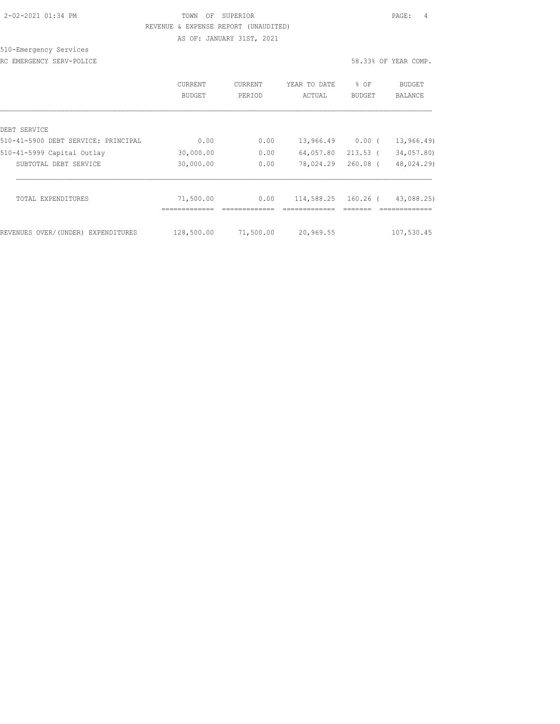### 2-02-2021 01:34 PM TOWN OF SUPERIOR PAGE: 4 REVENUE & EXPENSE REPORT (UNAUDITED)

AS OF: JANUARY 31ST, 2021

### 510-Emergency Services

RC EMERGENCY SERV-POLICE **For a state of the service of the service of the service of the service of the service of the service of the service of the service of the service of the service of the service of the service of t** 

|                                                     | <b>CURRENT</b><br>BUDGET | <b>CURRENT</b><br>PERIOD | YEAR TO DATE<br>ACTUAL | $8$ OF<br>BUDGET | <b>BUDGET</b><br>BALANCE |
|-----------------------------------------------------|--------------------------|--------------------------|------------------------|------------------|--------------------------|
|                                                     |                          |                          |                        |                  |                          |
| DEBT SERVICE<br>510-41-5900 DEBT SERVICE: PRINCIPAL | 0.00                     | 0.00                     | 13,966.49              | $0.00$ (         | 13, 966.49               |
| 510-41-5999 Capital Outlay                          | 30,000.00                | 0.00                     | 64,057.80              | $213.53$ (       | 34,057.80)               |
| SUBTOTAL DEBT SERVICE                               | 30,000.00                | 0.00                     | 78,024.29              | $260.08$ (       | 48,024.29)               |
| TOTAL EXPENDITURES                                  | 71,500.00                | 0.00                     | 114,588.25             | 160.26 (         | 43,088.25)               |
| REVENUES OVER/(UNDER) EXPENDITURES                  | 128,500.00               | 71,500.00                | 20,969.55              |                  | 107,530.45               |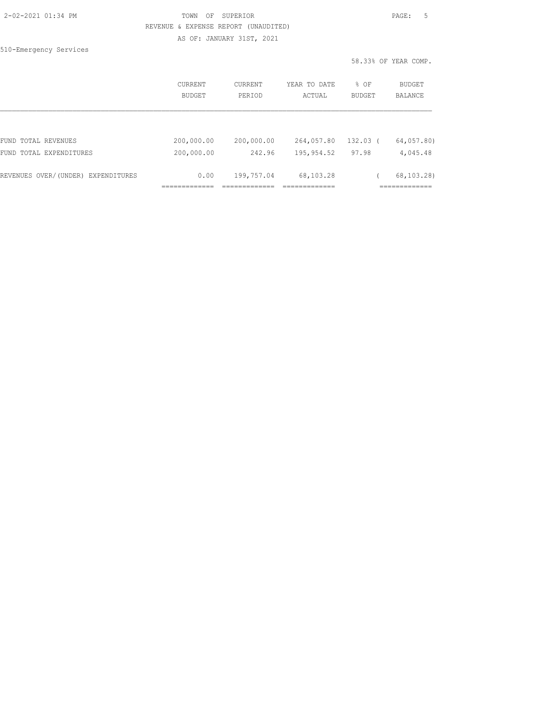#### 2-02-2021 01:34 PM TOWN OF SUPERIOR PAGE: 5 REVENUE & EXPENSE REPORT (UNAUDITED) AS OF: JANUARY 31ST, 2021

510-Emergency Services

|                                    | <b>CURRENT</b><br><b>BUDGET</b> | CURRENT<br>PERIOD | YEAR TO DATE<br>ACTUAL | $8$ OF<br><b>BUDGET</b> | BUDGET<br><b>BALANCE</b> |
|------------------------------------|---------------------------------|-------------------|------------------------|-------------------------|--------------------------|
|                                    |                                 |                   |                        |                         |                          |
| FUND TOTAL REVENUES                | 200,000.00                      | 200,000.00        | 264,057.80             | $132.03$ (              | 64,057.80)               |
| FUND TOTAL EXPENDITURES            | 200,000.00                      | 242.96            | 195,954.52             | 97.98                   | 4,045.48                 |
| REVENUES OVER/(UNDER) EXPENDITURES | 0.00                            | 199,757.04        | 68,103.28              |                         | 68,103.28)               |
|                                    |                                 |                   |                        |                         |                          |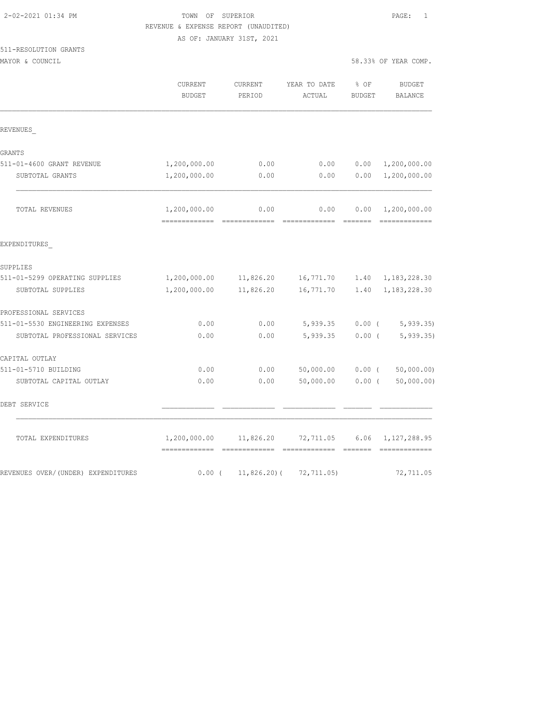| 2-02-2021 01:34 PM |  |
|--------------------|--|
|                    |  |

## TOWN OF SUPERIOR **PAGE:** 1 REVENUE & EXPENSE REPORT (UNAUDITED)

AS OF: JANUARY 31ST, 2021

# 511-RESOLUTION GRANTS

MAYOR & COUNCIL

| 58.33% OF YEAR COMP. |  |  |
|----------------------|--|--|
|                      |  |  |

|                                    | CURRENT<br><b>BUDGET</b>                     | CURRENT<br>PERIOD     | YEAR TO DATE<br>ACTUAL     | % OF<br>BUDGET   | BUDGET<br>BALANCE               |
|------------------------------------|----------------------------------------------|-----------------------|----------------------------|------------------|---------------------------------|
| REVENUES                           |                                              |                       |                            |                  |                                 |
| GRANTS                             |                                              |                       |                            |                  |                                 |
| 511-01-4600 GRANT REVENUE          | 1,200,000.00                                 | 0.00                  | 0.00                       | 0.00             | 1,200,000.00                    |
| SUBTOTAL GRANTS                    | 1,200,000.00                                 | 0.00                  | 0.00                       | 0.00             | 1,200,000.00                    |
| TOTAL REVENUES                     | 1,200,000.00<br>--------------               | 0.00<br>============= | 0.00<br>-------------      | 0.00             | 1,200,000.00<br>-------------   |
| EXPENDITURES                       |                                              |                       |                            |                  |                                 |
| SUPPLIES                           |                                              |                       |                            |                  |                                 |
| 511-01-5299 OPERATING SUPPLIES     | 1,200,000.00                                 | 11,826.20             | 16,771.70                  | 1.40             | 1, 183, 228.30                  |
| SUBTOTAL SUPPLIES                  | 1,200,000.00                                 | 11,826.20             | 16,771.70                  | 1.40             | 1, 183, 228.30                  |
| PROFESSIONAL SERVICES              |                                              |                       |                            |                  |                                 |
| 511-01-5530 ENGINEERING EXPENSES   | 0.00                                         | 0.00                  | 5,939.35                   |                  | $0.00$ ( 5,939.35)              |
| SUBTOTAL PROFESSIONAL SERVICES     | 0.00                                         | 0.00                  | 5,939.35                   | $0.00$ (         | 5, 939.35                       |
| CAPITAL OUTLAY                     |                                              |                       |                            |                  |                                 |
| 511-01-5710 BUILDING               | 0.00                                         | 0.00                  | 50,000.00                  | $0.00$ (         | 50,000.00)                      |
| SUBTOTAL CAPITAL OUTLAY            | 0.00                                         | 0.00                  | 50,000.00                  | $0.00$ (         | 50,000.00)                      |
| DEBT SERVICE                       |                                              |                       |                            |                  |                                 |
| TOTAL EXPENDITURES                 | 1,200,000.00<br>============================ | 11,826.20             | 72,711.05<br>============= | 6.06<br>-------- | 1, 127, 288.95<br>------------- |
| REVENUES OVER/(UNDER) EXPENDITURES | $0.00$ (                                     | $11,826.20$ (         | 72,711.05)                 |                  | 72,711.05                       |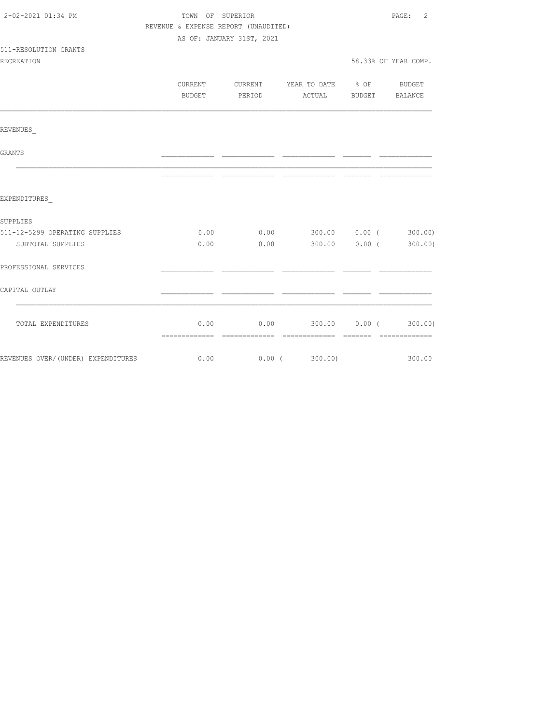| 2-02-2021 01:34 PM                 | TOWN OF SUPERIOR                     |                           |                                             |                       | $\overline{2}$<br>$\mathtt{PAGE}$ : |
|------------------------------------|--------------------------------------|---------------------------|---------------------------------------------|-----------------------|-------------------------------------|
|                                    | REVENUE & EXPENSE REPORT (UNAUDITED) |                           |                                             |                       |                                     |
|                                    |                                      | AS OF: JANUARY 31ST, 2021 |                                             |                       |                                     |
| 511-RESOLUTION GRANTS              |                                      |                           |                                             |                       |                                     |
| <b>RECREATION</b>                  |                                      |                           |                                             |                       | 58.33% OF YEAR COMP.                |
|                                    |                                      |                           | CURRENT CURRENT YEAR TO DATE % OF BUDGET    |                       |                                     |
|                                    | BUDGET                               | PERIOD                    |                                             | ACTUAL BUDGET BALANCE |                                     |
|                                    |                                      |                           |                                             |                       |                                     |
|                                    |                                      |                           |                                             |                       |                                     |
| REVENUES                           |                                      |                           |                                             |                       |                                     |
| GRANTS                             |                                      |                           |                                             |                       |                                     |
|                                    |                                      |                           |                                             |                       |                                     |
|                                    |                                      |                           |                                             |                       |                                     |
| EXPENDITURES                       |                                      |                           |                                             |                       |                                     |
| SUPPLIES                           |                                      |                           |                                             |                       |                                     |
| 511-12-5299 OPERATING SUPPLIES     |                                      |                           | $0.00$ $0.00$ $300.00$ $0.00$ $($ $300.00)$ |                       |                                     |
| SUBTOTAL SUPPLIES                  | 0.00                                 | 0.00                      |                                             | 300.00 0.00 (         | 300.00)                             |
| PROFESSIONAL SERVICES              |                                      |                           |                                             |                       |                                     |
| CAPITAL OUTLAY                     |                                      |                           |                                             |                       |                                     |
|                                    |                                      |                           |                                             |                       |                                     |
| TOTAL EXPENDITURES                 |                                      |                           | $0.00$ 0.00 300.00 0.00 (300.00)            |                       |                                     |
|                                    |                                      |                           |                                             |                       |                                     |
| REVENUES OVER/(UNDER) EXPENDITURES | 0.00                                 |                           | $0.00$ ( 300.00)                            |                       | 300.00                              |
|                                    |                                      |                           |                                             |                       |                                     |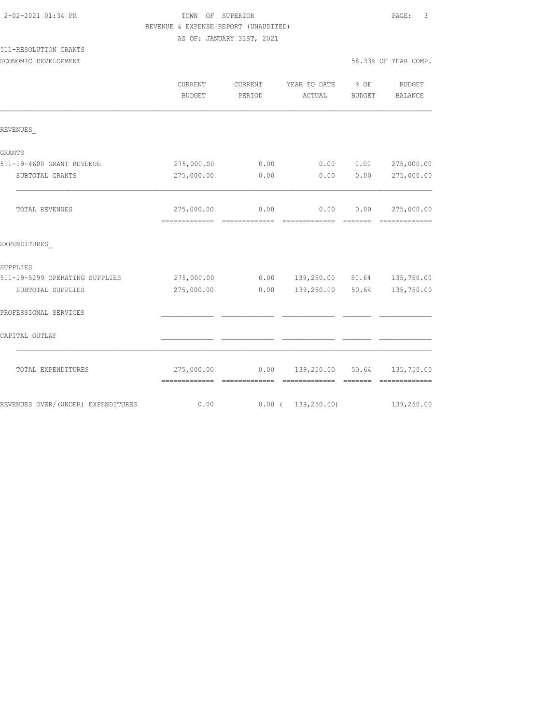| 2-02-2021 01:34 PM |  |
|--------------------|--|
|                    |  |

# TOWN OF SUPERIOR **PAGE:** 3 REVENUE & EXPENSE REPORT (UNAUDITED)

AS OF: JANUARY 31ST, 2021

# 511-RESOLUTION GRANTS

ECONOMIC DEVELOPMENT 58

|                                     | CURRENT<br><b>BUDGET</b> | CURRENT<br>PERIOD | YEAR TO DATE % OF<br>ACTUAL | BUDGET | <b>BUDGET</b><br><b>BALANCE</b>                                                                                                                                                                                                                                                                                                                                                                                                                                                                      |
|-------------------------------------|--------------------------|-------------------|-----------------------------|--------|------------------------------------------------------------------------------------------------------------------------------------------------------------------------------------------------------------------------------------------------------------------------------------------------------------------------------------------------------------------------------------------------------------------------------------------------------------------------------------------------------|
| REVENUES                            |                          |                   |                             |        |                                                                                                                                                                                                                                                                                                                                                                                                                                                                                                      |
| <b>GRANTS</b>                       |                          |                   |                             |        |                                                                                                                                                                                                                                                                                                                                                                                                                                                                                                      |
| 511-19-4600 GRANT REVENUE           | 275,000.00               | 0.00              | 0.00                        | 0.00   | 275,000.00                                                                                                                                                                                                                                                                                                                                                                                                                                                                                           |
| SUBTOTAL GRANTS                     | 275,000.00               | 0.00              | 0.00                        | 0.00   | 275,000.00                                                                                                                                                                                                                                                                                                                                                                                                                                                                                           |
| TOTAL REVENUES                      | 275,000.00               | 0.00              | 0.00                        | 0.00   | 275,000.00<br>$\begin{array}{cccccccccccccc} \multicolumn{2}{c}{} & \multicolumn{2}{c}{} & \multicolumn{2}{c}{} & \multicolumn{2}{c}{} & \multicolumn{2}{c}{} & \multicolumn{2}{c}{} & \multicolumn{2}{c}{} & \multicolumn{2}{c}{} & \multicolumn{2}{c}{} & \multicolumn{2}{c}{} & \multicolumn{2}{c}{} & \multicolumn{2}{c}{} & \multicolumn{2}{c}{} & \multicolumn{2}{c}{} & \multicolumn{2}{c}{} & \multicolumn{2}{c}{} & \multicolumn{2}{c}{} & \multicolumn{2}{c}{} & \multicolumn{2}{c}{} & \$ |
| EXPENDITURES                        |                          |                   |                             |        |                                                                                                                                                                                                                                                                                                                                                                                                                                                                                                      |
| SUPPLIES                            |                          |                   |                             |        |                                                                                                                                                                                                                                                                                                                                                                                                                                                                                                      |
| 511-19-5299 OPERATING SUPPLIES      | 275,000.00               |                   | $0.00$ $139,250.00$ $50.64$ |        | 135,750.00                                                                                                                                                                                                                                                                                                                                                                                                                                                                                           |
| SUBTOTAL SUPPLIES                   | 275,000.00               | 0.00              | 139,250.00 50.64            |        | 135,750.00                                                                                                                                                                                                                                                                                                                                                                                                                                                                                           |
| PROFESSIONAL SERVICES               |                          |                   |                             |        |                                                                                                                                                                                                                                                                                                                                                                                                                                                                                                      |
| CAPITAL OUTLAY                      |                          |                   |                             |        |                                                                                                                                                                                                                                                                                                                                                                                                                                                                                                      |
| TOTAL EXPENDITURES                  | 275,000.00               |                   | $0.00$ 139,250.00 50.64     |        | 135,750.00                                                                                                                                                                                                                                                                                                                                                                                                                                                                                           |
| REVENUES OVER/ (UNDER) EXPENDITURES | 0.00                     |                   | $0.00$ ( $139,250.00$ )     |        | 139,250.00                                                                                                                                                                                                                                                                                                                                                                                                                                                                                           |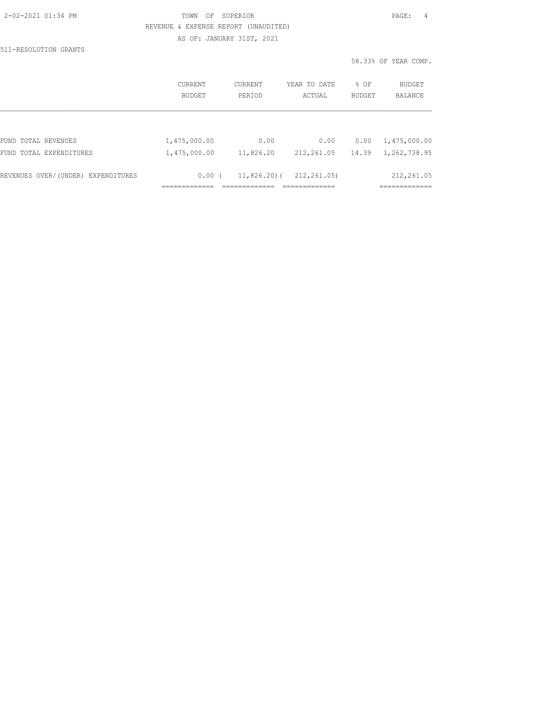#### TOWN OF SUPERIOR **PAGE:** 4 REVENUE & EXPENSE REPORT (UNAUDITED) AS OF: JANUARY 31ST, 2021

511-RESOLUTION GRANTS

|                                    | CURRENT      | CURRENT       | YEAR TO DATE | % OF   | <b>BUDGET</b> |
|------------------------------------|--------------|---------------|--------------|--------|---------------|
|                                    | BUDGET       | PERTOD        | ACTUAL       | BUDGET | BALANCE       |
| FUND TOTAL REVENUES                | 1,475,000.00 | 0.00          | 0.00         | 0.00   | 1,475,000.00  |
| FUND TOTAL EXPENDITURES            | 1,475,000.00 | 11,826.20     | 212,261.05   | 14.39  | 1,262,738.95  |
| REVENUES OVER/(UNDER) EXPENDITURES | 0.00(        | $11,826.20$ ( | 212,261.05)  |        | 212,261.05    |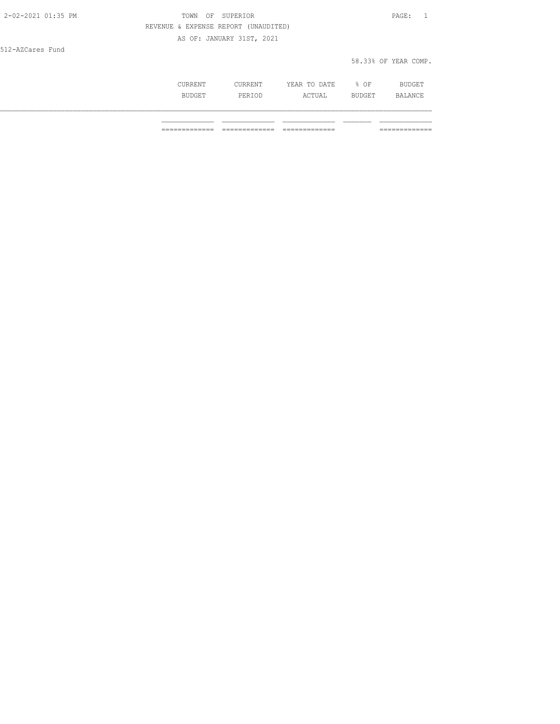| 2-02-2021 01:35 PM | OF SUPERIOR<br>TOWN                  | PAGE: 1              |
|--------------------|--------------------------------------|----------------------|
|                    | REVENUE & EXPENSE REPORT (UNAUDITED) |                      |
|                    | AS OF: JANUARY 31ST, 2021            |                      |
| 512-AZCares Fund   |                                      |                      |
|                    |                                      | 58.33% OF YEAR COMP. |
|                    |                                      |                      |

| jkkent                | `RENT<br>- P P  | m <sub>o</sub><br>DATE<br>YEAR<br>-----<br><u>. v</u> | ΟF   | <b>BUDGET</b>                     |
|-----------------------|-----------------|-------------------------------------------------------|------|-----------------------------------|
| <b>BIIDG</b><br>----- | DFT<br>-------- | <b>CTUAL</b>                                          | RIIP | . $\Delta$ NF<br>ᆂᅜᄘᆇᄔᄔ<br>$\sim$ |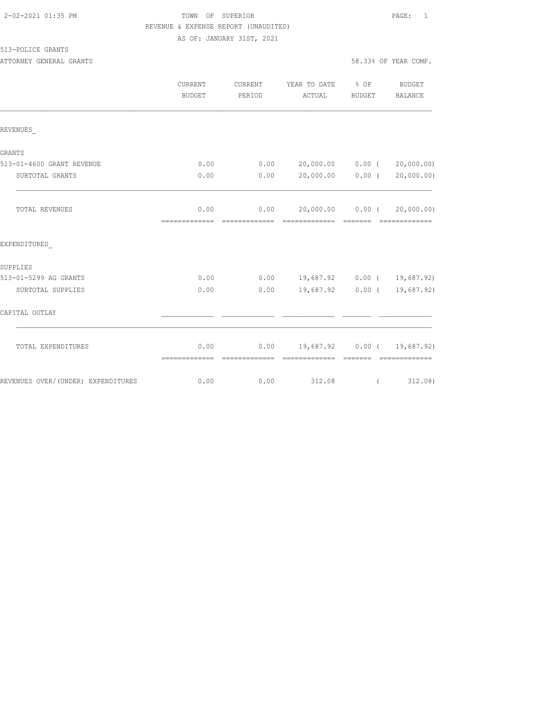### TOWN OF SUPERIOR **PAGE:** 1 REVENUE & EXPENSE REPORT (UNAUDITED)

AS OF: JANUARY 31ST, 2021

#### 513-POLICE GRANTS

ATTORNEY GENERAL GRANTS **FOULD** SEE A SAMPLE SERVICE SERVICE SERVICE SERVICE SERVICE SERVICE SERVICE SERVICE SERVICE SERVICE SERVICE SERVICE SERVICE SERVICE SERVICE SERVICE SERVICE SERVICE SERVICE SERVICE SERVICE SERVICE S

|                                    | CURRENT<br><b>BUDGET</b> | CURRENT<br>PERIOD | YEAR TO DATE % OF<br>ACTUAL                       | BUDGET   | BUDGET<br>BALANCE           |
|------------------------------------|--------------------------|-------------------|---------------------------------------------------|----------|-----------------------------|
| REVENUES                           |                          |                   |                                                   |          |                             |
| GRANTS                             |                          |                   |                                                   |          |                             |
| 513-01-4600 GRANT REVENUE          | 0.00                     | 0.00              | 20,000.00 0.00 (                                  |          | 20,000.00)                  |
| SUBTOTAL GRANTS                    | 0.00                     | 0.00              | 20,000.00 0.00 (                                  |          | 20,000.00)                  |
| TOTAL REVENUES                     | 0.00<br>=============    | 0.00              | 20,000.00 0.00 (                                  |          | 20,000.00)                  |
| EXPENDITURES                       |                          |                   |                                                   |          |                             |
| SUPPLIES                           |                          |                   |                                                   |          |                             |
| 513-01-5299 AG GRANTS              | 0.00                     |                   | $0.00$ 19,687.92 0.00 ( 19,687.92)                |          |                             |
| SUBTOTAL SUPPLIES                  | 0.00                     | 0.00              |                                                   |          | 19,687.92 0.00 ( 19,687.92) |
| CAPITAL OUTLAY                     |                          |                   |                                                   |          |                             |
| TOTAL EXPENDITURES                 | 0.00<br>-------------    | =============     | $0.00$ 19,687.92 0.00 ( 19,687.92)<br>----------- |          |                             |
| REVENUES OVER/(UNDER) EXPENDITURES | 0.00                     | 0.00              | 312.08                                            | $\left($ | 312.08)                     |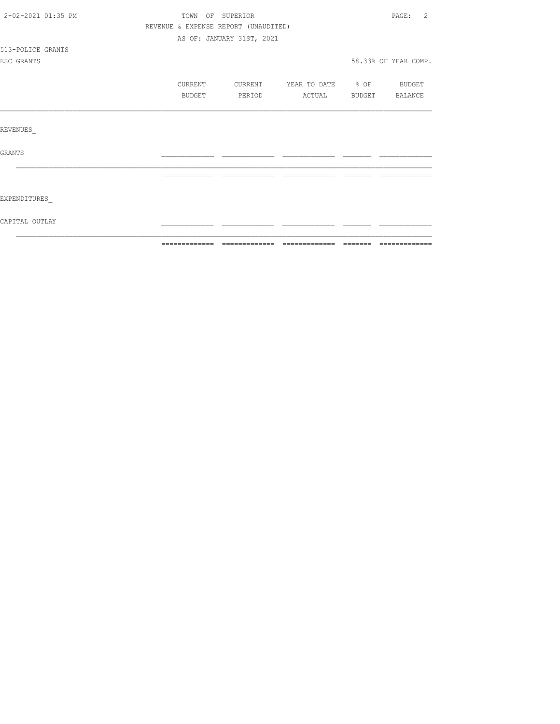| 2-02-2021 01:35 PM | TOWN OF SUPERIOR |                                      |                    |          | PAGE:<br>2           |
|--------------------|------------------|--------------------------------------|--------------------|----------|----------------------|
|                    |                  | REVENUE & EXPENSE REPORT (UNAUDITED) |                    |          |                      |
|                    |                  | AS OF: JANUARY 31ST, 2021            |                    |          |                      |
| 513-POLICE GRANTS  |                  |                                      |                    |          |                      |
| ESC GRANTS         |                  |                                      |                    |          | 58.33% OF YEAR COMP. |
|                    | CURRENT          | CURRENT                              | YEAR TO DATE % OF  |          | BUDGET               |
|                    | BUDGET           | PERIOD                               | ACTUAL             | BUDGET   | BALANCE              |
|                    |                  |                                      |                    |          |                      |
|                    |                  |                                      |                    |          |                      |
| REVENUES           |                  |                                      |                    |          |                      |
| GRANTS             |                  |                                      |                    |          |                      |
|                    | -------------    | --------------                       | -------<br>------- | -------- |                      |
|                    |                  |                                      |                    |          |                      |
| EXPENDITURES       |                  |                                      |                    |          |                      |
| CAPITAL OUTLAY     |                  |                                      |                    |          |                      |
|                    |                  |                                      |                    |          |                      |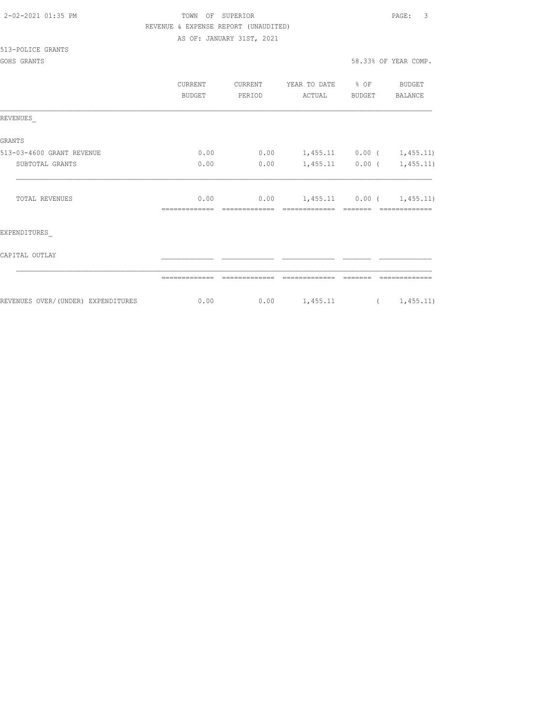| 2-02-2021 01:35 PM |  |
|--------------------|--|
|                    |  |

# TOWN OF SUPERIOR **PAGE:** 3 REVENUE & EXPENSE REPORT (UNAUDITED)

AS OF: JANUARY 31ST, 2021

#### 513-POLICE GRANTS

|                                     | CURRENT<br>BUDGET | <b>CURRENT</b><br>PERIOD | YEAR TO DATE<br>ACTUAL      | $\frac{8}{6}$ OF<br><b>BUDGET</b> | BUDGET<br>BALANCE |
|-------------------------------------|-------------------|--------------------------|-----------------------------|-----------------------------------|-------------------|
| REVENUES                            |                   |                          |                             |                                   |                   |
| <b>GRANTS</b>                       |                   |                          |                             |                                   |                   |
| 513-03-4600 GRANT REVENUE           | 0.00              | 0.00                     | $1,455.11$ 0.00 ( 1,455.11) |                                   |                   |
| SUBTOTAL GRANTS                     | 0.00              | 0.00                     |                             | $1,455.11$ 0.00 (                 | 1,455.11)         |
| TOTAL REVENUES                      | 0.00              | 0.00                     |                             | $1,455.11$ 0.00 (                 | 1,455.11)         |
| EXPENDITURES                        |                   |                          |                             |                                   |                   |
| CAPITAL OUTLAY                      |                   |                          |                             |                                   |                   |
|                                     |                   |                          |                             |                                   |                   |
| REVENUES OVER/ (UNDER) EXPENDITURES | 0.00              | 0.00                     | 1,455.11                    |                                   | 1,455.11)         |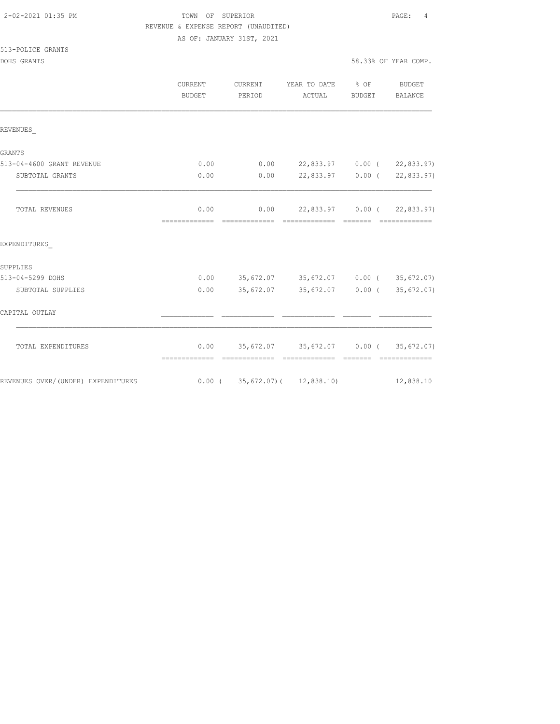## TOWN OF SUPERIOR **PAGE:** 4 REVENUE & EXPENSE REPORT (UNAUDITED)

AS OF: JANUARY 31ST, 2021

|                                    | <b>CURRENT</b><br>BUDGET | CURRENT<br>PERIOD                  | YEAR TO DATE<br>ACTUAL                            | $8$ OF<br>BUDGET | <b>BUDGET</b><br>BALANCE |
|------------------------------------|--------------------------|------------------------------------|---------------------------------------------------|------------------|--------------------------|
| REVENUES                           |                          |                                    |                                                   |                  |                          |
| <b>GRANTS</b>                      |                          |                                    |                                                   |                  |                          |
| 513-04-4600 GRANT REVENUE          | 0.00                     | 0.00                               | 22,833.97 0.00 (22,833.97)                        |                  |                          |
| SUBTOTAL GRANTS                    | 0.00                     | 0.00                               | 22,833.97 0.00 (                                  |                  | 22,833.97)               |
| TOTAL REVENUES                     | 0.00                     |                                    | $0.00$ 22,833.97 0.00 (                           |                  | 22,833.97)               |
| EXPENDITURES                       |                          |                                    |                                                   |                  |                          |
| SUPPLIES                           |                          |                                    |                                                   |                  |                          |
| 513-04-5299 DOHS                   | 0.00                     |                                    | 35,672.07 35,672.07 0.00 (35,672.07)              |                  |                          |
| SUBTOTAL SUPPLIES                  | 0.00                     |                                    | $35,672.07$ $35,672.07$ 0.00 ( $35,672.07$ )      |                  |                          |
| CAPITAL OUTLAY                     |                          |                                    |                                                   |                  |                          |
| TOTAL EXPENDITURES                 | 0.00<br>-------------    | ----------                         | 35,672.07 35,672.07 0.00 (35,672.07)<br>--------- |                  |                          |
| REVENUES OVER/(UNDER) EXPENDITURES |                          | $0.00$ ( 35, 672.07) ( 12, 838.10) |                                                   |                  | 12,838.10                |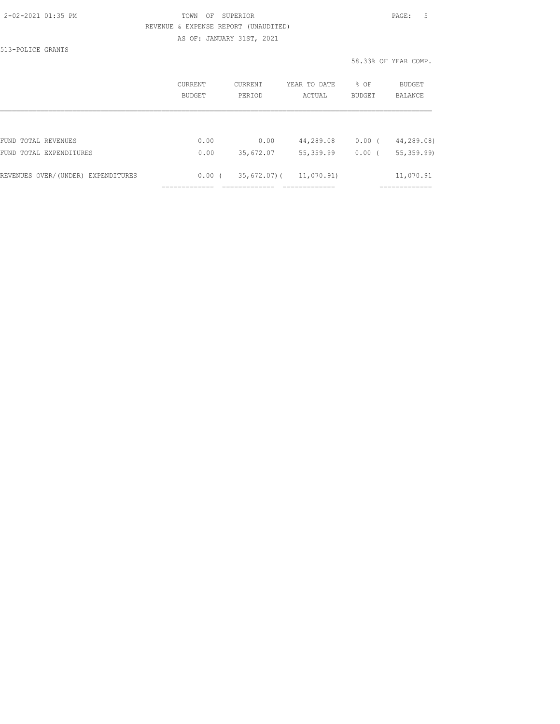### 2-02-2021 01:35 PM TOWN OF SUPERIOR PAGE: 5 REVENUE & EXPENSE REPORT (UNAUDITED)

AS OF: JANUARY 31ST, 2021

513-POLICE GRANTS

|                                    | CURRENT<br><b>BUDGET</b> | CURRENT<br>PERIOD | YEAR TO DATE<br>ACTUAL | % OF<br>BUDGET | <b>BUDGET</b><br><b>BALANCE</b> |
|------------------------------------|--------------------------|-------------------|------------------------|----------------|---------------------------------|
|                                    |                          |                   |                        |                |                                 |
| FUND TOTAL REVENUES                | 0.00                     | 0.00              | 44,289.08              | $0.00$ (       | 44,289.08)                      |
| FUND TOTAL EXPENDITURES            | 0.00                     | 35,672.07         | 55,359.99              | 0.00(          | 55, 359.99                      |
| REVENUES OVER/(UNDER) EXPENDITURES | $0.00$ (                 | 35,672,07)(       | 11,070.91)             |                | 11,070.91                       |
|                                    |                          |                   |                        |                |                                 |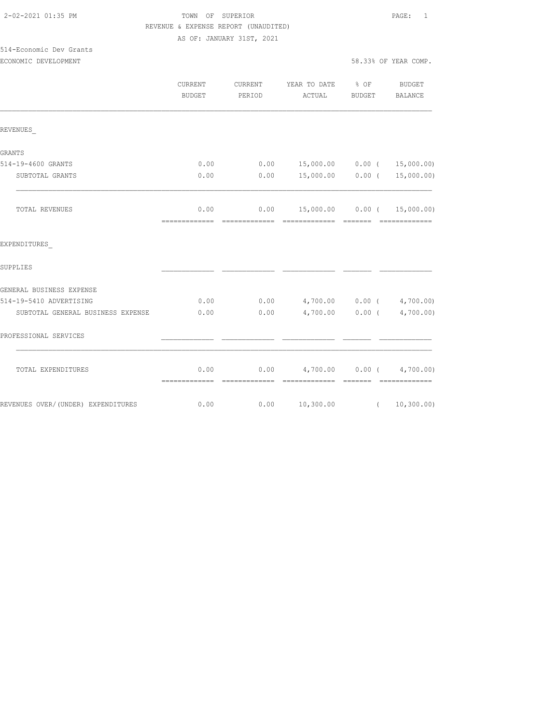# TOWN OF SUPERIOR **PAGE:** 1 REVENUE & EXPENSE REPORT (UNAUDITED)

AS OF: JANUARY 31ST, 2021

#### 514-Economic Dev Grants ECONOMIC DEVELOPMENT 58.33% OF YEAR COMP.

|                                    | <b>CURRENT</b><br><b>BUDGET</b> | CURRENT<br>PERIOD     | YEAR TO DATE % OF<br>ACTUAL                       | <b>BUDGET</b> | BUDGET<br><b>BALANCE</b>        |
|------------------------------------|---------------------------------|-----------------------|---------------------------------------------------|---------------|---------------------------------|
| REVENUES                           |                                 |                       |                                                   |               |                                 |
| <b>GRANTS</b>                      |                                 |                       |                                                   |               |                                 |
| 514-19-4600 GRANTS                 | 0.00                            | 0.00                  |                                                   |               | 15,000.00   0.00 $($ 15,000.00) |
| SUBTOTAL GRANTS                    | 0.00                            | 0.00                  | 15,000.00 0.00 (                                  |               | 15,000.00)                      |
| TOTAL REVENUES                     | 0.00<br>=============           | 0.00<br>============= | - =============                                   | - =======     | --------------                  |
| EXPENDITURES                       |                                 |                       |                                                   |               |                                 |
| SUPPLIES                           |                                 |                       |                                                   |               |                                 |
| GENERAL BUSINESS EXPENSE           |                                 |                       |                                                   |               |                                 |
| 514-19-5410 ADVERTISING            | 0.00                            | 0.00                  | $4,700.00$ 0.00 ( $4,700.00$ )                    |               |                                 |
| SUBTOTAL GENERAL BUSINESS EXPENSE  | 0.00                            | 0.00                  | 4,700.00 0.00 (4,700.00)                          |               |                                 |
| PROFESSIONAL SERVICES              |                                 |                       |                                                   |               |                                 |
| TOTAL EXPENDITURES                 | 0.00                            |                       | $0.00$ $4,700.00$ $0.00$ $4,700.00)$<br>eccessess | <b>BEECEE</b> | - ==============                |
| REVENUES OVER/(UNDER) EXPENDITURES | 0.00                            | 0.00                  | 10,300.00                                         | $\sqrt{2}$    | 10, 300.00)                     |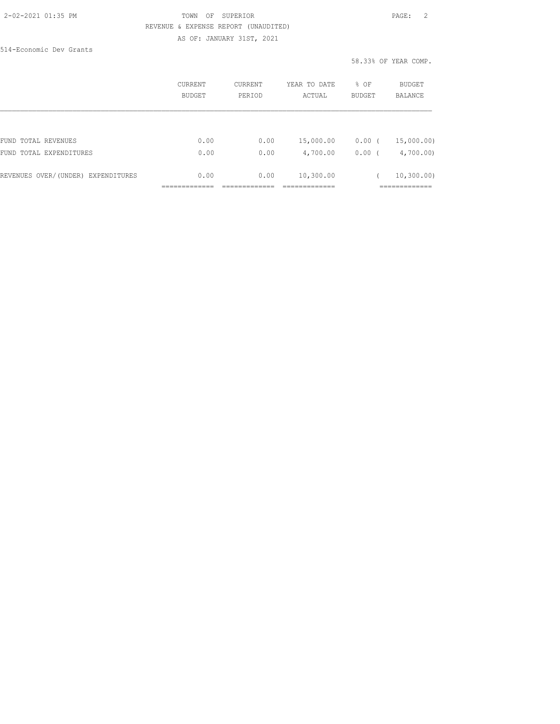#### 2-02-2021 01:35 PM TOWN OF SUPERIOR PAGE: 2 REVENUE & EXPENSE REPORT (UNAUDITED) AS OF: JANUARY 31ST, 2021

514-Economic Dev Grants

|                                    | CURRENT<br><b>BUDGET</b> | CURRENT<br>PERIOD | YEAR TO DATE<br>ACTUAL | % OF<br><b>BUDGET</b> | BUDGET<br><b>BALANCE</b> |
|------------------------------------|--------------------------|-------------------|------------------------|-----------------------|--------------------------|
|                                    |                          |                   |                        |                       |                          |
| FUND TOTAL REVENUES                | 0.00                     | 0.00              | 15,000.00              | 0.00                  | 15,000.00)               |
| FUND TOTAL EXPENDITURES            | 0.00                     | 0.00              | 4,700.00               | 0.00                  | 4,700.00                 |
| REVENUES OVER/(UNDER) EXPENDITURES | 0.00                     | 0.00              | 10,300.00              |                       | 10, 300, 00)             |
|                                    |                          |                   |                        |                       |                          |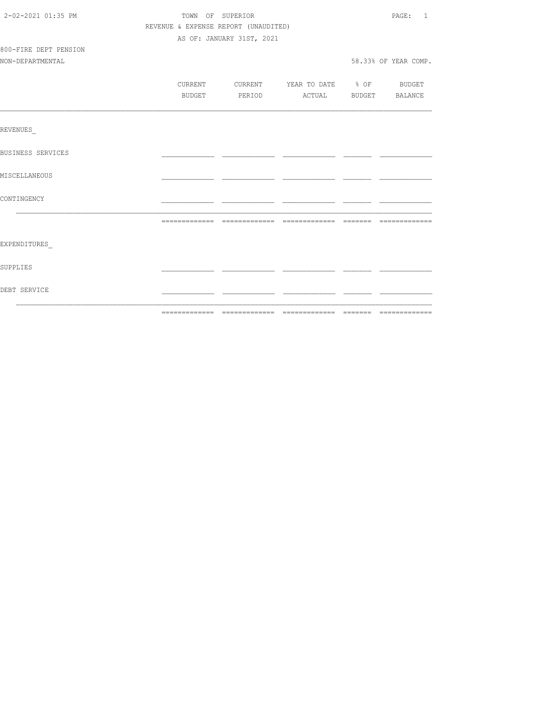| 2-02-2021 01:35 PM       | TOWN OF SUPERIOR                     | PAGE: 1                          |  |                      |
|--------------------------|--------------------------------------|----------------------------------|--|----------------------|
|                          | REVENUE & EXPENSE REPORT (UNAUDITED) |                                  |  |                      |
|                          |                                      | AS OF: JANUARY 31ST, 2021        |  |                      |
| 800-FIRE DEPT PENSION    |                                      |                                  |  |                      |
| NON-DEPARTMENTAL         |                                      |                                  |  | 58.33% OF YEAR COMP. |
|                          |                                      |                                  |  |                      |
|                          | CURRENT                              | CURRENT YEAR TO DATE % OF BUDGET |  |                      |
|                          | BUDGET                               | PERIOD ACTUAL BUDGET BALANCE     |  |                      |
|                          |                                      |                                  |  |                      |
| REVENUES                 |                                      |                                  |  |                      |
| <b>BUSINESS SERVICES</b> |                                      |                                  |  |                      |
| MISCELLANEOUS            |                                      |                                  |  |                      |
| CONTINGENCY              |                                      |                                  |  |                      |
|                          |                                      |                                  |  |                      |
| EXPENDITURES             |                                      |                                  |  |                      |
| SUPPLIES                 |                                      |                                  |  |                      |
| DEBT SERVICE             |                                      |                                  |  |                      |
|                          |                                      |                                  |  |                      |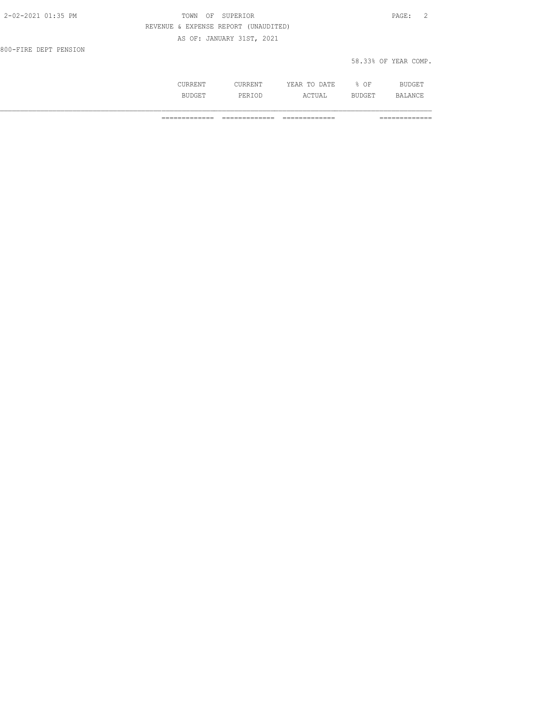| 2-02-2021 01:35 PM    | TOWN OF SUPERIOR                     | PAGE: 2              |
|-----------------------|--------------------------------------|----------------------|
|                       | REVENUE & EXPENSE REPORT (UNAUDITED) |                      |
|                       | AS OF: JANUARY 31ST, 2021            |                      |
| 800-FIRE DEPT PENSION |                                      |                      |
|                       |                                      | 58.33% OF YEAR COMP. |

|     |                     | - - -<br>יחודות.<br>. д<br>----<br>----- | OF<br>∽.<br>-  | RL.<br>∸ ∟∪ |
|-----|---------------------|------------------------------------------|----------------|-------------|
| --- | ∵ ⊤ت د ،<br>8 I O D | . .<br>سدين                              | 11 TCH.<br>∼⊔⊔ | AN'<br>.    |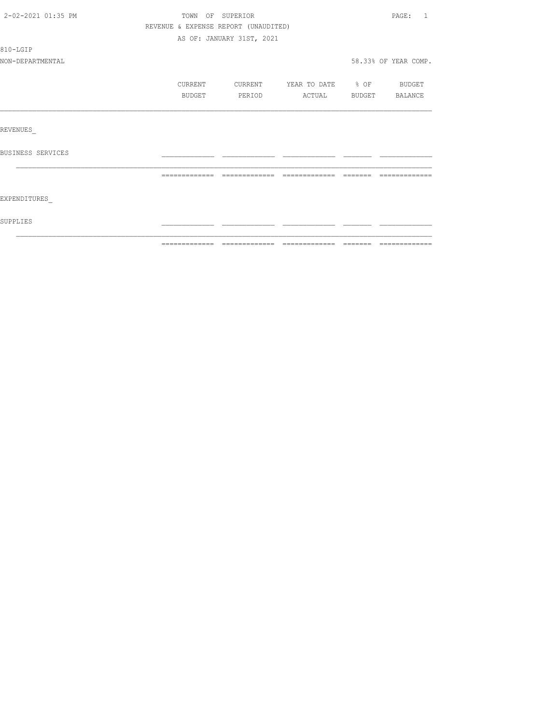| 2-02-2021 01:35 PM | TOWN OF SUPERIOR                     |                           |                          |                                                                                                                                                                                                                                                                                                                                                                                                                                                                                           | $\mathtt{PAGE}$ :<br>$\overline{1}$ |
|--------------------|--------------------------------------|---------------------------|--------------------------|-------------------------------------------------------------------------------------------------------------------------------------------------------------------------------------------------------------------------------------------------------------------------------------------------------------------------------------------------------------------------------------------------------------------------------------------------------------------------------------------|-------------------------------------|
|                    | REVENUE & EXPENSE REPORT (UNAUDITED) |                           |                          |                                                                                                                                                                                                                                                                                                                                                                                                                                                                                           |                                     |
|                    |                                      | AS OF: JANUARY 31ST, 2021 |                          |                                                                                                                                                                                                                                                                                                                                                                                                                                                                                           |                                     |
| 810-LGIP           |                                      |                           |                          |                                                                                                                                                                                                                                                                                                                                                                                                                                                                                           |                                     |
| NON-DEPARTMENTAL   |                                      |                           |                          |                                                                                                                                                                                                                                                                                                                                                                                                                                                                                           | 58.33% OF YEAR COMP.                |
|                    | CURRENT                              | CURRENT                   | YEAR TO DATE % OF BUDGET |                                                                                                                                                                                                                                                                                                                                                                                                                                                                                           |                                     |
|                    | BUDGET                               | PERIOD                    | ACTUAL                   | BUDGET                                                                                                                                                                                                                                                                                                                                                                                                                                                                                    | BALANCE                             |
|                    |                                      |                           |                          |                                                                                                                                                                                                                                                                                                                                                                                                                                                                                           |                                     |
| REVENUES           |                                      |                           |                          |                                                                                                                                                                                                                                                                                                                                                                                                                                                                                           |                                     |
| BUSINESS SERVICES  |                                      |                           |                          |                                                                                                                                                                                                                                                                                                                                                                                                                                                                                           |                                     |
|                    | =============                        | =============             |                          | $\qquad \qquad =\qquad \qquad =\qquad \qquad =\qquad \qquad =\qquad \qquad =\qquad \qquad =\qquad \qquad =\qquad \qquad =\qquad \qquad =\qquad \qquad =\qquad \qquad =\qquad \qquad =\qquad \qquad =\qquad \qquad =\qquad \qquad =\qquad \qquad =\qquad \qquad =\qquad \qquad =\qquad \qquad =\qquad \qquad =\qquad \qquad =\qquad \qquad =\qquad \qquad =\qquad \qquad =\qquad \qquad =\qquad \qquad =\qquad \qquad =\qquad \qquad =\qquad \qquad =\qquad \qquad =\qquad \qquad =\qquad$ | -------------                       |
| EXPENDITURES       |                                      |                           |                          |                                                                                                                                                                                                                                                                                                                                                                                                                                                                                           |                                     |
| SUPPLIES           |                                      |                           |                          |                                                                                                                                                                                                                                                                                                                                                                                                                                                                                           |                                     |
|                    |                                      |                           |                          |                                                                                                                                                                                                                                                                                                                                                                                                                                                                                           |                                     |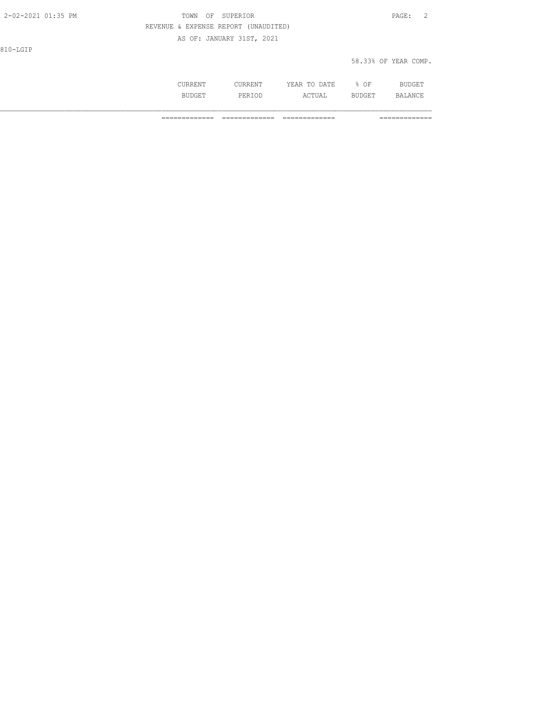| 2-02-2021 01:35 PM | TOWN<br>OF | SUPERIOR                             |              |                      | $\mathtt{PAGE}$ : | - 2 |
|--------------------|------------|--------------------------------------|--------------|----------------------|-------------------|-----|
|                    |            | REVENUE & EXPENSE REPORT (UNAUDITED) |              |                      |                   |     |
|                    |            | AS OF: JANUARY 31ST, 2021            |              |                      |                   |     |
| 810-LGIP           |            |                                      |              |                      |                   |     |
|                    |            |                                      |              | 58.33% OF YEAR COMP. |                   |     |
|                    |            |                                      |              |                      |                   |     |
|                    | CURRENT    | <b>CURRENT</b>                       | YEAR TO DATE | % OF                 | <b>BUDGET</b>     |     |

BUDGET PERIOD ACTUAL BUDGET BALANCE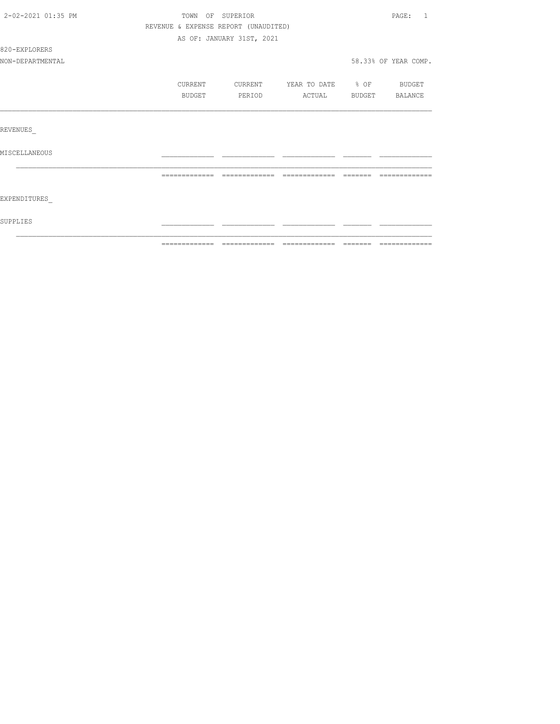| 2-02-2021 01:35 PM | TOWN OF SUPERIOR                     |                           |                   |          | PAGE:<br>$\overline{1}$ |
|--------------------|--------------------------------------|---------------------------|-------------------|----------|-------------------------|
|                    | REVENUE & EXPENSE REPORT (UNAUDITED) |                           |                   |          |                         |
|                    |                                      | AS OF: JANUARY 31ST, 2021 |                   |          |                         |
| 820-EXPLORERS      |                                      |                           |                   |          |                         |
| NON-DEPARTMENTAL   |                                      |                           |                   |          | 58.33% OF YEAR COMP.    |
|                    | CURRENT                              | CURRENT                   | YEAR TO DATE % OF |          | <b>BUDGET</b>           |
|                    | BUDGET                               | PERIOD                    | ACTUAL            |          | BUDGET BALANCE          |
|                    |                                      |                           |                   |          |                         |
| REVENUES           |                                      |                           |                   |          |                         |
| MISCELLANEOUS      |                                      |                           |                   |          |                         |
|                    |                                      |                           |                   | -------- |                         |
|                    |                                      |                           |                   |          |                         |
| EXPENDITURES       |                                      |                           |                   |          |                         |
| SUPPLIES           |                                      |                           |                   |          |                         |
|                    |                                      |                           |                   |          |                         |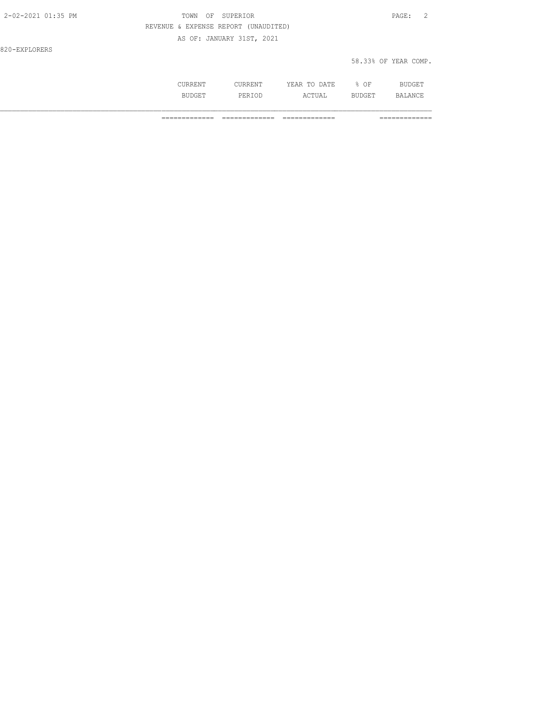| 2-02-2021 01:35 PM | TOWN OF SUPERIOR                     | PAGE: 2              |
|--------------------|--------------------------------------|----------------------|
|                    | REVENUE & EXPENSE REPORT (UNAUDITED) |                      |
|                    | AS OF: JANUARY 31ST, 2021            |                      |
| 820-EXPLORERS      |                                      |                      |
|                    |                                      | 58.33% OF YEAR COMP. |

| .   | .     | - - -<br>$\wedge$ $\sqcap$ $\top$<br>44<br>----<br>----- | ΩF<br>◡ | .              |
|-----|-------|----------------------------------------------------------|---------|----------------|
| --- | <br>. | $C$ met $\lambda$ in<br>. 711                            | ב בטי   | $\mathbb{R}^n$ |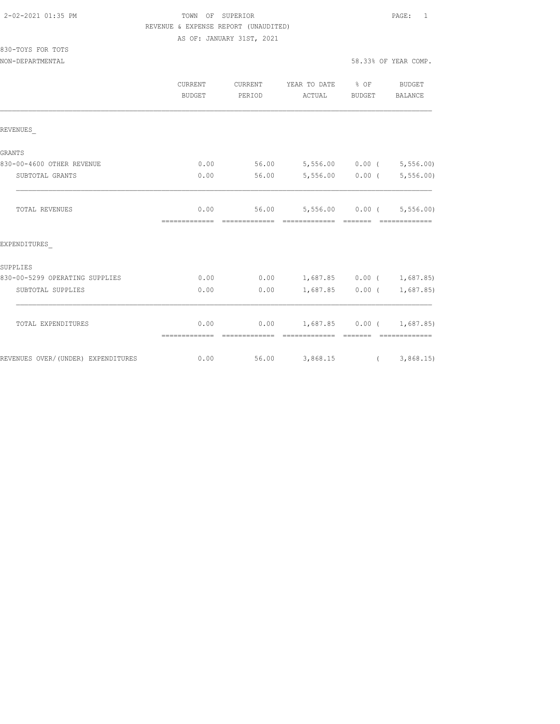## TOWN OF SUPERIOR **PAGE:** 1 REVENUE & EXPENSE REPORT (UNAUDITED)

AS OF: JANUARY 31ST, 2021

| 830-TOYS FOR TOTS |  |  |
|-------------------|--|--|
|                   |  |  |

|                                    | <b>CURRENT</b><br>BUDGET                                                                                                                                                                                                                                                                                                                                                                                                                                                                       | <b>CURRENT</b><br>PERIOD | YEAR TO DATE % OF<br>ACTUAL                      | BUDGET                                                      | <b>BUDGET</b><br><b>BALANCE</b> |
|------------------------------------|------------------------------------------------------------------------------------------------------------------------------------------------------------------------------------------------------------------------------------------------------------------------------------------------------------------------------------------------------------------------------------------------------------------------------------------------------------------------------------------------|--------------------------|--------------------------------------------------|-------------------------------------------------------------|---------------------------------|
| REVENUES                           |                                                                                                                                                                                                                                                                                                                                                                                                                                                                                                |                          |                                                  |                                                             |                                 |
| GRANTS                             |                                                                                                                                                                                                                                                                                                                                                                                                                                                                                                |                          |                                                  |                                                             |                                 |
| 830-00-4600 OTHER REVENUE          | 0.00                                                                                                                                                                                                                                                                                                                                                                                                                                                                                           | 56.00                    | 5,556.00 0.00 (5,556.00)                         |                                                             |                                 |
| SUBTOTAL GRANTS                    | 0.00                                                                                                                                                                                                                                                                                                                                                                                                                                                                                           | 56.00                    |                                                  | $5,556.00$ 0.00 (                                           | 5, 556.00                       |
| TOTAL REVENUES                     | 0.00<br>--------------                                                                                                                                                                                                                                                                                                                                                                                                                                                                         |                          | 56.00 5,556.00 0.00 ( 5,556.00)<br>------------- | $---------$                                                 |                                 |
| EXPENDITURES                       |                                                                                                                                                                                                                                                                                                                                                                                                                                                                                                |                          |                                                  |                                                             |                                 |
| SUPPLIES                           |                                                                                                                                                                                                                                                                                                                                                                                                                                                                                                |                          |                                                  |                                                             |                                 |
| 830-00-5299 OPERATING SUPPLIES     | 0.00                                                                                                                                                                                                                                                                                                                                                                                                                                                                                           | 0.00                     | $1,687.85$ 0.00 ( 1,687.85)                      |                                                             |                                 |
| SUBTOTAL SUPPLIES                  | 0.00                                                                                                                                                                                                                                                                                                                                                                                                                                                                                           | 0.00                     |                                                  | $1,687.85$ 0.00 (                                           | 1,687.85)                       |
| TOTAL EXPENDITURES                 | 0.00<br>$\begin{array}{cccccccccc} \multicolumn{2}{c}{} & \multicolumn{2}{c}{} & \multicolumn{2}{c}{} & \multicolumn{2}{c}{} & \multicolumn{2}{c}{} & \multicolumn{2}{c}{} & \multicolumn{2}{c}{} & \multicolumn{2}{c}{} & \multicolumn{2}{c}{} & \multicolumn{2}{c}{} & \multicolumn{2}{c}{} & \multicolumn{2}{c}{} & \multicolumn{2}{c}{} & \multicolumn{2}{c}{} & \multicolumn{2}{c}{} & \multicolumn{2}{c}{} & \multicolumn{2}{c}{} & \multicolumn{2}{c}{} & \multicolumn{2}{c}{} & \mult$ | 0.00<br>essessessesse    | 1,687.85 0.00 ( 1,687.85)<br>=============       | $\begin{array}{cccccc} = & = & = & = & = & = & \end{array}$ | =============                   |
| REVENUES OVER/(UNDER) EXPENDITURES | 0.00                                                                                                                                                                                                                                                                                                                                                                                                                                                                                           | 56.00                    | 3,868.15 (3,868.15)                              |                                                             |                                 |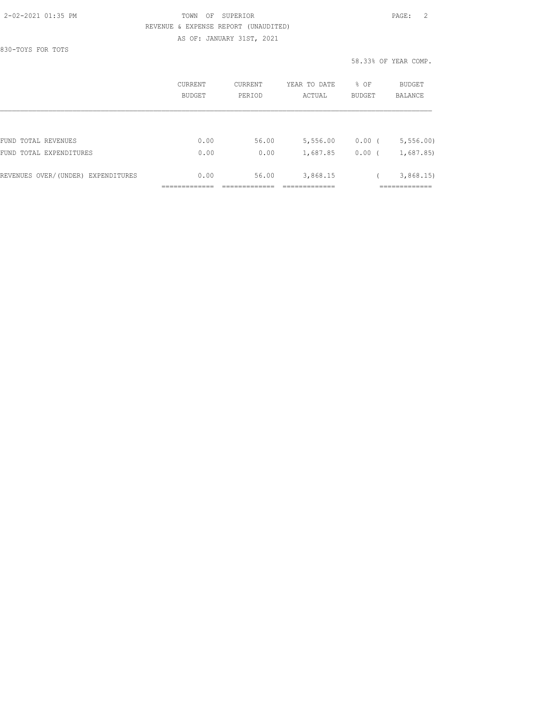#### 2-02-2021 01:35 PM TOWN OF SUPERIOR PAGE: 2 REVENUE & EXPENSE REPORT (UNAUDITED) AS OF: JANUARY 31ST, 2021

830-TOYS FOR TOTS

|                                    | CURRENT<br><b>BUDGET</b> | CURRENT<br>PERIOD | YEAR TO DATE<br>ACTUAL | % OF<br><b>BUDGET</b> | BUDGET<br>BALANCE |
|------------------------------------|--------------------------|-------------------|------------------------|-----------------------|-------------------|
|                                    |                          |                   |                        |                       |                   |
| FUND TOTAL REVENUES                | 0.00                     | 56.00             | 5,556.00               | 0.00(                 | 5, 556.00         |
| FUND TOTAL EXPENDITURES            | 0.00                     | 0.00              | 1,687.85               | 0.00                  | 1,687.85)         |
| REVENUES OVER/(UNDER) EXPENDITURES | 0.00                     | 56.00             | 3,868.15               |                       | 3,868.15          |
|                                    |                          |                   |                        |                       |                   |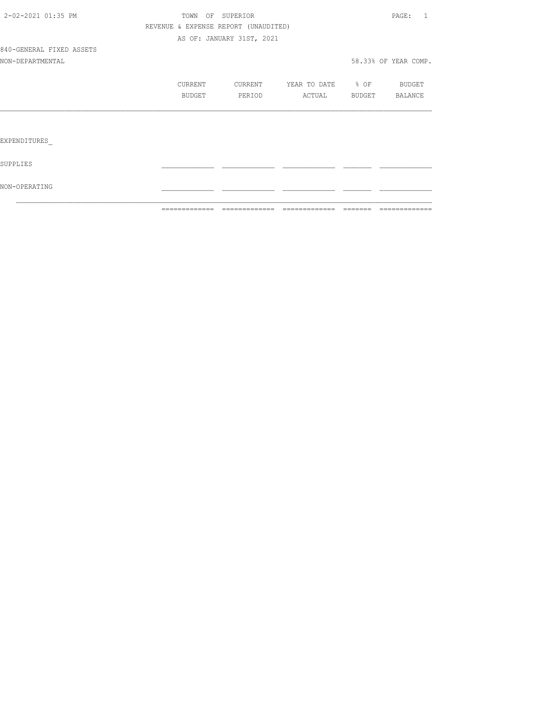|                          | =============                        |                           | -------------- -------------- ------ | =============        |
|--------------------------|--------------------------------------|---------------------------|--------------------------------------|----------------------|
| NON-OPERATING            |                                      |                           |                                      |                      |
| SUPPLIES                 |                                      |                           |                                      |                      |
| EXPENDITURES             |                                      |                           |                                      |                      |
|                          |                                      |                           |                                      |                      |
|                          | BUDGET                               | PERIOD                    | ACTUAL BUDGET BALANCE                |                      |
|                          | CURRENT                              | CURRENT                   | YEAR TO DATE % OF BUDGET             |                      |
| NON-DEPARTMENTAL         |                                      |                           |                                      | 58.33% OF YEAR COMP. |
| 840-GENERAL FIXED ASSETS |                                      |                           |                                      |                      |
|                          |                                      | AS OF: JANUARY 31ST, 2021 |                                      |                      |
|                          | REVENUE & EXPENSE REPORT (UNAUDITED) |                           |                                      |                      |
| 2-02-2021 01:35 PM       |                                      | TOWN OF SUPERIOR          |                                      | PAGE: 1              |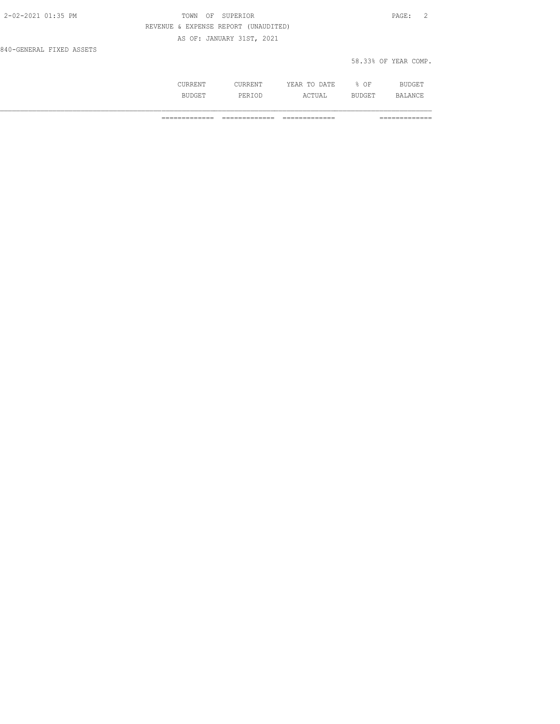| 2-02-2021 01:35 PM       | TOWN OF SUPERIOR                     | PAGE:                |  |
|--------------------------|--------------------------------------|----------------------|--|
|                          | REVENUE & EXPENSE REPORT (UNAUDITED) |                      |  |
|                          | AS OF: JANUARY 31ST, 2021            |                      |  |
| 840-GENERAL FIXED ASSETS |                                      |                      |  |
|                          |                                      | 58.33% OF YEAR COMP. |  |

| . .<br>. |        | DATE.<br>m <sub>c</sub><br>. A L<br>-----<br>---- | ΟF    |  |
|----------|--------|---------------------------------------------------|-------|--|
|          | برا د. | . ب<br>---                                        | $  -$ |  |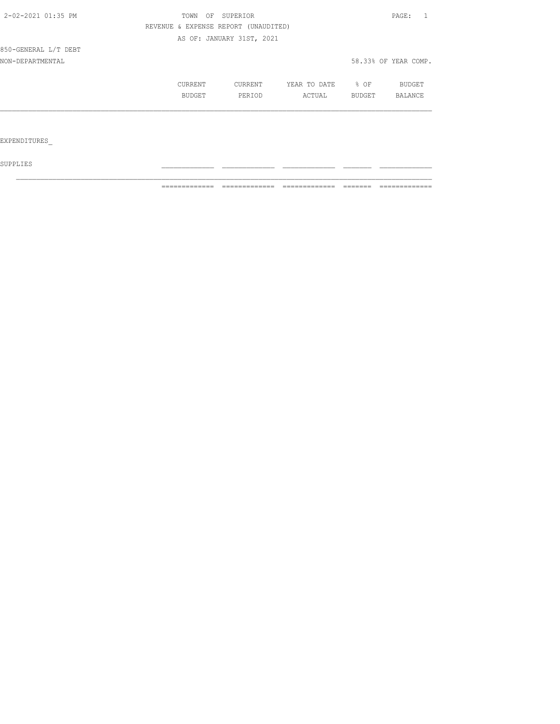| 2-02-2021 01:35 PM   | TOWN<br>OF | SUPERIOR                             |              |        | PAGE:                |
|----------------------|------------|--------------------------------------|--------------|--------|----------------------|
|                      |            | REVENUE & EXPENSE REPORT (UNAUDITED) |              |        |                      |
|                      |            | AS OF: JANUARY 31ST, 2021            |              |        |                      |
| 850-GENERAL L/T DEBT |            |                                      |              |        |                      |
| NON-DEPARTMENTAL     |            |                                      |              |        | 58.33% OF YEAR COMP. |
|                      | CURRENT    | CURRENT                              | YEAR TO DATE | $8$ OF | BUDGET               |
|                      | BUDGET     | PERIOD                               | ACTUAL       | BUDGET | BALANCE              |
|                      |            |                                      |              |        |                      |
|                      |            |                                      |              |        |                      |
| EXPENDITURES         |            |                                      |              |        |                      |

 ${\tt SUPPLIES}$